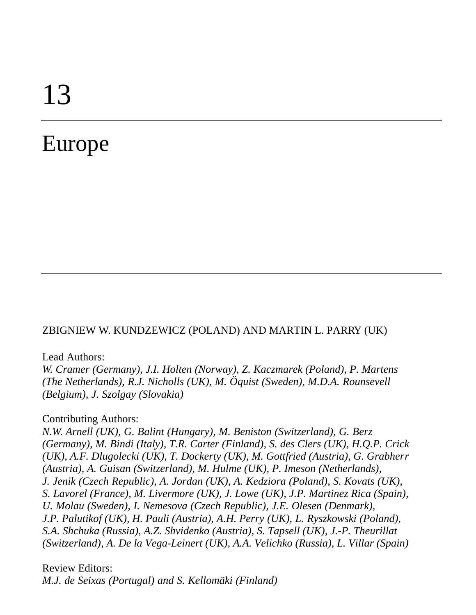# Europe

### ZBIGNIEW W. KUNDZEWICZ (POLAND) AND MARTIN L. PARRY (UK)

### Lead Authors:

*W. Cramer (Germany), J.I. Holten (Norway), Z. Kaczmarek (Poland), P. Martens (The Netherlands), R.J. Nicholls (UK), M. Öquist (Sweden), M.D.A. Rounsevell (Belgium), J. Szolgay (Slovakia)*

### Contributing Authors:

*N.W. Arnell (UK), G. Balint (Hungary), M. Beniston (Switzerland), G. Berz (Germany), M. Bindi (Italy), T.R. Carter (Finland), S. des Clers (UK), H.Q.P. Crick (UK), A.F. Dlugolecki (UK), T. Dockerty (UK), M. Gottfried (Austria), G. Grabherr (Austria), A. Guisan (Switzerland), M. Hulme (UK), P. Imeson (Netherlands), J. Jenik (Czech Republic), A. Jordan (UK), A. Kedziora (Poland), S. Kovats (UK), S. Lavorel (France), M. Livermore (UK), J. Lowe (UK), J.P. Martinez Rica (Spain), U. Molau (Sweden), I. Nemesova (Czech Republic), J.E. Olesen (Denmark), J.P. Palutikof (UK), H. Pauli (Austria), A.H. Perry (UK), L. Ryszkowski (Poland), S.A. Shchuka (Russia), A.Z. Shvidenko (Austria), S. Tapsell (UK), J.-P. Theurillat (Switzerland), A. De la Vega-Leinert (UK), A.A. Velichko (Russia), L. Villar (Spain)*

Review Editors: *M.J. de Seixas (Portugal) and S. Kellomäki (Finland)*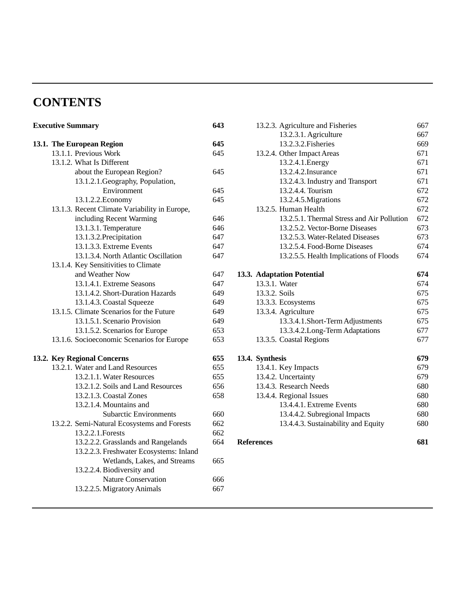## **CONTENTS**

| <b>Executive Summary</b> |                                               |     |  |  |
|--------------------------|-----------------------------------------------|-----|--|--|
|                          | 13.1. The European Region                     | 645 |  |  |
|                          | 13.1.1. Previous Work                         | 645 |  |  |
|                          | 13.1.2. What Is Different                     |     |  |  |
|                          | about the European Region?                    | 645 |  |  |
|                          | 13.1.2.1. Geography, Population,              |     |  |  |
|                          | Environment                                   | 645 |  |  |
|                          | 13.1.2.2. Economy                             | 645 |  |  |
|                          | 13.1.3. Recent Climate Variability in Europe, |     |  |  |
|                          | including Recent Warming                      | 646 |  |  |
|                          | 13.1.3.1. Temperature                         | 646 |  |  |
|                          | 13.1.3.2. Precipitation                       | 647 |  |  |
|                          | 13.1.3.3. Extreme Events                      | 647 |  |  |
|                          | 13.1.3.4. North Atlantic Oscillation          | 647 |  |  |
|                          | 13.1.4. Key Sensitivities to Climate          |     |  |  |
|                          | and Weather Now                               | 647 |  |  |
|                          | 13.1.4.1. Extreme Seasons                     | 647 |  |  |
|                          | 13.1.4.2. Short-Duration Hazards              | 649 |  |  |
|                          | 13.1.4.3. Coastal Squeeze                     | 649 |  |  |
|                          | 13.1.5. Climate Scenarios for the Future      | 649 |  |  |
|                          | 13.1.5.1. Scenario Provision                  | 649 |  |  |
|                          | 13.1.5.2. Scenarios for Europe                | 653 |  |  |
|                          | 13.1.6. Socioeconomic Scenarios for Europe    | 653 |  |  |
|                          | 13.2. Key Regional Concerns                   | 655 |  |  |
|                          | 13.2.1. Water and Land Resources              | 655 |  |  |
|                          | 13.2.1.1. Water Resources                     | 655 |  |  |
|                          | 13.2.1.2. Soils and Land Resources            | 656 |  |  |
|                          | 13.2.1.3. Coastal Zones                       | 658 |  |  |
|                          | 13.2.1.4. Mountains and                       |     |  |  |
|                          | <b>Subarctic Environments</b>                 | 660 |  |  |
|                          | 13.2.2. Semi-Natural Ecosystems and Forests   | 662 |  |  |
|                          | 13.2.2.1. Forests                             | 662 |  |  |
|                          | 13.2.2.2. Grasslands and Rangelands           | 664 |  |  |
|                          | 13.2.2.3. Freshwater Ecosystems: Inland       |     |  |  |
|                          | Wetlands, Lakes, and Streams                  | 665 |  |  |
|                          | 13.2.2.4. Biodiversity and                    |     |  |  |
|                          | Nature Conservation                           | 666 |  |  |
|                          | 13.2.2.5. Migratory Animals                   | 667 |  |  |
|                          |                                               |     |  |  |

|                   |               | 13.2.3. Agriculture and Fisheries          | 667 |
|-------------------|---------------|--------------------------------------------|-----|
|                   |               | 13.2.3.1. Agriculture                      | 667 |
|                   |               | 13.2.3.2. Fisheries                        | 669 |
|                   |               | 13.2.4. Other Impact Areas                 | 671 |
|                   |               | 13.2.4.1. Energy                           | 671 |
|                   |               | 13.2.4.2. Insurance                        | 671 |
|                   |               | 13.2.4.3. Industry and Transport           | 671 |
|                   |               | 13.2.4.4. Tourism                          | 672 |
|                   |               | 13.2.4.5. Migrations                       | 672 |
|                   |               | 13.2.5. Human Health                       | 672 |
|                   |               | 13.2.5.1. Thermal Stress and Air Pollution | 672 |
|                   |               | 13.2.5.2. Vector-Borne Diseases            | 673 |
|                   |               | 13.2.5.3. Water-Related Diseases           | 673 |
|                   |               | 13.2.5.4. Food-Borne Diseases              | 674 |
|                   |               | 13.2.5.5. Health Implications of Floods    | 674 |
|                   |               | 13.3. Adaptation Potential                 | 674 |
|                   | 13.3.1. Water |                                            | 674 |
|                   | 13.3.2. Soils |                                            | 675 |
|                   |               | 13.3.3. Ecosystems                         | 675 |
|                   |               | 13.3.4. Agriculture                        | 675 |
|                   |               | 13.3.4.1. Short-Term Adjustments           | 675 |
|                   |               | 13.3.4.2. Long-Term Adaptations            | 677 |
|                   |               | 13.3.5. Coastal Regions                    | 677 |
| 13.4. Synthesis   |               |                                            | 679 |
|                   |               | 13.4.1. Key Impacts                        | 679 |
|                   |               | 13.4.2. Uncertainty                        | 679 |
|                   |               | 13.4.3. Research Needs                     | 680 |
|                   |               | 13.4.4. Regional Issues                    | 680 |
|                   |               | 13.4.4.1. Extreme Events                   | 680 |
|                   |               | 13.4.4.2. Subregional Impacts              | 680 |
|                   |               | 13.4.4.3. Sustainability and Equity        | 680 |
| <b>References</b> |               |                                            | 681 |
|                   |               |                                            |     |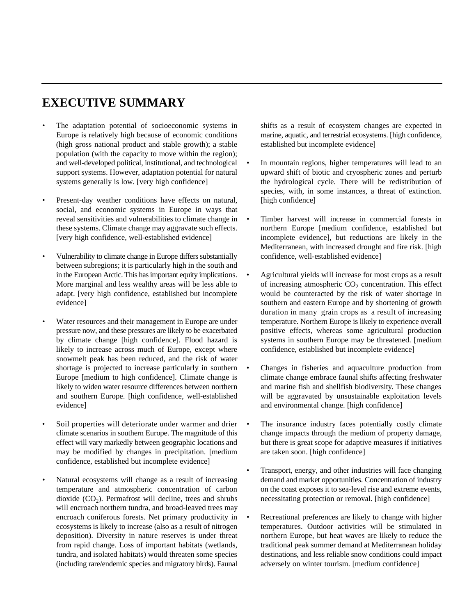### **EXECUTIVE SUMMARY**

- The adaptation potential of socioeconomic systems in Europe is relatively high because of economic conditions (high gross national product and stable growth); a stable population (with the capacity to move within the region); and well-developed political, institutional, and technological support systems. However, adaptation potential for natural systems generally is low. [very high confidence]
- Present-day weather conditions have effects on natural, social, and economic systems in Europe in ways that reveal sensitivities and vulnerabilities to climate change in these systems. Climate change may aggravate such effects. [very high confidence, well-established evidence]
- Vulnerability to climate change in Europe differs substantially between subregions; it is particularly high in the south and in the European Arctic. This has important equity implications. More marginal and less wealthy areas will be less able to adapt. [very high confidence, established but incomplete evidence]
- Water resources and their management in Europe are under pressure now, and these pressures are likely to be exacerbated by climate change [high confidence]. Flood hazard is likely to increase across much of Europe, except where snowmelt peak has been reduced, and the risk of water shortage is projected to increase particularly in southern Europe [medium to high confidence]. Climate change is likely to widen water resource differences between northern and southern Europe. [high confidence, well-established evidence]
- Soil properties will deteriorate under warmer and drier climate scenarios in southern Europe. The magnitude of this e ffect will vary markedly between geographic locations and may be modified by changes in precipitation. [medium confidence, established but incomplete evidence]
- Natural ecosystems will change as a result of increasing temperature and atmospheric concentration of carbon dioxide  $(CO_2)$ . Permafrost will decline, trees and shrubs will encroach northern tundra, and broad-leaved trees may encroach coniferous forests. Net primary productivity in ecosystems is likely to increase (also as a result of nitrogen deposition). Diversity in nature reserves is under threat from rapid change. Loss of important habitats (wetlands, tundra, and isolated habitats) would threaten some species (including rare/endemic species and migratory birds). Faunal

shifts as a result of ecosystem changes are expected in marine, aquatic, and terrestrial ecosystems. [high confidence, established but incomplete evidence]

- In mountain regions, higher temperatures will lead to an upward shift of biotic and cryospheric zones and perturb the hydrological cycle. There will be redistribution of species, with, in some instances, a threat of extinction. [high confidence]
- Timber harvest will increase in commercial forests in northern Europe [medium confidence, established but incomplete evidence], but reductions are likely in the Mediterranean, with increased drought and fire risk. [high confidence, well-established evidence]
- Agricultural yields will increase for most crops as a result of increasing atmospheric  $CO<sub>2</sub>$  concentration. This effect would be counteracted by the risk of water shortage in southern and eastern Europe and by shortening of growth duration in many grain crops as a result of increasing temperature. Northern Europe is likely to experience overall positive effects, whereas some agricultural production systems in southern Europe may be threatened. [medium] confidence, established but incomplete evidence]
- Changes in fisheries and aquaculture production from climate change embrace faunal shifts affecting freshwater and marine fish and shellfish biodiversity. These changes will be aggravated by unsustainable exploitation levels and environmental change. [high confidence]
- The insurance industry faces potentially costly climate change impacts through the medium of property damage, but there is great scope for adaptive measures if initiatives are taken soon. [high confidence]
- Transport, energy, and other industries will face changing demand and market opportunities. Concentration of industry on the coast exposes it to sea-level rise and extreme events, necessitating protection or removal. [high confidence]
- Recreational preferences are likely to change with higher temperatures. Outdoor activities will be stimulated in northern Europe, but heat waves are likely to reduce the traditional peak summer demand at Mediterranean holiday destinations, and less reliable snow conditions could impact adversely on winter tourism. [medium confidence]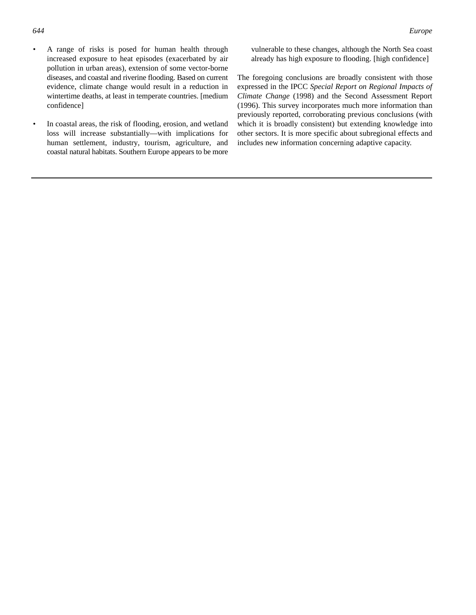- A range of risks is posed for human health through increased exposure to heat episodes (exacerbated by air pollution in urban areas), extension of some vector-borne diseases, and coastal and riverine flooding. Based on current evidence, climate change would result in a reduction in wintertime deaths, at least in temperate countries. [medium confidence]
- In coastal areas, the risk of flooding, erosion, and wetland loss will increase substantially—with implications for human settlement, industry, tourism, agriculture, and coastal natural habitats. Southern Europe appears to be more

vulnerable to these changes, although the North Sea coast already has high exposure to flooding. [high confidence]

The foregoing conclusions are broadly consistent with those expressed in the IPCC *Special Report on Regional Impacts of Climate Change* (1998) and the Second Assessment Report (1996). This survey incorporates much more information than previously reported, corroborating previous conclusions (with which it is broadly consistent) but extending knowledge into other sectors. It is more specific about subregional effects and includes new information concerning adaptive capacity.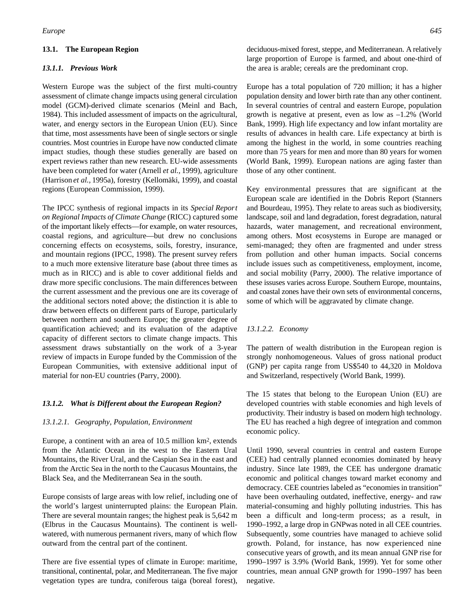#### **13.1. The European Region**

#### *13.1.1. Previous Work*

Western Europe was the subject of the first multi-country assessment of climate change impacts using general circulation model (GCM)-derived climate scenarios (Meinl and Bach, 1984). This included assessment of impacts on the agricultural, water, and energy sectors in the European Union (EU). Since that time, most assessments have been of single sectors or single countries. Most countries in Europe have now conducted climate impact studies, though these studies generally are based on expert reviews rather than new research. EU-wide assessments have been completed for water (Arnell *et al.,* 1999), agriculture (Harrison *et al.,* 1995a), forestry (Kellomäki, 1999), and coastal regions (European Commission, 1999).

The IPCC synthesis of regional impacts in its *Special Report on Regional Impacts of Climate Change* (RICC) captured some of the important likely effects—for example, on water resources, coastal regions, and agriculture—but drew no conclusions concerning effects on ecosystems, soils, forestry, insurance, and mountain regions (IPCC, 1998). The present survey refers to a much more extensive literature base (about three times as much as in RICC) and is able to cover additional fields and draw more specific conclusions. The main differences between the current assessment and the previous one are its coverage of the additional sectors noted above; the distinction it is able to draw between effects on different parts of Europe, particularly between northern and southern Europe; the greater degree of quantification achieved; and its evaluation of the adaptive capacity of different sectors to climate change impacts. This assessment draws substantially on the work of a 3-year review of impacts in Europe funded by the Commission of the European Communities, with extensive additional input of material for non-EU countries (Parry, 2000).

#### *13.1.2. What is Different about the European Region?*

#### *13.1.2.1. Geography, Population, Environment*

Europe, a continent with an area of 10.5 million km2, extends from the Atlantic Ocean in the west to the Eastern Ural Mountains, the River Ural, and the Caspian Sea in the east and from the Arctic Sea in the north to the Caucasus Mountains, the Black Sea, and the Mediterranean Sea in the south.

Europe consists of large areas with low relief, including one of the world's largest uninterrupted plains: the European Plain. There are several mountain ranges; the highest peak is 5,642 m (Elbrus in the Caucasus Mountains). The continent is wellwatered, with numerous permanent rivers, many of which flow outward from the central part of the continent.

There are five essential types of climate in Europe: maritime, transitional, continental, polar, and Mediterranean. The five major vegetation types are tundra, coniferous taiga (boreal forest),

deciduous-mixed forest, steppe, and Mediterranean. A relatively large proportion of Europe is farmed, and about one-third of the area is arable; cereals are the predominant crop.

Europe has a total population of 720 million; it has a higher population density and lower birth rate than any other continent. In several countries of central and eastern Europe, population growth is negative at present, even as low as –1.2% (World Bank, 1999). High life expectancy and low infant mortality are results of advances in health care. Life expectancy at birth is among the highest in the world, in some countries reaching more than 75 years for men and more than 80 years for women (World Bank, 1999). European nations are aging faster than those of any other continent.

Key environmental pressures that are significant at the European scale are identified in the Dobris Report (Stanners and Bourdeau, 1995). They relate to areas such as biodiversity, landscape, soil and land degradation, forest degradation, natural hazards, water management, and recreational environment, among others. Most ecosystems in Europe are managed or semi-managed; they often are fragmented and under stress from pollution and other human impacts. Social concerns include issues such as competitiveness, employment, income, and social mobility (Parry, 2000). The relative importance of these issuses varies across Europe. Southern Europe, mountains, and coastal zones have their own sets of environmental concerns, some of which will be aggravated by climate change.

#### *13.1.2.2. Economy*

The pattern of wealth distribution in the European region is strongly nonhomogeneous. Values of gross national product (GNP) per capita range from US\$540 to 44,320 in Moldova and Switzerland, respectively (World Bank, 1999).

The 15 states that belong to the European Union (EU) are developed countries with stable economies and high levels of productivity. Their industry is based on modern high technology. The EU has reached a high degree of integration and common economic policy.

Until 1990, several countries in central and eastern Europe (CEE) had centrally planned economies dominated by heavy industry. Since late 1989, the CEE has undergone dramatic economic and political changes toward market economy and democracy. CEE countries labeled as "economies in transition" have been overhauling outdated, ineffective, energy- and raw material-consuming and highly polluting industries. This has been a difficult and long-term process; as a result, in 1990–1992, a large drop in GNPwas noted in all CEE countries. Subsequently, some countries have managed to achieve solid growth. Poland, for instance, has now experienced nine consecutive years of growth, and its mean annual GNP rise for 1990–1997 is 3.9% (World Bank, 1999). Yet for some other countries, mean annual GNP growth for 1990–1997 has been negative.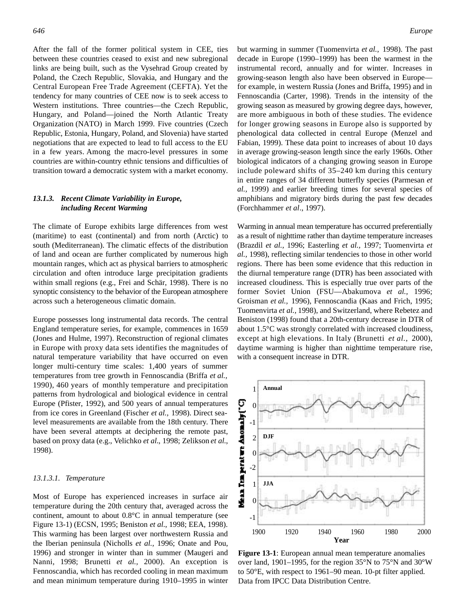After the fall of the former political system in CEE, ties between these countries ceased to exist and new subregional links are being built, such as the Vysehrad Group created by Poland, the Czech Republic, Slovakia, and Hungary and the Central European Free Trade Agreement (CEFTA). Yet the tendency for many countries of CEE now is to seek access to Western institutions. Three countries—the Czech Republic, Hungary, and Poland—joined the North Atlantic Treaty Organization (NATO) in March 1999. Five countries (Czech Republic, Estonia, Hungary, Poland, and Slovenia) have started negotiations that are expected to lead to full access to the EU in a few years. Among the macro-level pressures in some countries are within-country ethnic tensions and difficulties of transition toward a democratic system with a market economy.

#### *13.1.3. Recent Climate Variability in Europe, including Recent Warming*

The climate of Europe exhibits large differences from west (maritime) to east (continental) and from north (Arctic) to south (Mediterranean). The climatic effects of the distribution of land and ocean are further complicated by numerous high mountain ranges, which act as physical barriers to atmospheric circulation and often introduce large precipitation gradients within small regions (e.g., Frei and Schär, 1998). There is no synoptic consistency to the behavior of the European atmosphere across such a heterogeneous climatic domain.

Europe possesses long instrumental data records. The central England temperature series, for example, commences in 1659 (Jones and Hulme, 1997). Reconstruction of regional climates in Europe with proxy data sets identifies the magnitudes of natural temperature variability that have occurred on even longer multi-century time scales: 1,400 years of summer temperatures from tree growth in Fennoscandia (Briffa et al., 1990), 460 years of monthly temperature and precipitation patterns from hydrological and biological evidence in central Europe (Pfister, 1992), and 500 years of annual temperatures from ice cores in Greenland (Fischer *et al.,* 1998). Direct sealevel measurements are available from the 18th century. There have been several attempts at deciphering the remote past, based on proxy data (e.g., Velichko *et al*., 1998; Zelikson *et al*., 1998).

#### *13.1.3.1. Temperature*

Most of Europe has experienced increases in surface air temperature during the 20th century that, averaged across the continent, amount to about 0.8°C in annual temperature (see Figure 13-1) (ECSN, 1995; Beniston *et al*., 1998; EEA, 1998). This warming has been largest over northwestern Russia and the Iberian peninsula (Nicholls *et al.,* 1996; Onate and Pou, 1996) and stronger in winter than in summer (Maugeri and Nanni, 1998; Brunetti et al., 2000). An exception is Fennoscandia, which has recorded cooling in mean maximum and mean minimum temperature during 1910–1995 in winter but warming in summer (Tuomenvirta *et al.,* 1998). The past decade in Europe (1990–1999) has been the warmest in the instrumental record, annually and for winter. Increases in growing-season length also have been observed in Europe for example, in western Russia (Jones and Briffa, 1995) and in Fennoscandia (Carter, 1998). Trends in the intensity of the growing season as measured by growing degree days, however, are more ambiguous in both of these studies. The evidence for longer growing seasons in Europe also is supported by phenological data collected in central Europe (Menzel and Fabian, 1999). These data point to increases of about 10 days in average growing-season length since the early 1960s. Other biological indicators of a changing growing season in Europe include poleward shifts of 35–240 km during this century in entire ranges of 34 different butterfly species (Parmesan *et al.,* 1999) and earlier breeding times for several species of amphibians and migratory birds during the past few decades (Forchhammer *et al*., 1997).

Warming in annual mean temperature has occurred preferentially as a result of nighttime rather than daytime temperature increases (Brazdil *et al.,* 1996; Easterling *et al.,* 1997; Tuomenvirta *et al.,* 1998), reflecting similar tendencies to those in other world regions. There has been some evidence that this reduction in the diurnal temperature range (DTR) has been associated with increased cloudiness. This is especially true over parts of the former Soviet Union (FSU—Abakumova et al., 1996; Groisman *et al.,* 1996), Fennoscandia (Kaas and Frich, 1995; Tuomenvirta *et al.,* 1998), and Switzerland, where Rebetez and Beniston (1998) found that a 20th-century decrease in DTR of about 1.5°C was strongly correlated with increased cloudiness, except at high elevations. In Italy (Brunetti *et al.*, 2000), daytime warming is higher than nighttime temperature rise, with a consequent increase in DTR.



**Figure 13-1**: European annual mean temperature anomalies over land, 1901–1995, for the region 35°N to 75°N and 30°W to 50°E, with respect to 1961–90 mean. 10-pt filter applied. Data from IPCC Data Distribution Centre.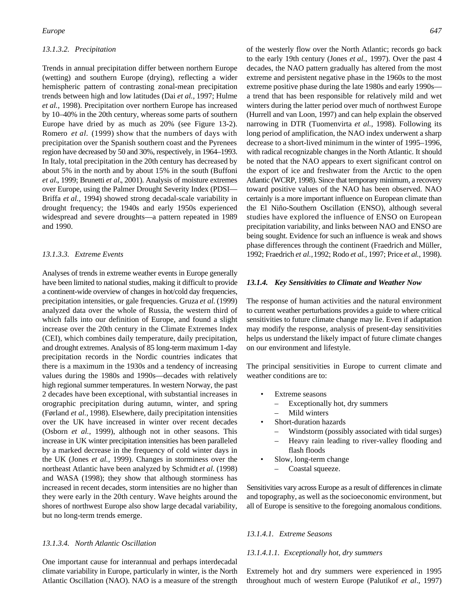#### *13.1.3.2. Precipitation*

Trends in annual precipitation differ between northern Europe (wetting) and southern Europe (drying), reflecting a wider hemispheric pattern of contrasting zonal-mean precipitation trends between high and low latitudes (Dai *et al.,* 1997; Hulme *et al.,* 1998). Precipitation over northern Europe has increased by 10–40% in the 20th century, whereas some parts of southern Europe have dried by as much as 20% (see Figure 13-2). Romero *et al.* (1999) show that the numbers of days with precipitation over the Spanish southern coast and the Pyrenees region have decreased by 50 and 30%, respectively, in 1964–1993. In Italy, total precipitation in the 20th century has decreased by about 5% in the north and by about 15% in the south (Buffoni *et al.*, 1999; Brunetti *et al.*, 2001). Analysis of moisture extremes over Europe, using the Palmer Drought Severity Index (PDSI— Briffa *et al.,* 1994) showed strong decadal-scale variability in drought frequency; the 1940s and early 1950s experienced widespread and severe droughts—a pattern repeated in 1989 and 1990.

#### *13.1.3.3. Extreme Events*

Analyses of trends in extreme weather events in Europe generally have been limited to national studies, making it difficult to provide a continent-wide overview of changes in hot/cold day frequencies, precipitation intensities, or gale frequencies. Gruza *et al.* (1999) analyzed data over the whole of Russia, the western third of which falls into our definition of Europe, and found a slight increase over the 20th century in the Climate Extremes Index (CEI), which combines daily temperature, daily precipitation, and drought extremes. Analysis of 85 long-term maximum 1-day precipitation records in the Nordic countries indicates that there is a maximum in the 1930s and a tendency of increasing values during the 1980s and 1990s—decades with relatively high regional summer temperatures. In western Norway, the past 2 decades have been exceptional, with substantial increases in orographic precipitation during autumn, winter, and spring (Førland *et al.,* 1998). Elsewhere, daily precipitation intensities over the UK have increased in winter over recent decades (Osborn *et al.,* 1999), although not in other seasons. This increase in UK winter precipitation intensities has been paralleled by a marked decrease in the frequency of cold winter days in the UK (Jones *et al.,* 1999). Changes in storminess over the northeast Atlantic have been analyzed by Schmidt *et al.* (1998) and WASA (1998); they show that although storminess has increased in recent decades, storm intensities are no higher than they were early in the 20th century. Wave heights around the shores of northwest Europe also show large decadal variability, but no long-term trends emerge.

#### *13.1.3.4. North Atlantic Oscillation*

One important cause for interannual and perhaps interdecadal climate variability in Europe, particularly in winter, is the North Atlantic Oscillation (NAO). NAO is a measure of the strength

of the westerly flow over the North Atlantic; records go back to the early 19th century (Jones *et al.,* 1997). Over the past 4 decades, the NAO pattern gradually has altered from the most extreme and persistent negative phase in the 1960s to the most extreme positive phase during the late 1980s and early 1990s a trend that has been responsible for relatively mild and wet winters during the latter period over much of northwest Europe (Hurrell and van Loon, 1997) and can help explain the observed narrowing in DTR (Tuomenvirta *et al.,* 1998). Following its long period of amplification, the NAO index underwent a sharp decrease to a short-lived minimum in the winter of 1995–1996, with radical recognizable changes in the North Atlantic. It should be noted that the NAO appears to exert significant control on the export of ice and freshwater from the Arctic to the open Atlantic (WCRP, 1998). Since that temporary minimum, a recovery toward positive values of the NAO has been observed. NAO certainly is a more important influence on European climate than the El Niño-Southern Oscillation (ENSO), although several studies have explored the influence of ENSO on European precipitation variability, and links between NAO and ENSO are being sought. Evidence for such an influence is weak and shows phase differences through the continent (Fraedrich and Müller, 1992; Fraedrich et al., 1992; Rodo et al., 1997; Price et al., 1998).

#### *13.1.4. Key Sensitivities to Climate and Weather Now*

The response of human activities and the natural environment to current weather perturbations provides a guide to where critical sensitivities to future climate change may lie. Even if adaptation may modify the response, analysis of present-day sensitivities helps us understand the likely impact of future climate changes on our environment and lifestyle.

The principal sensitivities in Europe to current climate and weather conditions are to:

- Extreme seasons
	- Exceptionally hot, dry summers
	- Mild winters
- Short-duration hazards
	- Windstorm (possibly associated with tidal surges)
	- Heavy rain leading to river-valley flooding and flash floods
- Slow, long-term change
	- Coastal squeeze.

Sensitivities vary across Europe as a result of differences in climate and topography, as well as the socioeconomic environment, but all of Europe is sensitive to the foregoing anomalous conditions.

#### *13.1.4.1. Extreme Seasons*

#### *13.1.4.1.1. Exceptionally hot, dry summers*

Extremely hot and dry summers were experienced in 1995 throughout much of western Europe (Palutikof *et al*., 1997)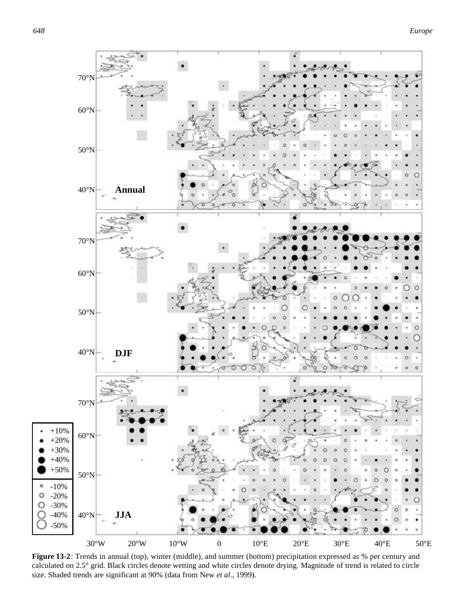

**Figure 13-2**: Trends in annual (top), winter (middle), and summer (bottom) precipitation expressed as % per century and calculated on 2.5° grid. Black circles denote wetting and white circles denote drying. Magnitude of trend is related to circle size. Shaded trends are significant at 90% (data from New *et al*., 1999).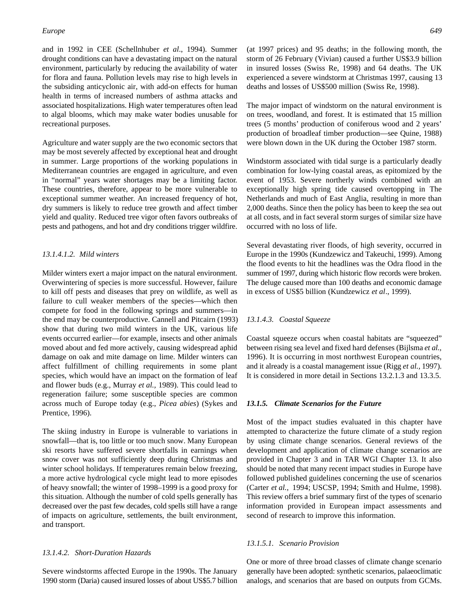and in 1992 in CEE (Schellnhuber *et al*., 1994). Summer drought conditions can have a devastating impact on the natural environment, particularly by reducing the availability of water for flora and fauna. Pollution levels may rise to high levels in the subsiding anticyclonic air, with add-on effects for human health in terms of increased numbers of asthma attacks and associated hospitalizations. High water temperatures often lead to algal blooms, which may make water bodies unusable for recreational purposes.

Agriculture and water supply are the two economic sectors that may be most severely affected by exceptional heat and drought in summer. Large proportions of the working populations in Mediterranean countries are engaged in agriculture, and even in "normal" years water shortages may be a limiting factor. These countries, therefore, appear to be more vulnerable to exceptional summer weather. An increased frequency of hot, dry summers is likely to reduce tree growth and affect timber yield and quality. Reduced tree vigor often favors outbreaks of pests and pathogens, and hot and dry conditions trigger wildfire.

#### *13.1.4.1.2. Mild winters*

Milder winters exert a major impact on the natural environment. Overwintering of species is more successful. However, failure to kill off pests and diseases that prey on wildlife, as well as failure to cull weaker members of the species—which then compete for food in the following springs and summers—in the end may be counterproductive. Cannell and Pitcairn (1993) show that during two mild winters in the UK, various life events occurred earlier—for example, insects and other animals moved about and fed more actively, causing widespread aphid damage on oak and mite damage on lime. Milder winters can a ffect fulfillment of chilling requirements in some plant species, which would have an impact on the formation of leaf and flower buds (e.g., Murray *et al.,* 1989). This could lead to regeneration failure; some susceptible species are common across much of Europe today (e.g., *Picea abies*) (Sykes and Prentice, 1996).

The skiing industry in Europe is vulnerable to variations in snowfall—that is, too little or too much snow. Many European ski resorts have suffered severe shortfalls in earnings when snow cover was not sufficiently deep during Christmas and winter school holidays. If temperatures remain below freezing, a more active hydrological cycle might lead to more episodes of heavy snowfall; the winter of 1998–1999 is a good proxy for this situation. Although the number of cold spells generally has decreased over the past few decades, cold spells still have a range of impacts on agriculture, settlements, the built environment, and transport.

#### *13.1.4.2. Short-Duration Hazards*

Severe windstorms affected Europe in the 1990s. The January 1990 storm (Daria) caused insured losses of about US\$5.7 billion

(at 1997 prices) and 95 deaths; in the following month, the storm of 26 February (Vivian) caused a further US\$3.9 billion in insured losses (Swiss Re, 1998) and 64 deaths. The UK experienced a severe windstorm at Christmas 1997, causing 13 deaths and losses of US\$500 million (Swiss Re, 1998).

The major impact of windstorm on the natural environment is on trees, woodland, and forest. It is estimated that 15 million trees (5 months' production of coniferous wood and 2 years' production of broadleaf timber production—see Quine, 1988) were blown down in the UK during the October 1987 storm.

Windstorm associated with tidal surge is a particularly deadly combination for low-lying coastal areas, as epitomized by the event of 1953. Severe northerly winds combined with an exceptionally high spring tide caused overtopping in The Netherlands and much of East Anglia, resulting in more than 2,000 deaths. Since then the policy has been to keep the sea out at all costs, and in fact several storm surges of similar size have occurred with no loss of life.

Several devastating river floods, of high severity, occurred in Europe in the 1990s (Kundzewicz and Takeuchi, 1999). Among the flood events to hit the headlines was the Odra flood in the summer of 1997, during which historic flow records were broken. The deluge caused more than 100 deaths and economic damage in excess of US\$5 billion (Kundzewicz *et al*., 1999).

#### *13.1.4.3. Coastal Squeeze*

Coastal squeeze occurs when coastal habitats are "squeezed" between rising sea level and fixed hard defenses (Bijlsma *et al.*, 1996). It is occurring in most northwest European countries, and it already is a coastal management issue (Rigg *et al.*, 1997). It is considered in more detail in Sections 13.2.1.3 and 13.3.5.

#### *13.1.5. Climate Scenarios for the Future*

Most of the impact studies evaluated in this chapter have attempted to characterize the future climate of a study region by using climate change scenarios. General reviews of the development and application of climate change scenarios are provided in Chapter 3 and in TAR WGI Chapter 13. It also should be noted that many recent impact studies in Europe have followed published guidelines concerning the use of scenarios (Carter *et al.,* 1994; USCSP, 1994; Smith and Hulme, 1998). This review offers a brief summary first of the types of scenario information provided in European impact assessments and second of research to improve this information.

#### *13.1.5.1. Scenario Provision*

One or more of three broad classes of climate change scenario generally have been adopted: synthetic scenarios, palaeoclimatic analogs, and scenarios that are based on outputs from GCMs.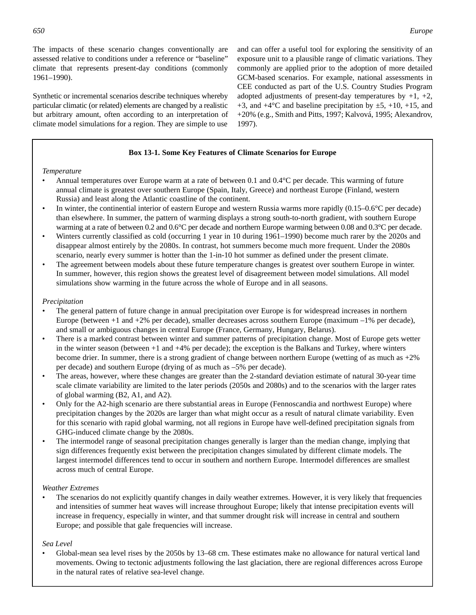The impacts of these scenario changes conventionally are assessed relative to conditions under a reference or "baseline" climate that represents present-day conditions (commonly 1961–1990).

Synthetic or incremental scenarios describe techniques whereby particular climatic (or related) elements are changed by a realistic but arbitrary amount, often according to an interpretation of climate model simulations for a region. They are simple to use and can offer a useful tool for exploring the sensitivity of an exposure unit to a plausible range of climatic variations. They commonly are applied prior to the adoption of more detailed GCM-based scenarios. For example, national assessments in CEE conducted as part of the U.S. Country Studies Program adopted adjustments of present-day temperatures by  $+1$ ,  $+2$ , +3, and  $+4^{\circ}$ C and baseline precipitation by  $\pm$ 5, +10, +15, and +20% (e.g., Smith and Pitts, 1997; Kalvová, 1995; Alexandrov, 1997).

#### **Box 13-1. Some Key Features of Climate Scenarios for Europe**

#### *Temperature*

- Annual temperatures over Europe warm at a rate of between 0.1 and 0.4°C per decade. This warming of future annual climate is greatest over southern Europe (Spain, Italy, Greece) and northeast Europe (Finland, western Russia) and least along the Atlantic coastline of the continent.
- In winter, the continential interior of eastern Europe and western Russia warms more rapidly (0.15–0.6°C per decade) than elsewhere. In summer, the pattern of warming displays a strong south-to-north gradient, with southern Europe warming at a rate of between 0.2 and 0.6°C per decade and northern Europe warming between 0.08 and 0.3°C per decade.
- Winters currently classified as cold (occurring 1 year in 10 during 1961–1990) become much rarer by the 2020s and disappear almost entirely by the 2080s. In contrast, hot summers become much more frequent. Under the 2080s scenario, nearly every summer is hotter than the 1-in-10 hot summer as defined under the present climate.
- The agreement between models about these future temperature changes is greatest over southern Europe in winter. In summer, however, this region shows the greatest level of disagreement between model simulations. All model simulations show warming in the future across the whole of Europe and in all seasons.

#### *Precipitation*

- The general pattern of future change in annual precipitation over Europe is for widespread increases in northern Europe (between  $+1$  and  $+2\%$  per decade), smaller decreases across southern Europe (maximum  $-1\%$  per decade), and small or ambiguous changes in central Europe (France, Germany, Hungary, Belarus).
- There is a marked contrast between winter and summer patterns of precipitation change. Most of Europe gets wetter in the winter season (between +1 and +4% per decade); the exception is the Balkans and Turkey, where winters become drier. In summer, there is a strong gradient of change between northern Europe (wetting of as much as +2% per decade) and southern Europe (drying of as much as –5% per decade).
- The areas, however, where these changes are greater than the 2-standard deviation estimate of natural 30-year time scale climate variability are limited to the later periods (2050s and 2080s) and to the scenarios with the larger rates of global warming (B2, A1, and A2).
- Only for the A2-high scenario are there substantial areas in Europe (Fennoscandia and northwest Europe) where precipitation changes by the 2020s are larger than what might occur as a result of natural climate variability. Even for this scenario with rapid global warming, not all regions in Europe have well-defined precipitation signals from GHG-induced climate change by the 2080s.
- The intermodel range of seasonal precipitation changes generally is larger than the median change, implying that sign differences frequently exist between the precipitation changes simulated by different climate models. The largest intermodel differences tend to occur in southern and northern Europe. Intermodel differences are smallest across much of central Europe.

#### *Weather Extremes*

• The scenarios do not explicitly quantify changes in daily weather extremes. However, it is very likely that frequencies and intensities of summer heat waves will increase throughout Europe; likely that intense precipitation events will increase in frequency, especially in winter, and that summer drought risk will increase in central and southern Europe; and possible that gale frequencies will increase.

#### *Sea Level*

• Global-mean sea level rises by the 2050s by 13–68 cm. These estimates make no allowance for natural vertical land movements. Owing to tectonic adjustments following the last glaciation, there are regional differences across Europe in the natural rates of relative sea-level change.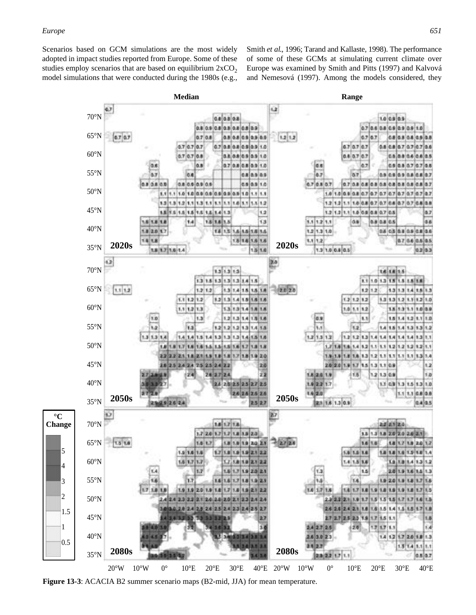Scenarios based on GCM simulations are the most widely adopted in impact studies reported from Europe. Some of these studies employ scenarios that are based on equilibrium  $2xCO<sub>2</sub>$ model simulations that were conducted during the 1980s (e.g., Smith *et al*., 1996; Tarand and Kallaste, 1998). The performance of some of these GCMs at simulating current climate over Europe was examined by Smith and Pitts (1997) and Kalvová and Nemesová (1997). Among the models considered, they



**Figure 13-3**: ACACIA B2 summer scenario maps (B2-mid, JJA) for mean temperature.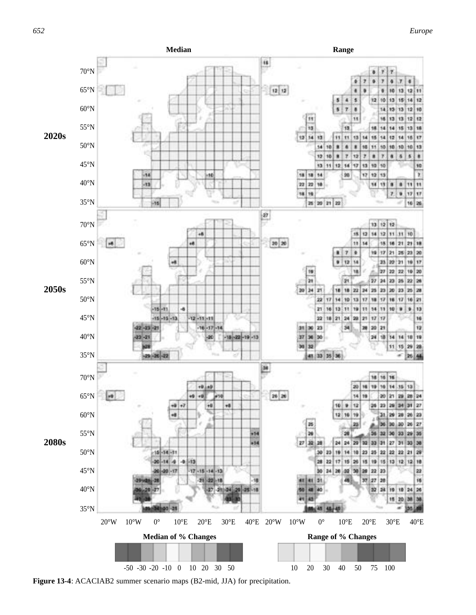

**Figure 13-4**: ACACIAB2 summer scenario maps (B2-mid, JJA) for precipitation.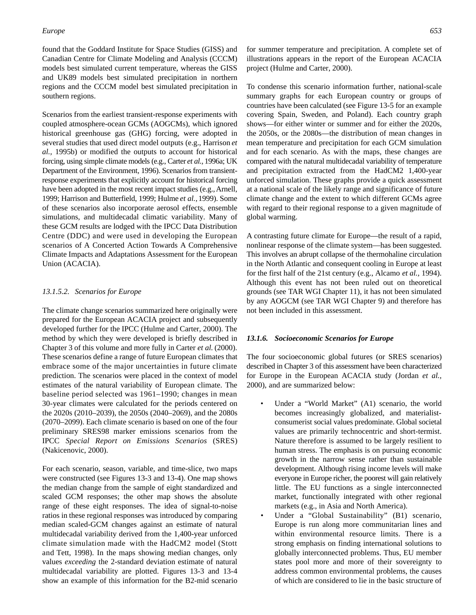#### *Europe 653*

found that the Goddard Institute for Space Studies (GISS) and Canadian Centre for Climate Modeling and Analysis (CCCM) models best simulated current temperature, whereas the GISS and UK89 models best simulated precipitation in northern regions and the CCCM model best simulated precipitation in southern regions.

Scenarios from the earliest transient-response experiments with coupled atmosphere-ocean GCMs (AOGCMs), which ignored historical greenhouse gas (GHG) forcing, were adopted in s e veral studies that used direct model outputs (e.g., Harrison *et al.,* 1995b) or modified the outputs to account for historical forcing, using simple climate models (e.g., Carter *et al.,* 1996a; UK Department of the Environment, 1996). Scenarios from transientresponse experiments that explicitly account for historical forcing have been adopted in the most recent impact studies (e.g., Arnell, 1999; Harrison and Butterfield, 1999; Hulme *et al.,*1999). Some of these scenarios also incorporate aerosol effects, ensemble simulations, and multidecadal climatic variability. Many of these GCM results are lodged with the IPCC Data Distribution Centre (DDC) and were used in developing the European scenarios of A Concerted Action Towards A Comprehensive Climate Impacts and Adaptations Assessment for the European Union (ACACIA).

#### *13.1.5.2. Scenarios for Europe*

The climate change scenarios summarized here originally were prepared for the European ACACIA project and subsequently developed further for the IPCC (Hulme and Carter, 2000). The method by which they were developed is briefly described in Chapter 3 of this volume and more fully in Carter *et al.* (2000). These scenarios define a range of future European climates that embrace some of the major uncertainties in future climate prediction. The scenarios were placed in the context of model estimates of the natural variability of European climate. The baseline period selected was 1961–1990; changes in mean 3 0 -year climates were calculated for the periods centered on the 2020s (2010–2039), the 2050s (2040–2069), and the 2080s (2070–2099). Each climate scenario is based on one of the four preliminary SRES98 marker emissions scenarios from the IPCC *Special Report on Emissions Scenarios* (SRES) (Nakicenovic, 2000).

For each scenario, season, variable, and time-slice, two maps were constructed (see Figures 13-3 and 13-4). One map shows the median change from the sample of eight standardized and scaled GCM responses; the other map shows the absolute range of these eight responses. The idea of signal-to-noise ratios in these regional responses was introduced by comparing median scaled-GCM changes against an estimate of natural multidecadal variability derived from the 1,400-year unforced climate simulation made with the HadCM2 model (Stott and Tett, 1998). In the maps showing median changes, only values *exceeding* the 2-standard deviation estimate of natural multidecadal variability are plotted. Figures 13-3 and 13-4 show an example of this information for the B2-mid scenario for summer temperature and precipitation. A complete set of illustrations appears in the report of the European ACACIA project (Hulme and Carter, 2000).

To condense this scenario information further, national-scale summary graphs for each European country or groups of countries have been calculated (see Figure 13-5 for an example covering Spain, Sweden, and Poland). Each country graph shows—for either winter or summer and for either the 2020s, the 2050s, or the 2080s—the distribution of mean changes in mean temperature and precipitation for each GCM simulation and for each scenario. As with the maps, these changes are compared with the natural multidecadal variability of temperature and precipitation extracted from the HadCM2 1,400-year unforced simulation. These graphs provide a quick assessment at a national scale of the likely range and significance of future climate change and the extent to which different GCMs agree with regard to their regional response to a given magnitude of global warming.

A contrasting future climate for Europe—the result of a rapid, nonlinear response of the climate system—has been suggested. This involves an abrupt collapse of the thermohaline circulation in the North Atlantic and consequent cooling in Europe at least for the first half of the 21st century (e.g., Alcamo *et al.,* 1994). Although this event has not been ruled out on theoretical grounds (see TAR WGI Chapter 11), it has not been simulated by any AOGCM (see TAR WGI Chapter 9) and therefore has not been included in this assessment.

#### *13.1.6. Socioeconomic Scenarios for Europe*

The four socioeconomic global futures (or SRES scenarios) described in Chapter 3 of this assessment have been characterized for Europe in the European ACACIA study (Jordan *et al.,* 2000), and are summarized below:

- Under a "World Market" (A1) scenario, the world becomes increasingly globalized, and materialistconsumerist social values predominate. Global societal values are primarily technocentric and short-termist. Nature therefore is assumed to be largely resilient to human stress. The emphasis is on pursuing economic growth in the narrow sense rather than sustainable development. Although rising income levels will make everyone in Europe richer, the poorest will gain relatively little. The EU functions as a single interconnected market, functionally integrated with other regional markets (e.g., in Asia and North America).
- Under a "Global Sustainability" (B1) scenario, Europe is run along more communitarian lines and within environmental resource limits. There is a strong emphasis on finding international solutions to globally interconnected problems. Thus, EU member states pool more and more of their sovereignty to address common environmental problems, the causes of which are considered to lie in the basic structure of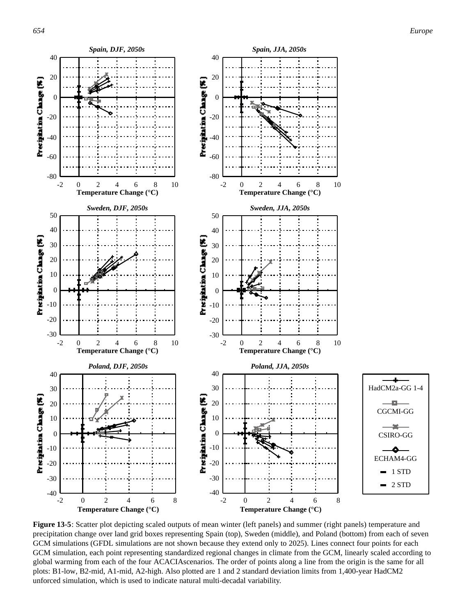

**Figure 13-5**: Scatter plot depicting scaled outputs of mean winter (left panels) and summer (right panels) temperature and precipitation change over land grid boxes representing Spain (top), Sweden (middle), and Poland (bottom) from each of seven GCM simulations (GFDL simulations are not shown because they extend only to 2025). Lines connect four points for each GCM simulation, each point representing standardized regional changes in climate from the GCM, linearly scaled according to global warming from each of the four ACACIAscenarios. The order of points along a line from the origin is the same for all plots: B1-low, B2-mid, A1-mid, A2-high. Also plotted are 1 and 2 standard deviation limits from 1,400-year HadCM2 unforced simulation, which is used to indicate natural multi-decadal variability.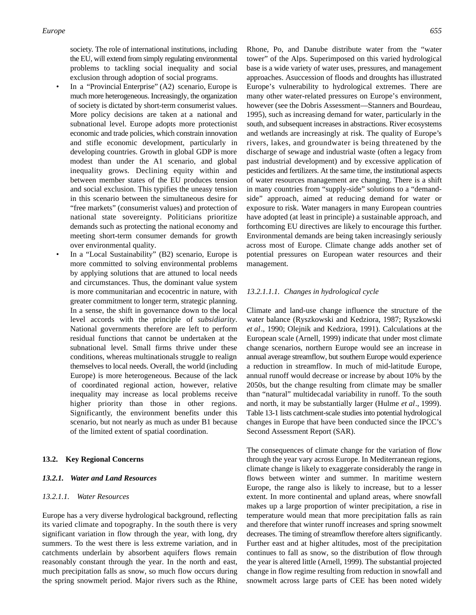society. The role of international institutions, including the EU, will extend from simply regulating environmental problems to tackling social inequality and social exclusion through adoption of social programs.

- In a "Provincial Enterprise" (A2) scenario, Europe is much more heterogeneous. Increasingly, the organization of society is dictated by short-term consumerist values. More policy decisions are taken at a national and subnational level. Europe adopts more protectionist economic and trade policies, which constrain innovation and stifle economic development, particularly in developing countries. Growth in global GDP is more modest than under the A1 scenario, and global inequality grows. Declining equity within and between member states of the EU produces tension and social exclusion. This typifies the uneasy tension in this scenario between the simultaneous desire for "free markets" (consumerist values) and protection of national state sovereignty. Politicians prioritize demands such as protecting the national economy and meeting short-term consumer demands for growth over environmental quality.
- In a "Local Sustainability" (B2) scenario, Europe is more committed to solving environmental problems by applying solutions that are attuned to local needs and circumstances. Thus, the dominant value system is more communitarian and ecocentric in nature, with greater commitment to longer term, strategic planning. In a sense, the shift in governance down to the local level accords with the principle of *subsidiarity*. National governments therefore are left to perform residual functions that cannot be undertaken at the subnational level. Small firms thrive under these conditions, whereas multinationals struggle to realign themselves to local needs. Overall, the world (including Europe) is more heterogeneous. Because of the lack of coordinated regional action, however, relative inequality may increase as local problems receive higher priority than those in other regions. Significantly, the environment benefits under this scenario, but not nearly as much as under B1 because of the limited extent of spatial coordination.

#### **13.2. Key Regional Concerns**

#### *13.2.1. Water and Land Resources*

#### *13.2.1.1. Water Resources*

Europe has a very diverse hydrological background, reflecting its varied climate and topography. In the south there is very significant variation in flow through the year, with long, dry summers. To the west there is less extreme variation, and in catchments underlain by absorbent aquifers flows remain reasonably constant through the year. In the north and east, much precipitation falls as snow, so much flow occurs during the spring snowmelt period. Major rivers such as the Rhine, Rhone, Po, and Danube distribute water from the "water tower" of the Alps. Superimposed on this varied hydrological base is a wide variety of water uses, pressures, and management approaches. Asuccession of floods and droughts has illustrated Europe's vulnerability to hydrological extremes. There are many other water-related pressures on Europe's environment, however (see the Dobris Assessment—Stanners and Bourdeau, 1995), such as increasing demand for water, particularly in the south, and subsequent increases in abstractions. River ecosystems and wetlands are increasingly at risk. The quality of Europe's rivers, lakes, and groundwater is being threatened by the discharge of sewage and industrial waste (often a legacy from past industrial development) and by excessive application of pesticides and fertilizers. At the same time, the institutional aspects of water resources management are changing. There is a shift in many countries from "supply-side" solutions to a "demandside" approach, aimed at reducing demand for water or exposure to risk. Water managers in many European countries have adopted (at least in principle) a sustainable approach, and forthcoming EU directives are likely to encourage this further. Environmental demands are being taken increasingly seriously across most of Europe. Climate change adds another set of potential pressures on European water resources and their management.

#### *13.2.1.1.1. Changes in hydrological cycle*

Climate and land-use change influence the structure of the water balance (Ryszkowski and Kedziora, 1987; Ryszkowski *et al*., 1990; Olejnik and Kedziora, 1991). Calculations at the European scale (Arnell, 1999) indicate that under most climate change scenarios, northern Europe would see an increase in annual average streamflow, but southern Europe would experience a reduction in streamflow. In much of mid-latitude Europe, annual runoff would decrease or increase by about 10% by the 2050s, but the change resulting from climate may be smaller than "natural" multidecadal variability in runoff. To the south and north, it may be substantially larger (Hulme *et al*., 1999). Table 13-1 lists catchment-scale studies into potential hydrological changes in Europe that have been conducted since the IPCC's Second Assessment Report (SAR).

The consequences of climate change for the variation of flow through the year vary across Europe. In Mediterranean regions, climate change is likely to exaggerate considerably the range in flows between winter and summer. In maritime western Europe, the range also is likely to increase, but to a lesser extent. In more continental and upland areas, where snowfall makes up a large proportion of winter precipitation, a rise in temperature would mean that more precipitation falls as rain and therefore that winter runoff increases and spring snowmelt decreases. The timing of streamflow therefore alters significantly. Further east and at higher altitudes, most of the precipitation continues to fall as snow, so the distribution of flow through the year is altered little (Arnell, 1999). The substantial projected change in flow regime resulting from reduction in snowfall and snowmelt across large parts of CEE has been noted widely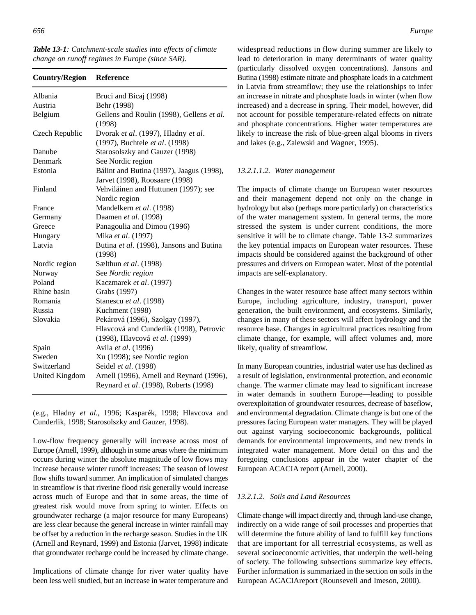| <b>Table 13-1</b> : Catchment-scale studies into effects of climate |
|---------------------------------------------------------------------|
| change on runoff regimes in Europe (since SAR).                     |

| <b>Reference</b>                                                                   |
|------------------------------------------------------------------------------------|
| Bruci and Bicaj (1998)                                                             |
| Behr (1998)                                                                        |
| Gellens and Roulin (1998), Gellens et al.<br>(1998)                                |
| Dvorak et al. (1997), Hladny et al.<br>(1997), Buchtele et al. (1998)              |
| Starosolszky and Gauzer (1998)                                                     |
| See Nordic region                                                                  |
| Bálint and Butina (1997), Jaagus (1998),                                           |
| Jarvet (1998), Roosaare (1998)                                                     |
| Vehviläinen and Huttunen (1997); see                                               |
| Nordic region                                                                      |
| Mandelkern et al. (1998)                                                           |
| Daamen et al. (1998)                                                               |
| Panagoulia and Dimou (1996)                                                        |
| Mika et al. (1997)                                                                 |
| Butina et al. (1998), Jansons and Butina                                           |
| (1998)                                                                             |
| Sælthun et al. (1998)                                                              |
| See Nordic region                                                                  |
| Kaczmarek et al. (1997)                                                            |
| Grabs (1997)                                                                       |
| Stanescu et al. (1998)                                                             |
| Kuchment (1998)                                                                    |
| Pekárová (1996), Szolgay (1997),                                                   |
| Hlavcová and Cunderlík (1998), Petrovic                                            |
| (1998), Hlavcová et al. (1999)                                                     |
| Avila et al. (1996)                                                                |
| Xu (1998); see Nordic region                                                       |
| Seidel et al. (1998)                                                               |
| Arnell (1996), Arnell and Reynard (1996),<br>Reynard et al. (1998), Roberts (1998) |
|                                                                                    |

(e.g., Hladny *et al*., 1996; Kasparék, 1998; Hlavcova and Cunderlik, 1998; Starosolszky and Gauzer, 1998).

Low-flow frequency generally will increase across most of Europe (Arnell, 1999), although in some areas where the minimum occurs during winter the absolute magnitude of low flows may increase because winter runoff increases: The season of lowest flow shifts toward summer. An implication of simulated changes in streamflow is that riverine flood risk generally would increase across much of Europe and that in some areas, the time of greatest risk would move from spring to winter. Effects on groundwater recharge (a major resource for many Europeans) are less clear because the general increase in winter rainfall may be offset by a reduction in the recharge season. Studies in the UK (Arnell and Reynard, 1999) and Estonia (Jarvet, 1998) indicate that groundwater recharge could be increased by climate change.

Implications of climate change for river water quality have been less well studied, but an increase in water temperature and

widespread reductions in flow during summer are likely to lead to deterioration in many determinants of water quality (particularly dissolved oxygen concentrations). Jansons and Butina (1998) estimate nitrate and phosphate loads in a catchment in Latvia from streamflow; they use the relationships to infer an increase in nitrate and phosphate loads in winter (when flow increased) and a decrease in spring. Their model, however, did not account for possible temperature-related effects on nitrate and phosphate concentrations. Higher water temperatures are likely to increase the risk of blue-green algal blooms in rivers and lakes (e.g., Zalewski and Wagner, 1995).

#### *13.2.1.1.2. Water management*

The impacts of climate change on European water resources and their management depend not only on the change in hydrology but also (perhaps more particularly) on characteristics of the water management system. In general terms, the more stressed the system is under current conditions, the more sensitive it will be to climate change. Table 13-2 summarizes the key potential impacts on European water resources. These impacts should be considered against the background of other pressures and drivers on European water. Most of the potential impacts are self-explanatory.

Changes in the water resource base affect many sectors within Europe, including agriculture, industry, transport, power generation, the built environment, and ecosystems. Similarly, changes in many of these sectors will affect hydrology and the resource base. Changes in agricultural practices resulting from climate change, for example, will affect volumes and, more likely, quality of streamflow.

In many European countries, industrial water use has declined as a result of legislation, environmental protection, and economic change. The warmer climate may lead to significant increase in water demands in southern Europe—leading to possible overexploitation of groundwater resources, decrease of baseflow, and environmental degradation. Climate change is but one of the pressures facing European water managers. They will be played out against varying socioeconomic backgrounds, political demands for environmental improvements, and new trends in integrated water management. More detail on this and the foregoing conclusions appear in the water chapter of the European ACACIA report (Arnell, 2000).

#### *13.2.1.2. Soils and Land Resources*

Climate change will impact directly and, through land-use change, indirectly on a wide range of soil processes and properties that will determine the future ability of land to fulfill key functions that are important for all terrestrial ecosystems, as well as several socioeconomic activities, that underpin the well-being of society. The following subsections summarize key effects. Further information is summarized in the section on soils in the European ACACIAreport (Rounsevell and Imeson, 2000).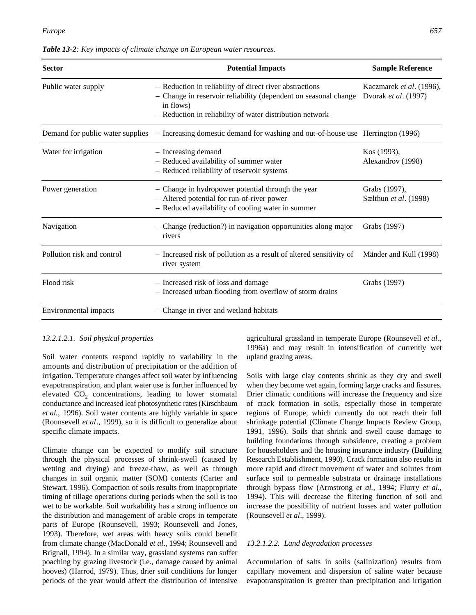| <b>Sector</b>                    | <b>Potential Impacts</b>                                                                                                                                                                            | <b>Sample Reference</b>                          |
|----------------------------------|-----------------------------------------------------------------------------------------------------------------------------------------------------------------------------------------------------|--------------------------------------------------|
| Public water supply              | - Reduction in reliability of direct river abstractions<br>- Change in reservoir reliability (dependent on seasonal change<br>in flows)<br>- Reduction in reliability of water distribution network | Kaczmarek et al. (1996),<br>Dvorak et al. (1997) |
| Demand for public water supplies | - Increasing domestic demand for washing and out-of-house use Herrington (1996)                                                                                                                     |                                                  |
| Water for irrigation             | - Increasing demand<br>- Reduced availability of summer water<br>- Reduced reliability of reservoir systems                                                                                         | Kos (1993),<br>Alexandrov (1998)                 |
| Power generation                 | - Change in hydropower potential through the year<br>- Altered potential for run-of-river power<br>- Reduced availability of cooling water in summer                                                | Grabs (1997),<br>Sælthun et al. (1998)           |
| Navigation                       | - Change (reduction?) in navigation opportunities along major<br>rivers                                                                                                                             | Grabs (1997)                                     |
| Pollution risk and control       | - Increased risk of pollution as a result of altered sensitivity of<br>river system                                                                                                                 | Mänder and Kull (1998)                           |
| Flood risk                       | - Increased risk of loss and damage<br>- Increased urban flooding from overflow of storm drains                                                                                                     | Grabs (1997)                                     |
| Environmental impacts            | - Change in river and wetland habitats                                                                                                                                                              |                                                  |

**Table 13-2***: Key impacts of climate change on European water resources.* 

#### *13.2.1.2.1. Soil physical properties*

Soil water contents respond rapidly to variability in the amounts and distribution of precipitation or the addition of irrigation. Temperature changes affect soil water by influencing evapotranspiration, and plant water use is further influenced by elevated  $CO_2$  concentrations, leading to lower stomatal conductance and increased leaf photosynthetic rates (Kirschbaum *et al.,* 1996). Soil water contents are highly variable in space (Rounsevell *et al*., 1999), so it is difficult to generalize about specific climate impacts.

Climate change can be expected to modify soil structure through the physical processes of shrink-swell (caused by wetting and drying) and freeze-thaw, as well as through changes in soil organic matter (SOM) contents (Carter and Stewart, 1996). Compaction of soils results from inappropriate timing of tillage operations during periods when the soil is too wet to be workable. Soil workability has a strong influence on the distribution and management of arable crops in temperate parts of Europe (Rounsevell, 1993; Rounsevell and Jones, 1993). Therefore, wet areas with heavy soils could benefit from climate change (MacDonald *et al*., 1994; Rounsevell and Brignall, 1994). In a similar way, grassland systems can suffer poaching by grazing livestock (i.e., damage caused by animal hooves) (Harrod, 1979). Thus, drier soil conditions for longer periods of the year would affect the distribution of intensive agricultural grassland in temperate Europe (Rounsevell *et al*., 1996a) and may result in intensification of currently wet upland grazing areas.

Soils with large clay contents shrink as they dry and swell when they become wet again, forming large cracks and fissures. Drier climatic conditions will increase the frequency and size of crack formation in soils, especially those in temperate regions of Europe, which currently do not reach their full shrinkage potential (Climate Change Impacts Review Group, 1991, 1996). Soils that shrink and swell cause damage to building foundations through subsidence, creating a problem for householders and the housing insurance industry (Building Research Establishment, 1990). Crack formation also results in more rapid and direct movement of water and solutes from surface soil to permeable substrata or drainage installations through bypass flow (Armstrong *et al.,* 1994; Flurry *et al.,* 1994). This will decrease the filtering function of soil and increase the possibility of nutrient losses and water pollution (Rounsevell *et al*., 1999).

#### *13.2.1.2.2. Land degradation processes*

Accumulation of salts in soils (salinization) results from capillary movement and dispersion of saline water because evapotranspiration is greater than precipitation and irrigation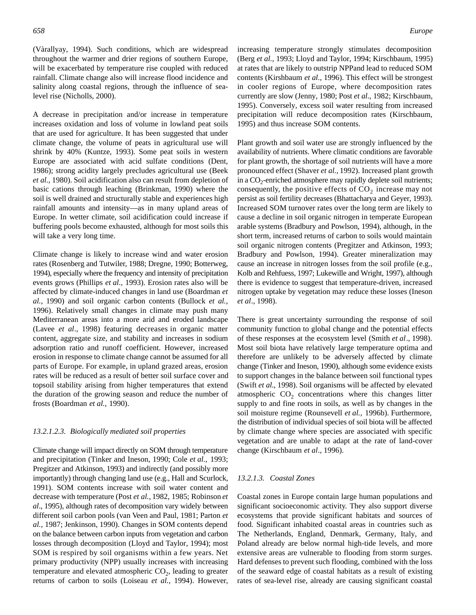(Vàrallyay, 1994). Such conditions, which are widespread throughout the warmer and drier regions of southern Europe, will be exacerbated by temperature rise coupled with reduced rainfall. Climate change also will increase flood incidence and salinity along coastal regions, through the influence of sealevel rise (Nicholls, 2000).

A decrease in precipitation and/or increase in temperature increases oxidation and loss of volume in lowland peat soils that are used for agriculture. It has been suggested that under climate change, the volume of peats in agricultural use will shrink by 40% (Kuntze, 1993). Some peat soils in western Europe are associated with acid sulfate conditions (Dent, 1986); strong acidity largely precludes agricultural use (Beek *et al.,* 1980). Soil acidification also can result from depletion of basic cations through leaching (Brinkman, 1990) where the soil is well drained and structurally stable and experiences high rainfall amounts and intensity—as in many upland areas of Europe. In wetter climate, soil acidification could increase if buffering pools become exhausted, although for most soils this will take a very long time.

Climate change is likely to increase wind and water erosion rates (Rosenberg and Tutwiler, 1988; Dregne, 1990; Botterweg, 1994), especially where the frequency and intensity of precipitation events grows (Phillips *et al.,* 1993). Erosion rates also will be affected by climate-induced changes in land use (Boardman *et al.,* 1990) and soil organic carbon contents (Bullock *et al.,* 1996). Relatively small changes in climate may push many Mediterranean areas into a more arid and eroded landscape (Lavee *et al*., 1998) featuring decreases in organic matter content, aggregate size, and stability and increases in sodium adsorption ratio and runoff coefficient. However, increased erosion in response to climate change cannot be assumed for all parts of Europe. For example, in upland grazed areas, erosion rates will be reduced as a result of better soil surface cover and topsoil stability arising from higher temperatures that extend the duration of the growing season and reduce the number of frosts (Boardman *et al.,* 1990).

#### *13.2.1.2.3. Biologically mediated soil properties*

Climate change will impact directly on SOM through temperature and precipitation (Tinker and Ineson, 1990; Cole *et al.,* 1993; Pregitzer and Atkinson, 1993) and indirectly (and possibly more importantly) through changing land use (e.g., Hall and Scurlock, 1991). SOM contents increase with soil water content and decrease with temperature (Post *et al.,* 1982, 1985; Robinson *et al.*, 1995), although rates of decomposition vary widely between different soil carbon pools (van Veen and Paul, 1981; Parton *et al.,* 1987; Jenkinson, 1990). Changes in SOM contents depend on the balance between carbon inputs from vegetation and carbon losses through decomposition (Lloyd and Taylor, 1994); most SOM is respired by soil organisms within a few years. Net primary productivity (NPP) usually increases with increasing temperature and elevated atmospheric  $CO<sub>2</sub>$ , leading to greater returns of carbon to soils (Loiseau *et al.,* 1994). However,

increasing temperature strongly stimulates decomposition (Berg *et al.,* 1993; Lloyd and Taylor, 1994; Kirschbaum, 1995) at rates that are likely to outstrip NPPand lead to reduced SOM contents (Kirshbaum *et al.,* 1996). This effect will be strongest in cooler regions of Europe, where decomposition rates currently are slow (Jenny, 1980; Post *et al.*, 1982; Kirschbaum, 1995). Conversely, excess soil water resulting from increased precipitation will reduce decomposition rates (Kirschbaum, 1995) and thus increase SOM contents.

Plant growth and soil water use are strongly influenced by the availability of nutrients. Where climatic conditions are favorable for plant growth, the shortage of soil nutrients will have a more pronounced effect (Shaver *et al.,* 1992). Increased plant growth in a CO<sub>2</sub>-enriched atmosphere may rapidly deplete soil nutrients; consequently, the positive effects of  $CO<sub>2</sub>$  increase may not persist as soil fertility decreases (Bhattacharya and Geyer, 1993). Increased SOM turnover rates over the long term are likely to cause a decline in soil organic nitrogen in temperate European arable systems (Bradbury and Powlson, 1994), although, in the short term, increased returns of carbon to soils would maintain soil organic nitrogen contents (Pregitzer and Atkinson, 1993; Bradbury and Powlson, 1994). Greater mineralization may cause an increase in nitrogen losses from the soil profile (e.g., Kolb and Rehfuess, 1997; Lukewille and Wright, 1997), although there is evidence to suggest that temperature-driven, increased nitrogen uptake by vegetation may reduce these losses (Ineson *et al*., 1998).

There is great uncertainty surrounding the response of soil community function to global change and the potential effects of these responses at the ecosystem level (Smith *et al*., 1998). Most soil biota have relatively large temperature optima and therefore are unlikely to be adversely affected by climate change (Tinker and Ineson, 1990), although some evidence exists to support changes in the balance between soil functional types (Swift *et al*., 1998). Soil organisms will be affected by elevated atmospheric  $CO<sub>2</sub>$  concentrations where this changes litter supply to and fine roots in soils, as well as by changes in the soil moisture regime (Rounsevell *et al.,* 1996b). Furthermore, the distribution of individual species of soil biota will be affected by climate change where species are associated with specific vegetation and are unable to adapt at the rate of land-cover change (Kirschbaum *et al*., 1996).

#### *13.2.1.3. Coastal Zones*

Coastal zones in Europe contain large human populations and significant socioeconomic activity. They also support diverse ecosystems that provide significant habitats and sources of food. Significant inhabited coastal areas in countries such as The Netherlands, England, Denmark, Germany, Italy, and Poland already are below normal high-tide levels, and more extensive areas are vulnerable to flooding from storm surges. Hard defenses to prevent such flooding, combined with the loss of the seaward edge of coastal habitats as a result of existing rates of sea-level rise, already are causing significant coastal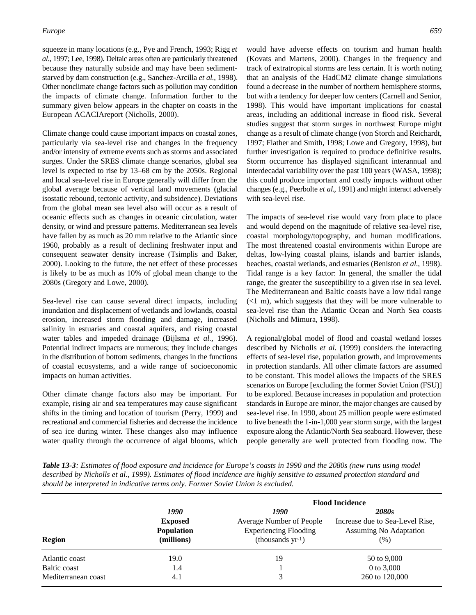squeeze in many locations (e.g., Pye and French, 1993; Rigg *et a l*., 1997; Lee, 1998). Deltaic areas often are particularly threatened because they naturally subside and may have been sedimentstarved by dam construction (e.g., Sanchez-Arcilla *et al*., 1998). Other nonclimate change factors such as pollution may condition the impacts of climate change. Information further to the summary given below appears in the chapter on coasts in the European ACACIAreport (Nicholls, 2000).

Climate change could cause important impacts on coastal zones, particularly via sea-level rise and changes in the frequency and/or intensity of extreme events such as storms and associated surges. Under the SRES climate change scenarios, global sea level is expected to rise by 13–68 cm by the 2050s. Regional and local sea-level rise in Europe generally will differ from the global average because of vertical land movements (glacial isostatic rebound, tectonic activity, and subsidence). Deviations from the global mean sea level also will occur as a result of oceanic effects such as changes in oceanic circulation, water density, or wind and pressure patterns. Mediterranean sea levels have fallen by as much as 20 mm relative to the Atlantic since 1960, probably as a result of declining freshwater input and consequent seawater density increase (Tsimplis and Baker, 2000). Looking to the future, the net effect of these processes is likely to be as much as 10% of global mean change to the 2080s (Gregory and Lowe, 2000).

Sea-level rise can cause several direct impacts, including inundation and displacement of wetlands and lowlands, coastal erosion, increased storm flooding and damage, increased salinity in estuaries and coastal aquifers, and rising coastal water tables and impeded drainage (Bijlsma *et al.,* 1996). Potential indirect impacts are numerous; they include changes in the distribution of bottom sediments, changes in the functions of coastal ecosystems, and a wide range of socioeconomic impacts on human activities.

Other climate change factors also may be important. For example, rising air and sea temperatures may cause significant shifts in the timing and location of tourism (Perry, 1999) and recreational and commercial fisheries and decrease the incidence of sea ice during winter. These changes also may influence water quality through the occurrence of algal blooms, which would have adverse effects on tourism and human health (Kovats and Martens, 2000). Changes in the frequency and track of extratropical storms are less certain. It is worth noting that an analysis of the HadCM2 climate change simulations found a decrease in the number of northern hemisphere storms, but with a tendency for deeper low centers (Carnell and Senior, 1998). This would have important implications for coastal areas, including an additional increase in flood risk. Several studies suggest that storm surges in northwest Europe might change as a result of climate change (von Storch and Reichardt, 1997; Flather and Smith, 1998; Lowe and Gregory, 1998), but further investigation is required to produce definitive results. Storm occurrence has displayed significant interannual and interdecadal variability over the past 100 years (WASA, 1998); this could produce important and costly impacts without other changes (e.g., Peerbolte *et al*., 1991) and might interact adversely with sea-level rise.

The impacts of sea-level rise would vary from place to place and would depend on the magnitude of relative sea-level rise, coastal morphology/topography, and human modifications. The most threatened coastal environments within Europe are deltas, low-lying coastal plains, islands and barrier islands, beaches, coastal wetlands, and estuaries (Beniston *et al*., 1998). Tidal range is a key factor: In general, the smaller the tidal range, the greater the susceptibility to a given rise in sea level. The Mediterranean and Baltic coasts have a low tidal range  $(<1$  m), which suggests that they will be more vulnerable to sea-level rise than the Atlantic Ocean and North Sea coasts (Nicholls and Mimura, 1998).

A regional/global model of flood and coastal wetland losses described by Nicholls *et al.* (1999) considers the interacting effects of sea-level rise, population growth, and improvements in protection standards. All other climate factors are assumed to be constant. This model allows the impacts of the SRES scenarios on Europe [excluding the former Soviet Union (FSU)] to be explored. Because increases in population and protection standards in Europe are minor, the major changes are caused by sea-level rise. In 1990, about 25 million people were estimated to live beneath the 1-in-1,000 year storm surge, with the largest exposure along the Atlantic/North Sea seaboard. However, these people generally are well protected from flooding now. The

*Table 13-3: Estimates of flood exposure and incidence for Europe's coasts in 1990 and the 2080s (new runs using model described by Nicholls et al., 1999). Estimates of flood incidence are highly sensitive to assumed protection standard and should be interpreted in indicative terms only. Former Soviet Union is excluded.*

|                     |                                                   |                                                                                    | <b>Flood Incidence</b>                                                     |  |  |  |
|---------------------|---------------------------------------------------|------------------------------------------------------------------------------------|----------------------------------------------------------------------------|--|--|--|
|                     | 1990                                              | 1990                                                                               | 2080s                                                                      |  |  |  |
| <b>Region</b>       | <b>Exposed</b><br><b>Population</b><br>(millions) | Average Number of People<br><b>Experiencing Flooding</b><br>(thousands $yr^{-1}$ ) | Increase due to Sea-Level Rise,<br><b>Assuming No Adaptation</b><br>$(\%)$ |  |  |  |
| Atlantic coast      | 19.0                                              | 19                                                                                 | 50 to 9,000                                                                |  |  |  |
| Baltic coast        | 1.4                                               |                                                                                    | 0 to $3,000$                                                               |  |  |  |
| Mediterranean coast | 4.1                                               | 3                                                                                  | 260 to 120,000                                                             |  |  |  |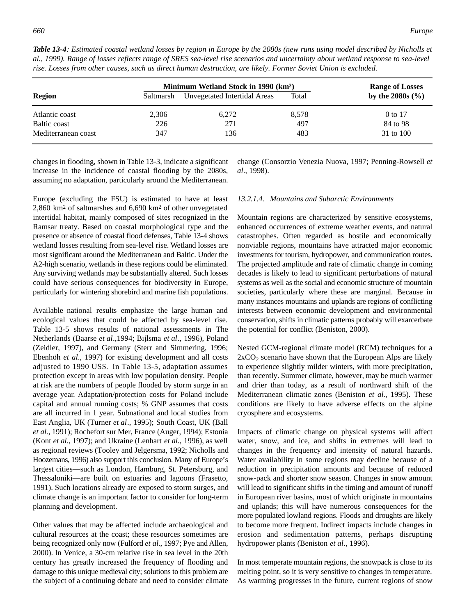|                     | Minimum Wetland Stock in 1990 (km <sup>2</sup> ) | <b>Range of Losses</b>       |       |                      |
|---------------------|--------------------------------------------------|------------------------------|-------|----------------------|
| <b>Region</b>       | Saltmarsh                                        | Unvegetated Intertidal Areas | Total | by the 2080s $(\% )$ |
| Atlantic coast      | 2,306                                            | 6,272                        | 8,578 | 0 to 17              |
| <b>Baltic coast</b> | 226                                              | 271                          | 497   | 84 to 98             |
| Mediterranean coast | 347                                              | 136                          | 483   | 31 to 100            |

*Table 13-4: Estimated coastal wetland losses by region in Europe by the 2080s (new runs using model described by Nicholls et al., 1999). Range of losses reflects range of SRES sea-level rise scenarios and uncertainty about wetland response to sea-level rise. Losses from other causes, such as direct human destruction, are likely. Former Soviet Union is excluded.*

changes in flooding, shown in Table 13-3, indicate a significant increase in the incidence of coastal flooding by the 2080s, assuming no adaptation, particularly around the Mediterranean.

Europe (excluding the FSU) is estimated to have at least 2,860 km<sup>2</sup> of saltmarshes and 6,690 km<sup>2</sup> of other unvegetated intertidal habitat, mainly composed of sites recognized in the Ramsar treaty. Based on coastal morphological type and the presence or absence of coastal flood defenses, Table 13-4 shows wetland losses resulting from sea-level rise. Wetland losses are most significant around the Mediterranean and Baltic. Under the A2-high scenario, wetlands in these regions could be eliminated. Any surviving wetlands may be substantially altered. Such losses could have serious consequences for biodiversity in Europe, particularly for wintering shorebird and marine fish populations.

Available national results emphasize the large human and ecological values that could be affected by sea-level rise. Table 13-5 shows results of national assessments in The Netherlands (Baarse *et al*.,1994; Bijlsma *et al*., 1996), Poland (Zeidler, 1997), and Germany (Sterr and Simmering, 1996; Ebenhöh *et al*., 1997) for existing development and all costs adjusted to 1990 US\$. In Table 13-5, adaptation assumes protection except in areas with low population density. People at risk are the numbers of people flooded by storm surge in an average year. Adaptation/protection costs for Poland include capital and annual running costs; % GNP assumes that costs are all incurred in 1 year. Subnational and local studies from East Anglia, UK (Turner *et al*., 1995); South Coast, UK (Ball *et al.,* 1991); Rochefort sur Mer, France (Auger, 1994); Estonia (Kont *et al*., 1997); and Ukraine (Lenhart *et al.,* 1996), as well as regional reviews (Tooley and Jelgersma, 1992; Nicholls and Hoozemans, 1996) also support this conclusion. Many of Europe's largest cities—such as London, Hamburg, St. Petersburg, and Thessaloniki—are built on estuaries and lagoons (Frasetto, 1991). Such locations already are exposed to storm surges, and climate change is an important factor to consider for long-term planning and development.

Other values that may be affected include archaeological and cultural resources at the coast; these resources sometimes are being recognized only now (Fulford et al., 1997; Pye and Allen, 2000). In Venice, a 30-cm relative rise in sea level in the 20th century has greatly increased the frequency of flooding and damage to this unique medieval city; solutions to this problem are the subject of a continuing debate and need to consider climate change (Consorzio Venezia Nuova, 1997; Penning-Rowsell *et al*., 1998).

#### *13.2.1.4. Mountains and Subarctic Environments*

Mountain regions are characterized by sensitive ecosystems, enhanced occurrences of extreme weather events, and natural catastrophes. Often regarded as hostile and economically nonviable regions, mountains have attracted major economic investments for tourism, hydropower, and communication routes. The projected amplitude and rate of climatic change in coming decades is likely to lead to significant perturbations of natural systems as well as the social and economic structure of mountain societies, particularly where these are marginal. Because in many instances mountains and uplands are regions of conflicting interests between economic development and environmental conservation, shifts in climatic patterns probably will exarcerbate the potential for conflict (Beniston, 2000).

Nested GCM-regional climate model (RCM) techniques for a  $2xCO_2$  scenario have shown that the European Alps are likely to experience slightly milder winters, with more precipitation, than recently. Summer climate, however, may be much warmer and drier than today, as a result of northward shift of the Mediterranean climatic zones (Beniston *et al*., 1995). These conditions are likely to have adverse effects on the alpine cryosphere and ecosystems.

Impacts of climatic change on physical systems will affect water, snow, and ice, and shifts in extremes will lead to changes in the frequency and intensity of natural hazards. Water availability in some regions may decline because of a reduction in precipitation amounts and because of reduced snow-pack and shorter snow season. Changes in snow amount will lead to significant shifts in the timing and amount of runoff in European river basins, most of which originate in mountains and uplands; this will have numerous consequences for the more populated lowland regions. Floods and droughts are likely to become more frequent. Indirect impacts include changes in erosion and sedimentation patterns, perhaps disrupting hydropower plants (Beniston *et al*., 1996).

In most temperate mountain regions, the snowpack is close to its melting point, so it is very sensitive to changes in temperature. As warming progresses in the future, current regions of snow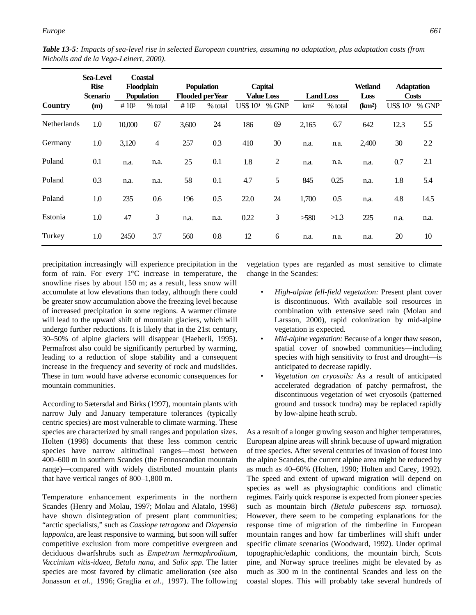| Table 13-5: Impacts of sea-level rise in selected European countries, assuming no adaptation, plus adaptation costs (from |  |  |  |
|---------------------------------------------------------------------------------------------------------------------------|--|--|--|
| Nicholls and de la Vega-Leinert, 2000).                                                                                   |  |  |  |

|                    | <b>Sea-Level</b><br><b>Rise</b><br><b>Scenario</b> | Floodplain | <b>Coastal</b><br><b>Population</b> |         | <b>Population</b><br><b>Flooded per Year</b> |                            | <b>Capital</b><br><b>Value Loss</b> |                 | <b>Land Loss</b> | Wetland<br>Loss    | <b>Adaptation</b><br><b>Costs</b> |       |
|--------------------|----------------------------------------------------|------------|-------------------------------------|---------|----------------------------------------------|----------------------------|-------------------------------------|-----------------|------------------|--------------------|-----------------------------------|-------|
| Country            | (m)                                                | # $103$    | % total                             | # $103$ | % total                                      | <b>US\$10</b> <sup>9</sup> | % GNP                               | km <sup>2</sup> | % total          | (km <sup>2</sup> ) | <b>US\$10</b> <sup>9</sup>        | % GNP |
| <b>Netherlands</b> | 1.0                                                | 10,000     | 67                                  | 3,600   | 24                                           | 186                        | 69                                  | 2,165           | 6.7              | 642                | 12.3                              | 5.5   |
| Germany            | 1.0                                                | 3,120      | $\overline{4}$                      | 257     | 0.3                                          | 410                        | 30                                  | n.a.            | n.a.             | 2,400              | 30                                | 2.2   |
| Poland             | 0.1                                                | n.a.       | n.a.                                | 25      | 0.1                                          | 1.8                        | 2                                   | n.a.            | n.a.             | n.a.               | 0.7                               | 2.1   |
| Poland             | 0.3                                                | n.a.       | n.a.                                | 58      | 0.1                                          | 4.7                        | 5                                   | 845             | 0.25             | n.a.               | 1.8                               | 5.4   |
| Poland             | 1.0                                                | 235        | 0.6                                 | 196     | 0.5                                          | 22.0                       | 24                                  | 1,700           | 0.5              | n.a.               | 4.8                               | 14.5  |
| Estonia            | 1.0                                                | 47         | 3                                   | n.a.    | n.a.                                         | 0.22                       | 3                                   | >580            | >1.3             | 225                | n.a.                              | n.a.  |
| Turkey             | 1.0                                                | 2450       | 3.7                                 | 560     | 0.8                                          | 12                         | 6                                   | n.a.            | n.a.             | n.a.               | 20                                | 10    |

precipitation increasingly will experience precipitation in the form of rain. For every 1°C increase in temperature, the snowline rises by about 150 m; as a result, less snow will accumulate at low elevations than today, although there could be greater snow accumulation above the freezing level because of increased precipitation in some regions. A warmer climate will lead to the upward shift of mountain glaciers, which will undergo further reductions. It is likely that in the 21st century, 30–50% of alpine glaciers will disappear (Haeberli, 1995). Permafrost also could be significantly perturbed by warming, leading to a reduction of slope stability and a consequent increase in the frequency and severity of rock and mudslides. These in turn would have adverse economic consequences for mountain communities.

According to Sætersdal and Birks (1997), mountain plants with narrow July and January temperature tolerances (typically centric species) are most vulnerable to climate warming. These species are characterized by small ranges and population sizes. Holten (1998) documents that these less common centric species have narrow altitudinal ranges—most between 400–600 m in southern Scandes (the Fennoscandian mountain range)—compared with widely distributed mountain plants that have vertical ranges of 800–1,800 m.

Temperature enhancement experiments in the northern Scandes (Henry and Molau, 1997; Molau and Alatalo, 1998) have shown disintegration of present plant communities; "arctic specialists," such as *Cassiope tetragona* and *Diapensia lapponica*, are least responsive to warming, but soon will suffer competitive exclusion from more competitive evergreen and deciduous dwarfshrubs such as *Empetrum hermaphroditum, Vaccinium vitis-idaea, Betula nana,* and *Salix spp*. The latter species are most favored by climatic amelioration (see also Jonasson *et al.,* 1996; Graglia *et al.,* 1997). The following

vegetation types are regarded as most sensitive to climate change in the Scandes:

- *High-alpine fell-field vegetation:* Present plant cover is discontinuous. With available soil resources in combination with extensive seed rain (Molau and Larsson, 2000), rapid colonization by mid-alpine vegetation is expected.
- *Mid-alpine vegetation:* Because of a longer thaw season, spatial cover of snowbed communities—including species with high sensitivity to frost and drought—is anticipated to decrease rapidly.
- *Vegetation on cryosoils:* As a result of anticipated accelerated degradation of patchy permafrost, the discontinuous vegetation of wet cryosoils (patterned ground and tussock tundra) may be replaced rapidly by low-alpine heath scrub.

As a result of a longer growing season and higher temperatures, European alpine areas will shrink because of upward migration of tree species. After several centuries of invasion of forest into the alpine Scandes, the current alpine area might be reduced by as much as 40–60% (Holten, 1990; Holten and Carey, 1992). The speed and extent of upward migration will depend on species as well as physiographic conditions and climatic regimes. Fairly quick response is expected from pioneer species such as mountain birch *(Betula pubescens ssp. tortuosa)*. However, there seem to be competing explanations for the response time of migration of the timberline in European mountain ranges and how far timberlines will shift under specific climate scenarios (Woodward, 1992). Under optimal topographic/edaphic conditions, the mountain birch, Scots pine, and Norway spruce treelines might be elevated by as much as 300 m in the continental Scandes and less on the coastal slopes. This will probably take several hundreds of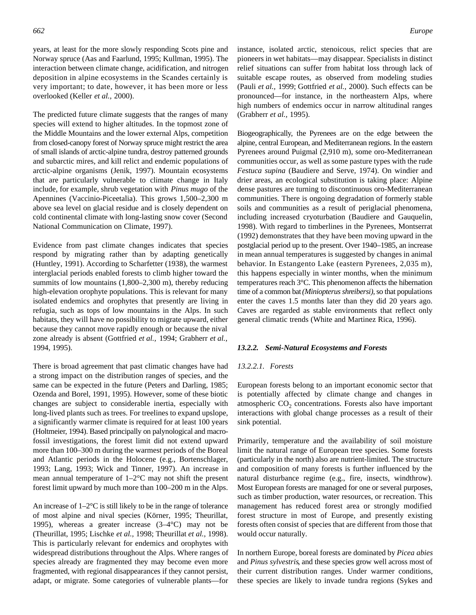years, at least for the more slowly responding Scots pine and Norway spruce (Aas and Faarlund, 1995; Kullman, 1995). The interaction between climate change, acidification, and nitrogen deposition in alpine ecosystems in the Scandes certainly is very important; to date, however, it has been more or less overlooked (Keller et al., 2000).

The predicted future climate suggests that the ranges of many species will extend to higher altitudes. In the topmost zone of the Middle Mountains and the lower external Alps, competition from closed-canopy forest of Norway spruce might restrict the area of small islands of arctic-alpine tundra, destroy patterned grounds and subarctic mires, and kill relict and endemic populations of arctic-alpine organisms (Jenik, 1997). Mountain ecosystems that are particularly vulnerable to climate change in Italy include, for example, shrub vegetation with *Pinus mugo* of the Apennines (Vaccinio-Piceetalia). This grows 1,500–2,300 m above sea level on glacial residue and is closely dependent on cold continental climate with long-lasting snow cover (Second National Communication on Climate, 1997).

Evidence from past climate changes indicates that species respond by migrating rather than by adapting genetically (Huntley, 1991). According to Scharfetter (1938), the warmest interglacial periods enabled forests to climb higher toward the summits of low mountains  $(1,800-2,300 \text{ m})$ , thereby reducing high-elevation orophyte populations. This is relevant for many isolated endemics and orophytes that presently are living in refugia, such as tops of low mountains in the Alps. In such habitats, they will have no possibility to migrate upward, either because they cannot move rapidly enough or because the nival zone already is absent (Gottfried *et al.,* 1994; Grabherr *et al.,* 1994, 1995).

There is broad agreement that past climatic changes have had a strong impact on the distribution ranges of species, and the same can be expected in the future (Peters and Darling, 1985; Ozenda and Borel, 1991, 1995). However, some of these biotic changes are subject to considerable inertia, especially with long-lived plants such as trees. For treelines to expand upslope, a significantly warmer climate is required for at least 100 years (Holtmeier, 1994). Based principally on palynological and macrofossil investigations, the forest limit did not extend upward more than 100–300 m during the warmest periods of the Boreal and Atlantic periods in the Holocene (e.g., Bortenschlager, 1993; Lang, 1993; Wick and Tinner, 1997). An increase in mean annual temperature of 1–2°C may not shift the present forest limit upward by much more than 100–200 m in the Alps.

An increase of 1–2°C is still likely to be in the range of tolerance of most alpine and nival species (Körner, 1995; Theurillat, 1995), whereas a greater increase  $(3-4^{\circ}C)$  may not be (Theurillat, 1995; Lischke *et al.,* 1998; Theurillat *et al.,* 1998). This is particularly relevant for endemics and orophytes with widespread distributions throughout the Alps. Where ranges of species already are fragmented they may become even more fragmented, with regional disappearances if they cannot persist, adapt, or migrate. Some categories of vulnerable plants—for instance, isolated arctic, stenoicous, relict species that are pioneers in wet habitats—may disappear. Specialists in distinct relief situations can suffer from habitat loss through lack of suitable escape routes, as observed from modeling studies (Pauli *et al.,* 1999; Gottfried *et al.,* 2000). Such effects can be pronounced—for instance, in the northeastern Alps, where high numbers of endemics occur in narrow altitudinal ranges (Grabherr *et al.,* 1995).

Biogeographically, the Pyrenees are on the edge between the alpine, central European, and Mediterranean regions. In the eastern Pyrenees around Puigmal (2,910 m), some oro-Mediterranean communities occur, as well as some pasture types with the rude *Festuca supina* (Baudiere and Serve, 1974). On windier and drier areas, an ecological substitution is taking place: Alpine dense pastures are turning to discontinuous oro-Mediterranean communities. There is ongoing degradation of formerly stable soils and communities as a result of periglacial phenomena, including increased cryoturbation (Baudiere and Gauquelin, 1998). With regard to timberlines in the Pyrenees, Montserrat (1992) demonstrates that they have been moving upward in the postglacial period up to the present. Over 1940–1985, an increase in mean annual temperatures is suggested by changes in animal behavior. In Estangento Lake (eastern Pyrenees, 2,035 m), this happens especially in winter months, when the minimum temperatures reach 3°C. This phenomenon affects the hibernation time of a common bat *(Miniopterus shreibersi)*, so that populations enter the caves 1.5 months later than they did 20 years ago. Caves are regarded as stable environments that reflect only general climatic trends (White and Martinez Rica, 1996).

#### *13.2.2. Semi-Natural Ecosystems and Forests*

#### *13.2.2.1. Forests*

European forests belong to an important economic sector that is potentially affected by climate change and changes in atmospheric  $CO<sub>2</sub>$  concentrations. Forests also have important interactions with global change processes as a result of their sink potential.

Primarily, temperature and the availability of soil moisture limit the natural range of European tree species. Some forests (particularly in the north) also are nutrient-limited. The structure and composition of many forests is further influenced by the natural disturbance regime (e.g., fire, insects, windthrow). Most European forests are managed for one or several purposes, such as timber production, water resources, or recreation. This management has reduced forest area or strongly modified forest structure in most of Europe, and presently existing forests often consist of species that are different from those that would occur naturally.

In northern Europe, boreal forests are dominated by *Picea abies* and *Pinus sylvestris*, and these species grow well across most of their current distribution ranges. Under warmer conditions, these species are likely to invade tundra regions (Sykes and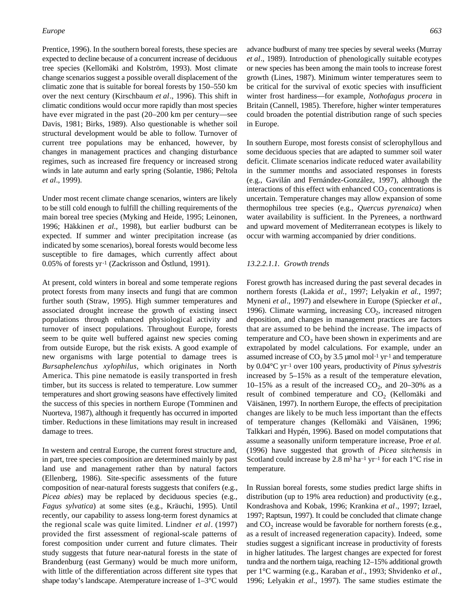#### *Europe 663*

Prentice, 1996). In the southern boreal forests, these species are expected to decline because of a concurrent increase of deciduous tree species (Kellomäki and Kolström, 1993). Most climate change scenarios suggest a possible overall displacement of the climatic zone that is suitable for boreal forests by 150–550 km over the next century (Kirschbaum *et al*., 1996). This shift in climatic conditions would occur more rapidly than most species have ever migrated in the past (20–200 km per century—see Davis, 1981; Birks, 1989). Also questionable is whether soil structural development would be able to follow. Turnover of current tree populations may be enhanced, however, by changes in management practices and changing disturbance regimes, such as increased fire frequency or increased strong winds in late autumn and early spring (Solantie, 1986; Peltola *et al*., 1999).

Under most recent climate change scenarios, winters are likely to be still cold enough to fulfill the chilling requirements of the main boreal tree species (Myking and Heide, 1995; Leinonen, 1996; Häkkinen *et al*., 1998), but earlier budburst can be expected. If summer and winter precipitation increase (as indicated by some scenarios), boreal forests would become less susceptible to fire damages, which currently affect about 0.05% of forests yr-1 (Zackrisson and Östlund, 1991).

At present, cold winters in boreal and some temperate regions protect forests from many insects and fungi that are common further south (Straw, 1995). High summer temperatures and associated drought increase the growth of existing insect populations through enhanced physiological activity and turnover of insect populations. Throughout Europe, forests seem to be quite well buffered against new species coming from outside Europe, but the risk exists. A good example of new organisms with large potential to damage trees is *Bursaphelenchus xylophilus,* which originates in North America. This pine nematode is easily transported in fresh timber, but its success is related to temperature. Low summer temperatures and short growing seasons have effectively limited the success of this species in northern Europe (Tomminen and Nuorteva, 1987), although it frequently has occurred in imported timber. Reductions in these limitations may result in increased damage to trees.

In western and central Europe, the current forest structure and, in part, tree species composition are determined mainly by past land use and management rather than by natural factors (Ellenberg, 1986). Site-specific assessments of the future composition of near-natural forests suggests that conifers (e.g., *Picea abies*) may be replaced by deciduous species (e.g., *Fagus sylvatica*) at some sites (e.g., Kräuchi, 1995). Until recently, our capability to assess long-term forest dynamics at the regional scale was quite limited. Lindner *et al*. (1997) provided the first assessment of regional-scale patterns of forest composition under current and future climates. Their study suggests that future near-natural forests in the state of Brandenburg (east Germany) would be much more uniform, with little of the differentiation across different site types that shape today's landscape. Atemperature increase of 1–3°C would

advance budburst of many tree species by several weeks (Murray *et al*., 1989). Introduction of phenologically suitable ecotypes or new species has been among the main tools to increase forest growth (Lines, 1987). Minimum winter temperatures seem to be critical for the survival of exotic species with insufficient winter frost hardiness—for example, *Nothofagus procera* in Britain (Cannell, 1985). Therefore, higher winter temperatures could broaden the potential distribution range of such species in Europe.

In southern Europe, most forests consist of sclerophyllous and some deciduous species that are adapted to summer soil water deficit. Climate scenarios indicate reduced water availability in the summer months and associated responses in forests (e.g., Gavilán and Fernández-González, 1997), although the interactions of this effect with enhanced  $CO_2$  concentrations is uncertain. Temperature changes may allow expansion of some thermophilous tree species (e.g., *Quercus pyrenaica)* when water availability is sufficient. In the Pyrenees, a northward and upward movement of Mediterranean ecotypes is likely to occur with warming accompanied by drier conditions.

#### *13.2.2.1.1. Growth trends*

Forest growth has increased during the past several decades in northern forests (Lakida *et al.,* 1997; Lelyakin *et al.,* 1997; Myneni *et al*., 1997) and elsewhere in Europe (Spiecker *et al*., 1996). Climate warming, increasing  $CO<sub>2</sub>$ , increased nitrogen deposition, and changes in management practices are factors that are assumed to be behind the increase. The impacts of temperature and  $CO<sub>2</sub>$  have been shown in experiments and are extrapolated by model calculations. For example, under an assumed increase of  $CO_2$  by 3.5 µmol mol<sup>-1</sup> yr<sup>-1</sup> and temperature by 0.04°C yr-1 over 100 years, productivity of *Pinus sylvestris* increased by 5–15% as a result of the temperature elevation, 10–15% as a result of the increased  $CO_2$ , and 20–30% as a result of combined temperature and  $CO<sub>2</sub>$  (Kellomäki and Väisänen, 1997). In northern Europe, the effects of precipitation changes are likely to be much less important than the effects of temperature changes (Kellomäki and Väisänen, 1996; Talkkari and Hypén, 1996). Based on model computations that assume a seasonally uniform temperature increase, Proe *et al.* (1996) have suggested that growth of *Picea sitchensis* in Scotland could increase by 2.8 m<sup>3</sup> ha<sup>-1</sup> yr<sup>-1</sup> for each 1<sup>o</sup>C rise in temperature.

In Russian boreal forests, some studies predict large shifts in distribution (up to 19% area reduction) and productivity (e.g., Kondrashova and Kobak, 1996; Krankina *et al*., 1997; Izrael, 1997; Raptsun, 1997). It could be concluded that climate change and  $CO_2$  increase would be favorable for northern forests (e.g., as a result of increased regeneration capacity). Indeed, some studies suggest a significant increase in productivity of forests in higher latitudes. The largest changes are expected for forest tundra and the northern taiga, reaching 12–15% additional growth per 1°C warming (e.g., Karaban *et al*., 1993; Shvidenko *et al*., 1996; Lelyakin *et al*., 1997). The same studies estimate the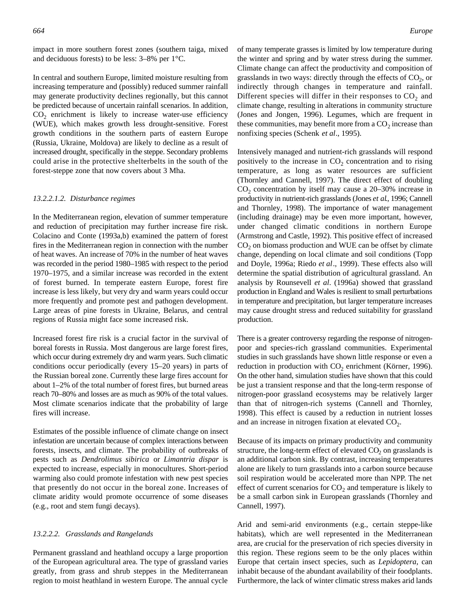impact in more southern forest zones (southern taiga, mixed and deciduous forests) to be less: 3–8% per 1°C.

In central and southern Europe, limited moisture resulting from increasing temperature and (possibly) reduced summer rainfall may generate productivity declines regionally, but this cannot be predicted because of uncertain rainfall scenarios. In addition,  $CO<sub>2</sub>$  enrichment is likely to increase water-use efficiency (WUE), which makes growth less drought-sensitive. Forest growth conditions in the southern parts of eastern Europe (Russia, Ukraine, Moldova) are likely to decline as a result of increased drought, specifically in the steppe. Secondary problems could arise in the protective shelterbelts in the south of the forest-steppe zone that now covers about 3 Mha.

#### *13.2.2.1.2. Disturbance regimes*

In the Mediterranean region, elevation of summer temperature and reduction of precipitation may further increase fire risk. Colacino and Conte (1993a,b) examined the pattern of forest fires in the Mediterranean region in connection with the number of heat waves. An increase of 70% in the number of heat waves was recorded in the period 1980–1985 with respect to the period 1970–1975, and a similar increase was recorded in the extent of forest burned. In temperate eastern Europe, forest fire increase is less likely, but very dry and warm years could occur more frequently and promote pest and pathogen development. Large areas of pine forests in Ukraine, Belarus, and central regions of Russia might face some increased risk.

Increased forest fire risk is a crucial factor in the survival of boreal forests in Russia. Most dangerous are large forest fires, which occur during extremely dry and warm years. Such climatic conditions occur periodically (every 15–20 years) in parts of the Russian boreal zone. Currently these large fires account for about 1–2% of the total number of forest fires, but burned areas reach 70–80% and losses are as much as 90% of the total values. Most climate scenarios indicate that the probability of large fires will increase.

Estimates of the possible influence of climate change on insect infestation are uncertain because of complex interactions between forests, insects, and climate. The probability of outbreaks of pests such as *Dendrolimus sibirica* or *Limantria dispar* is expected to increase, especially in monocultures. Short-period warming also could promote infestation with new pest species that presently do not occur in the boreal zone. Increases of climate aridity would promote occurrence of some diseases (e.g., root and stem fungi decays).

#### *13.2.2.2. Grasslands and Rangelands*

Permanent grassland and heathland occupy a large proportion of the European agricultural area. The type of grassland varies greatly, from grass and shrub steppes in the Mediterranean region to moist heathland in western Europe. The annual cycle of many temperate grasses is limited by low temperature during the winter and spring and by water stress during the summer. Climate change can affect the productivity and composition of grasslands in two ways: directly through the effects of  $CO<sub>2</sub>$ , or indirectly through changes in temperature and rainfall. Different species will differ in their responses to  $CO_2$  and climate change, resulting in alterations in community structure (Jones and Jongen, 1996). Legumes, which are frequent in these communities, may benefit more from a  $\mathrm{CO}_2$  increase than nonfixing species (Schenk *et al*., 1995).

Intensively managed and nutrient-rich grasslands will respond positively to the increase in  $CO<sub>2</sub>$  concentration and to rising temperature, as long as water resources are sufficient (Thornley and Cannell, 1997). The direct effect of doubling  $CO<sub>2</sub>$  concentration by itself may cause a 20–30% increase in productivity in nutrient-rich grasslands (Jones *et al*., 1996; Cannell and Thornley, 1998). The importance of water management (including drainage) may be even more important, however, under changed climatic conditions in northern Europe (Armstrong and Castle, 1992). This positive effect of increased  $CO<sub>2</sub>$  on biomass production and WUE can be offset by climate change, depending on local climate and soil conditions (Topp and Doyle, 1996a; Riedo *et al*., 1999). These effects also will determine the spatial distribution of agricultural grassland. An analysis by Rounsevell *et al*. (1996a) showed that grassland production in England and Wales is resilient to small perturbations in temperature and precipitation, but larger temperature increases may cause drought stress and reduced suitability for grassland production.

There is a greater controversy regarding the response of nitrogenpoor and species-rich grassland communities. Experimental studies in such grasslands have shown little response or even a reduction in production with  $CO<sub>2</sub>$  enrichment (Körner, 1996). On the other hand, simulation studies have shown that this could be just a transient response and that the long-term response of nitrogen-poor grassland ecosystems may be relatively larger than that of nitrogen-rich systems (Cannell and Thornley, 1998). This effect is caused by a reduction in nutrient losses and an increase in nitrogen fixation at elevated  $CO<sub>2</sub>$ .

Because of its impacts on primary productivity and community structure, the long-term effect of elevated  $CO<sub>2</sub>$  on grasslands is an additional carbon sink. By contrast, increasing temperatures alone are likely to turn grasslands into a carbon source because soil respiration would be accelerated more than NPP. The net effect of current scenarios for  $CO<sub>2</sub>$  and temperature is likely to be a small carbon sink in European grasslands (Thornley and Cannell, 1997).

Arid and semi-arid environments (e.g., certain steppe-like habitats), which are well represented in the Mediterranean area, are crucial for the preservation of rich species diversity in this region. These regions seem to be the only places within Europe that certain insect species, such as *Lepidoptera*, can inhabit because of the abundant availability of their foodplants. Furthermore, the lack of winter climatic stress makes arid lands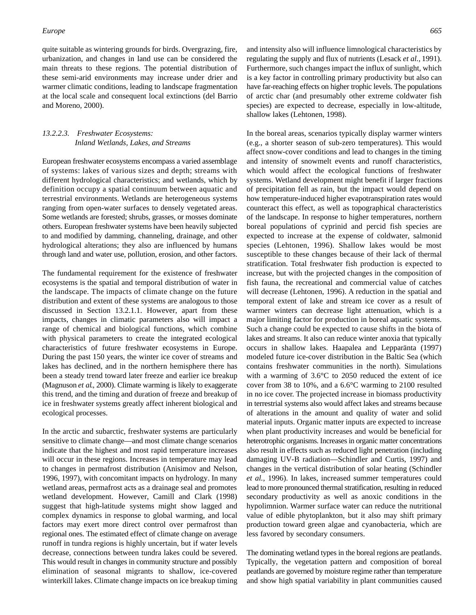#### *Europe 665*

quite suitable as wintering grounds for birds. Overgrazing, fire, urbanization, and changes in land use can be considered the main threats to these regions. The potential distribution of these semi-arid environments may increase under drier and warmer climatic conditions, leading to landscape fragmentation at the local scale and consequent local extinctions (del Barrio and Moreno, 2000).

#### *13.2.2.3. Freshwater Ecosystems: Inland Wetlands, Lakes, and Streams*

European freshwater ecosystems encompass a varied assemblage of systems: lakes of various sizes and depth; streams with different hydrological characteristics; and wetlands, which by definition occupy a spatial continuum between aquatic and terrestrial environments. Wetlands are heterogeneous systems ranging from open-water surfaces to densely vegetated areas. Some wetlands are forested; shrubs, grasses, or mosses dominate others. European freshwater systems have been heavily subjected to and modified by damming, channeling, drainage, and other hydrological alterations; they also are influenced by humans through land and water use, pollution, erosion, and other factors.

The fundamental requirement for the existence of freshwater ecosystems is the spatial and temporal distribution of water in the landscape. The impacts of climate change on the future distribution and extent of these systems are analogous to those discussed in Section 13.2.1.1. However, apart from these impacts, changes in climatic parameters also will impact a range of chemical and biological functions, which combine with physical parameters to create the integrated ecological characteristics of future freshwater ecosystems in Europe. During the past 150 years, the winter ice cover of streams and lakes has declined, and in the northern hemisphere there has been a steady trend toward later freeze and earlier ice breakup (Magnuson *et al*., 2000). Climate warming is likely to exaggerate this trend, and the timing and duration of freeze and breakup of ice in freshwater systems greatly affect inherent biological and ecological processes.

In the arctic and subarctic, freshwater systems are particularly sensitive to climate change—and most climate change scenarios indicate that the highest and most rapid temperature increases will occur in these regions. Increases in temperature may lead to changes in permafrost distribution (Anisimov and Nelson, 1996, 1997), with concomitant impacts on hydrology. In many wetland areas, permafrost acts as a drainage seal and promotes wetland development. However, Camill and Clark (1998) suggest that high-latitude systems might show lagged and complex dynamics in response to global warming, and local factors may exert more direct control over permafrost than regional ones. The estimated effect of climate change on average runoff in tundra regions is highly uncertain, but if water levels decrease, connections between tundra lakes could be severed. This would result in changes in community structure and possibly elimination of seasonal migrants to shallow, ice-covered winterkill lakes. Climate change impacts on ice breakup timing

and intensity also will influence limnological characteristics by regulating the supply and flux of nutrients (Lesack *et al.*, 1991). Furthermore, such changes impact the influx of sunlight, which is a key factor in controlling primary productivity but also can have far-reaching effects on higher trophic levels. The populations of arctic char (and presumably other extreme coldwater fish species) are expected to decrease, especially in low-altitude, shallow lakes (Lehtonen, 1998).

In the boreal areas, scenarios typically display warmer winters (e.g., a shorter season of sub-zero temperatures). This would affect snow-cover conditions and lead to changes in the timing and intensity of snowmelt events and runoff characteristics, which would affect the ecological functions of freshwater systems. Wetland development might benefit if larger fractions of precipitation fell as rain, but the impact would depend on how temperature-induced higher evapotranspiration rates would counteract this effect, as well as topographical characteristics of the landscape. In response to higher temperatures, northern boreal populations of cyprinid and percid fish species are expected to increase at the expense of coldwater, salmonid species (Lehtonen, 1996). Shallow lakes would be most susceptible to these changes because of their lack of thermal stratification. Total freshwater fish production is expected to increase, but with the projected changes in the composition of fish fauna, the recreational and commercial value of catches will decrease (Lehtonen, 1996). A reduction in the spatial and temporal extent of lake and stream ice cover as a result of warmer winters can decrease light attenuation, which is a major limiting factor for production in boreal aquatic systems. Such a change could be expected to cause shifts in the biota of lakes and streams. It also can reduce winter anoxia that typically occurs in shallow lakes. Haapalea and Lepparänta (1997) modeled future ice-cover distribution in the Baltic Sea (which contains freshwater communities in the north). Simulations with a warming of 3.6°C to 2050 reduced the extent of ice cover from 38 to 10%, and a 6.6°C warming to 2100 resulted in no ice cover. The projected increase in biomass productivity in terrestrial systems also would affect lakes and streams because of alterations in the amount and quality of water and solid material inputs. Organic matter inputs are expected to increase when plant productivity increases and would be beneficial for heterotrophic organisms. Increases in organic matter concentrations also result in effects such as reduced light penetration (including damaging UV-B radiation—Schindler and Curtis, 1997) and changes in the vertical distribution of solar heating (Schindler *et al.,* 1996). In lakes, increased summer temperatures could lead to more pronounced thermal stratification, resulting in reduced secondary productivity as well as anoxic conditions in the hypolimnion. Warmer surface water can reduce the nutritional value of edible phytoplankton, but it also may shift primary production toward green algae and cyanobacteria, which are less favored by secondary consumers.

The dominating wetland types in the boreal regions are peatlands. Typically, the vegetation pattern and composition of boreal peatlands are governed by moisture regime rather than temperature and show high spatial variability in plant communities caused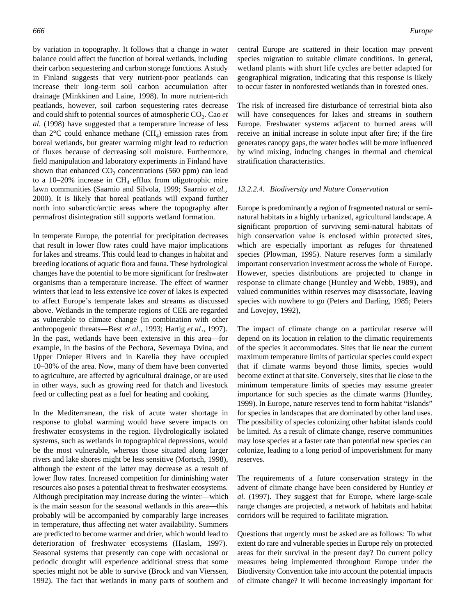by variation in topography. It follows that a change in water balance could affect the function of boreal wetlands, including their carbon sequestering and carbon storage functions. A study in Finland suggests that very nutrient-poor peatlands can increase their long-term soil carbon accumulation after drainage (Minkkinen and Laine, 1998). In more nutrient-rich peatlands, however, soil carbon sequestering rates decrease and could shift to potential sources of atmospheric CO<sub>2</sub>. Cao et *al.* (1998) have suggested that a temperature increase of less than  $2^{\circ}$ C could enhance methane (CH<sub>4</sub>) emission rates from boreal wetlands, but greater warming might lead to reduction of fluxes because of decreasing soil moisture. Furthermore, field manipulation and laboratory experiments in Finland have shown that enhanced  $CO_2$  concentrations (560 ppm) can lead to a  $10-20\%$  increase in CH<sub>4</sub> efflux from oligotrophic mire lawn communities (Saarnio and Silvola, 1999; Saarnio *et al.,* 2000). It is likely that boreal peatlands will expand further north into subarctic/arctic areas where the topography after permafrost disintegration still supports wetland formation.

In temperate Europe, the potential for precipitation decreases that result in lower flow rates could have major implications for lakes and streams. This could lead to changes in habitat and breeding locations of aquatic flora and fauna. These hydrological changes have the potential to be more significant for freshwater organisms than a temperature increase. The effect of warmer winters that lead to less extensive ice cover of lakes is expected to affect Europe's temperate lakes and streams as discussed above. Wetlands in the temperate regions of CEE are regarded as vulnerable to climate change (in combination with other anthropogenic threats—Best *et al*., 1993; Hartig *et al*., 1997). In the past, wetlands have been extensive in this area—for example, in the basins of the Pechora, Severnaya Dvina, and Upper Dnieper Rivers and in Karelia they have occupied 10–30% of the area. Now, many of them have been converted to agriculture, are affected by agricultural drainage, or are used in other ways, such as growing reed for thatch and livestock feed or collecting peat as a fuel for heating and cooking.

In the Mediterranean*,* the risk of acute water shortage in response to global warming would have severe impacts on freshwater ecosystems in the region. Hydrologically isolated systems, such as wetlands in topographical depressions, would be the most vulnerable, whereas those situated along larger rivers and lake shores might be less sensitive (Mortsch, 1998), although the extent of the latter may decrease as a result of lower flow rates. Increased competition for diminishing water resources also poses a potential threat to freshwater ecosystems. Although precipitation may increase during the winter—which is the main season for the seasonal wetlands in this area—this probably will be accompanied by comparably large increases in temperature, thus affecting net water availability. Summers are predicted to become warmer and drier, which would lead to deterioration of freshwater ecosystems (Haslam, 1997). Seasonal systems that presently can cope with occasional or periodic drought will experience additional stress that some species might not be able to survive (Brock and van Vierssen, 1992). The fact that wetlands in many parts of southern and central Europe are scattered in their location may prevent species migration to suitable climate conditions. In general, wetland plants with short life cycles are better adapted for geographical migration, indicating that this response is likely to occur faster in nonforested wetlands than in forested ones.

The risk of increased fire disturbance of terrestrial biota also will have consequences for lakes and streams in southern Europe. Freshwater systems adjacent to burned areas will receive an initial increase in solute input after fire; if the fire generates canopy gaps, the water bodies will be more influenced by wind mixing, inducing changes in thermal and chemical stratification characteristics.

#### *13.2.2.4. Biodiversity and Nature Conservation*

Europe is predominantly a region of fragmented natural or seminatural habitats in a highly urbanized, agricultural landscape. A significant proportion of surviving semi-natural habitats of high conservation value is enclosed within protected sites, which are especially important as refuges for threatened species (Plowman, 1995). Nature reserves form a similarly important conservation investment across the whole of Europe. However, species distributions are projected to change in response to climate change (Huntley and Webb, 1989), and valued communities within reserves may disassociate, leaving species with nowhere to go (Peters and Darling, 1985; Peters and Lovejoy, 1992),

The impact of climate change on a particular reserve will depend on its location in relation to the climatic requirements of the species it accommodates. Sites that lie near the current maximum temperature limits of particular species could expect that if climate warms beyond those limits, species would become extinct at that site. Conversely, sites that lie close to the minimum temperature limits of species may assume greater importance for such species as the climate warms (Huntley, 1999). In Europe, nature reserves tend to form habitat "islands" for species in landscapes that are dominated by other land uses. The possibility of species colonizing other habitat islands could be limited. As a result of climate change, reserve communities may lose species at a faster rate than potential new species can colonize, leading to a long period of impoverishment for many reserves.

The requirements of a future conservation strategy in the advent of climate change have been considered by Huntley *et al.* (1997). They suggest that for Europe, where large-scale range changes are projected, a network of habitats and habitat corridors will be required to facilitate migration.

Questions that urgently must be asked are as follows: To what extent do rare and vulnerable species in Europe rely on protected areas for their survival in the present day? Do current policy measures being implemented throughout Europe under the Biodiversity Convention take into account the potential impacts of climate change? It will become increasingly important for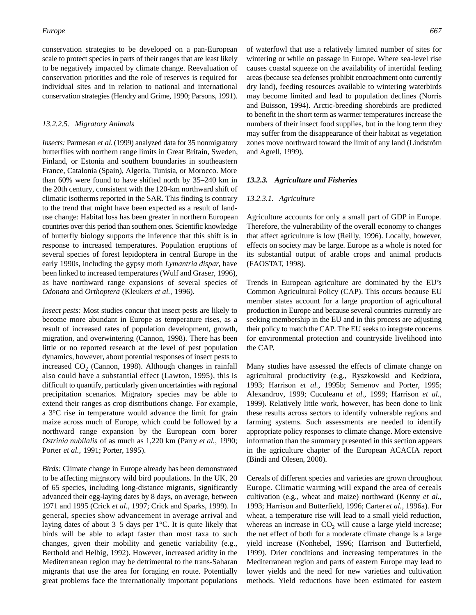conservation strategies to be developed on a pan-European scale to protect species in parts of their ranges that are least likely to be negatively impacted by climate change. Reevaluation of conservation priorities and the role of reserves is required for individual sites and in relation to national and international conservation strategies (Hendry and Grime, 1990; Parsons, 1991).

#### *13.2.2.5. Migratory Animals*

*Insects:* Parmesan *et al.*(1999) analyzed data for 35 nonmigratory butterflies with northern range limits in Great Britain, Sweden, Finland, or Estonia and southern boundaries in southeastern France, Catalonia (Spain), Algeria, Tunisia, or Morocco. More than 60% were found to have shifted north by 35–240 km in the 20th century, consistent with the 120-km northward shift of climatic isotherms reported in the SAR. This finding is contrary to the trend that might have been expected as a result of landuse change: Habitat loss has been greater in northern European countries over this period than southern ones. Scientific knowledge of butterfly biology supports the inference that this shift is in response to increased temperatures. Population eruptions of several species of forest lepidoptera in central Europe in the early 1990s, including the gypsy moth *Lymantria dispar,* have been linked to increased temperatures (Wulf and Graser, 1996), as have northward range expansions of several species of *Odonata* and *Orthoptera* (Kleukers *et al.,* 1996).

*Insect pests:* Most studies concur that insect pests are likely to become more abundant in Europe as temperature rises, as a result of increased rates of population development, growth, migration, and overwintering (Cannon, 1998). There has been little or no reported research at the level of pest population dynamics, however, about potential responses of insect pests to increased  $CO<sub>2</sub>$  (Cannon, 1998). Although changes in rainfall also could have a substantial effect (Lawton, 1995), this is difficult to quantify, particularly given uncertainties with regional precipitation scenarios. Migratory species may be able to extend their ranges as crop distributions change. For example, a 3°C rise in temperature would advance the limit for grain maize across much of Europe, which could be followed by a northward range expansion by the European corn borer *Ostrinia nubilalis* of as much as 1,220 km (Parry *et al.,* 1990; Porter *et al.,* 1991; Porter, 1995).

*Birds:* Climate change in Europe already has been demonstrated to be affecting migratory wild bird populations. In the UK, 20 of 65 species, including long-distance migrants, significantly advanced their egg-laying dates by 8 days, on average, between 1971 and 1995 (Crick *et al.,* 1997; Crick and Sparks, 1999). In general, species show advancement in average arrival and laying dates of about 3–5 days per  $1^{\circ}$ C. It is quite likely that birds will be able to adapt faster than most taxa to such changes, given their mobility and genetic variability (e.g., Berthold and Helbig, 1992). However, increased aridity in the Mediterranean region may be detrimental to the trans-Saharan migrants that use the area for foraging en route. Potentially great problems face the internationally important populations of waterfowl that use a relatively limited number of sites for wintering or while on passage in Europe. Where sea-level rise causes coastal squeeze on the availability of intertidal feeding areas (because sea defenses prohibit encroachment onto currently dry land), feeding resources available to wintering waterbirds may become limited and lead to population declines (Norris and Buisson, 1994). Arctic-breeding shorebirds are predicted to benefit in the short term as warmer temperatures increase the numbers of their insect food supplies, but in the long term they may suffer from the disappearance of their habitat as vegetation zones move northward toward the limit of any land (Lindström and Agrell, 1999).

#### *13.2.3. Agriculture and Fisheries*

#### *13.2.3.1. Agriculture*

Agriculture accounts for only a small part of GDP in Europe. Therefore, the vulnerability of the overall economy to changes that affect agriculture is low (Reilly, 1996). Locally, however, effects on society may be large. Europe as a whole is noted for its substantial output of arable crops and animal products (FAOSTAT, 1998).

Trends in European agriculture are dominated by the EU's Common Agricultural Policy (CAP). This occurs because EU member states account for a large proportion of agricultural production in Europe and because several countries currently are seeking membership in the EU and in this process are adjusting their policy to match the CAP. The EU seeks to integrate concerns for environmental protection and countryside livelihood into the CAP.

Many studies have assessed the effects of climate change on agricultural productivity (e.g., Ryszkowski and Kedziora, 1993; Harrison *et al.*, 1995b; Semenov and Porter, 1995; Alexandrov, 1999; Cuculeanu *et al*., 1999; Harrison *et al.*, 1999). Relatively little work, however, has been done to link these results across sectors to identify vulnerable regions and farming systems. Such assessments are needed to identify appropriate policy responses to climate change. More extensive information than the summary presented in this section appears in the agriculture chapter of the European ACACIA report (Bindi and Olesen, 2000).

Cereals of different species and varieties are grown throughout Europe. Climatic warming will expand the area of cereals cultivation (e.g., wheat and maize) northward (Kenny *et al.*, 1993; Harrison and Butterfield, 1996; Carter *et al.*, 1996a). For wheat, a temperature rise will lead to a small yield reduction, whereas an increase in  $CO<sub>2</sub>$  will cause a large yield increase; the net effect of both for a moderate climate change is a large yield increase (Nonhebel, 1996; Harrison and Butterfield, 1999). Drier conditions and increasing temperatures in the Mediterranean region and parts of eastern Europe may lead to lower yields and the need for new varieties and cultivation methods. Yield reductions have been estimated for eastern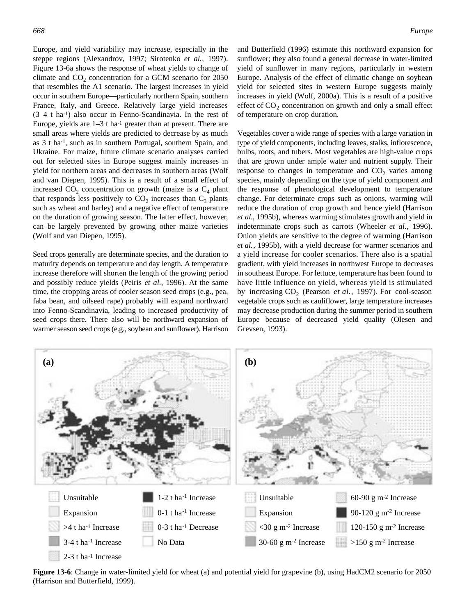Europe, and yield variability may increase, especially in the steppe regions (Alexandrov, 1997; Sirotenko *et al.*, 1997). Figure 13-6a shows the response of wheat yields to change of climate and  $CO<sub>2</sub>$  concentration for a GCM scenario for 2050 that resembles the A1 scenario. The largest increases in yield occur in southern Europe—particularly northern Spain, southern France, Italy, and Greece. Relatively large yield increases (3–4 t ha-1) also occur in Fenno-Scandinavia. In the rest of Europe, yields are 1–3 t ha-1 greater than at present. There are small areas where yields are predicted to decrease by as much as 3 t ha-1, such as in southern Portugal, southern Spain, and Ukraine. For maize, future climate scenario analyses carried out for selected sites in Europe suggest mainly increases in yield for northern areas and decreases in southern areas (Wolf and van Diepen, 1995). This is a result of a small effect of increased  $CO_2$  concentration on growth (maize is a  $C_4$  plant that responds less positively to  $CO<sub>2</sub>$  increases than  $C<sub>3</sub>$  plants such as wheat and barley) and a negative effect of temperature on the duration of growing season. The latter effect, however, can be largely prevented by growing other maize varieties (Wolf and van Diepen, 1995).

Seed crops generally are determinate species, and the duration to maturity depends on temperature and day length. A temperature increase therefore will shorten the length of the growing period and possibly reduce yields (Peiris *et al.*, 1996). At the same time, the cropping areas of cooler season seed crops (e.g., pea, faba bean, and oilseed rape) probably will expand northward into Fenno-Scandinavia, leading to increased productivity of seed crops there. There also will be northward expansion of warmer season seed crops (e.g., soybean and sunflower). Harrison and Butterfield (1996) estimate this northward expansion for sunflower; they also found a general decrease in water-limited yield of sunflower in many regions, particularly in western Europe. Analysis of the effect of climatic change on soybean yield for selected sites in western Europe suggests mainly increases in yield (Wolf, 2000a). This is a result of a positive effect of  $CO_2$  concentration on growth and only a small effect of temperature on crop duration.

Vegetables cover a wide range of species with a large variation in type of yield components, including leaves, stalks, inflorescence, bulbs, roots, and tubers. Most vegetables are high-value crops that are grown under ample water and nutrient supply. Their response to changes in temperature and  $CO<sub>2</sub>$  varies among species, mainly depending on the type of yield component and the response of phenological development to temperature change. For determinate crops such as onions, warming will reduce the duration of crop growth and hence yield (Harrison *et al.*, 1995b), whereas warming stimulates growth and yield in indeterminate crops such as carrots (Wheeler *et al.*, 1996). Onion yields are sensitive to the degree of warming (Harrison *et al.*, 1995b), with a yield decrease for warmer scenarios and a yield increase for cooler scenarios. There also is a spatial gradient, with yield increases in northwest Europe to decreases in southeast Europe. For lettuce, temperature has been found to have little influence on yield, whereas yield is stimulated by increasing CO<sub>2</sub> (Pearson *et al.*, 1997). For cool-season vegetable crops such as cauliflower, large temperature increases may decrease production during the summer period in southern Europe because of decreased yield quality (Olesen and Grevsen, 1993).



**Figure 13-6**: Change in water-limited yield for wheat (a) and potential yield for grapevine (b), using HadCM2 scenario for 2050 (Harrison and Butterfield, 1999).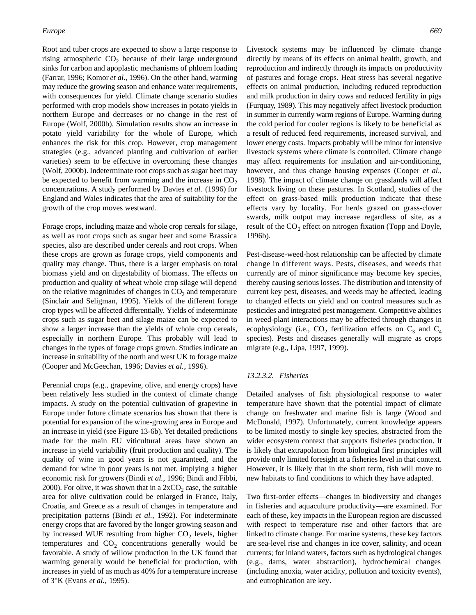Root and tuber crops are expected to show a large response to rising atmospheric  $CO<sub>2</sub>$  because of their large underground sinks for carbon and apoplastic mechanisms of phloem loading (Farrar, 1996; Komor *et al.*, 1996). On the other hand, warming may reduce the growing season and enhance water requirements, with consequences for yield. Climate change scenario studies performed with crop models show increases in potato yields in northern Europe and decreases or no change in the rest of Europe (Wolf, 2000b). Simulation results show an increase in potato yield variability for the whole of Europe, which enhances the risk for this crop. However, crop management strategies (e.g., advanced planting and cultivation of earlier varieties) seem to be effective in overcoming these changes (Wolf, 2000b). Indeterminate root crops such as sugar beet may be expected to benefit from warming and the increase in  $CO<sub>2</sub>$ concentrations. A study performed by Davies *et al.* (1996) for England and Wales indicates that the area of suitability for the growth of the crop moves westward.

Forage crops, including maize and whole crop cereals for silage, as well as root crops such as sugar beet and some Brassica species, also are described under cereals and root crops. When these crops are grown as forage crops, yield components and quality may change. Thus, there is a larger emphasis on total biomass yield and on digestability of biomass. The effects on production and quality of wheat whole crop silage will depend on the relative magnitudes of changes in  $CO<sub>2</sub>$  and temperature (Sinclair and Seligman, 1995). Yields of the different forage crop types will be affected differentially. Yields of indeterminate crops such as sugar beet and silage maize can be expected to show a larger increase than the yields of whole crop cereals, especially in northern Europe. This probably will lead to changes in the types of forage crops grown. Studies indicate an increase in suitability of the north and west UK to forage maize (Cooper and McGeechan, 1996; Davies *et al.*, 1996).

Perennial crops (e.g., grapevine, olive, and energy crops) have been relatively less studied in the context of climate change impacts. A study on the potential cultivation of grapevine in Europe under future climate scenarios has shown that there is potential for expansion of the wine-growing area in Europe and an increase in yield (see Figure 13-6b). Yet detailed predictions made for the main EU viticultural areas have shown an increase in yield variability (fruit production and quality). The quality of wine in good years is not guaranteed, and the demand for wine in poor years is not met, implying a higher economic risk for growers (Bindi *et al.*, 1996; Bindi and Fibbi, 2000). For olive, it was shown that in a  $2xCO_2$  case, the suitable area for olive cultivation could be enlarged in France, Italy, Croatia, and Greece as a result of changes in temperature and precipitation patterns (Bindi *et al.*, 1992). For indeterminate energy crops that are favored by the longer growing season and by increased WUE resulting from higher  $CO<sub>2</sub>$  levels, higher temperatures and  $CO<sub>2</sub>$  concentrations generally would be favorable. A study of willow production in the UK found that warming generally would be beneficial for production, with increases in yield of as much as 40% for a temperature increase of 3°K (Evans *et al.,* 1995).

Livestock systems may be influenced by climate change directly by means of its effects on animal health, growth, and reproduction and indirectly through its impacts on productivity of pastures and forage crops. Heat stress has several negative effects on animal production, including reduced reproduction and milk production in dairy cows and reduced fertility in pigs (Furquay, 1989). This may negatively affect livestock production in summer in currently warm regions of Europe. Warming during the cold period for cooler regions is likely to be beneficial as a result of reduced feed requirements, increased survival, and lower energy costs. Impacts probably will be minor for intensive livestock systems where climate is controlled. Climate change may affect requirements for insulation and air-conditioning, however, and thus change housing expenses (Cooper *et al*., 1998). The impact of climate change on grasslands will affect livestock living on these pastures. In Scotland, studies of the effect on grass-based milk production indicate that these effects vary by locality. For herds grazed on grass-clover swards, milk output may increase regardless of site, as a result of the  $CO_2$  effect on nitrogen fixation (Topp and Doyle, 1996b).

Pest-disease-weed-host relationship can be affected by climate change in different ways. Pests, diseases, and weeds that currently are of minor significance may become key species, thereby causing serious losses. The distribution and intensity of current key pest, diseases, and weeds may be affected, leading to changed effects on yield and on control measures such as pesticides and integrated pest management. Competitive abilities in weed-plant interactions may be affected through changes in ecophysiology (i.e.,  $CO_2$  fertilization effects on  $C_3$  and  $C_4$ species). Pests and diseases generally will migrate as crops migrate (e.g., Lipa, 1997, 1999).

#### *13.2.3.2. Fisheries*

Detailed analyses of fish physiological response to water temperature have shown that the potential impact of climate change on freshwater and marine fish is large (Wood and McDonald, 1997). Unfortunately, current knowledge appears to be limited mostly to single key species, abstracted from the wider ecosystem context that supports fisheries production. It is likely that extrapolation from biological first principles will provide only limited foresight at a fisheries level in that context. However, it is likely that in the short term, fish will move to new habitats to find conditions to which they have adapted.

Two first-order effects—changes in biodiversity and changes in fisheries and aquaculture productivity—are examined. For each of these, key impacts in the European region are discussed with respect to temperature rise and other factors that are linked to climate change. For marine systems, these key factors are sea-level rise and changes in ice cover, salinity, and ocean currents; for inland waters, factors such as hydrological changes (e.g., dams, water abstraction), hydrochemical changes (including anoxia, water acidity, pollution and toxicity events), and eutrophication are key.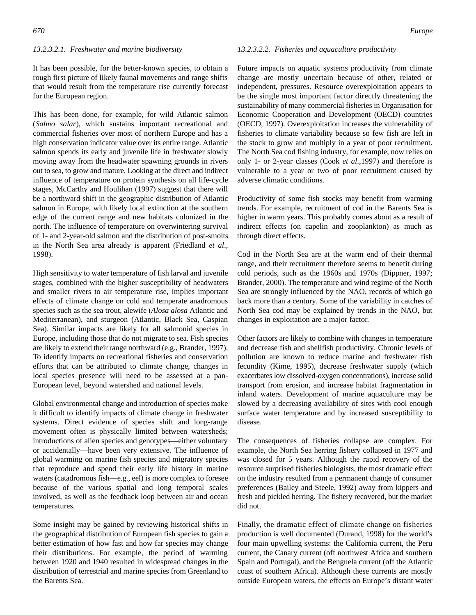It has been possible, for the better-known species, to obtain a rough first picture of likely faunal movements and range shifts that would result from the temperature rise currently forecast for the European region.

This has been done, for example, for wild Atlantic salmon (*Salmo salar*), which sustains important recreational and commercial fisheries over most of northern Europe and has a high conservation indicator value over its entire range. Atlantic salmon spends its early and juvenile life in freshwater slowly moving away from the headwater spawning grounds in rivers out to sea, to grow and mature. Looking at the direct and indirect influence of temperature on protein synthesis on all life-cycle stages, McCarthy and Houlihan (1997) suggest that there will be a northward shift in the geographic distribution of Atlantic salmon in Europe, with likely local extinction at the southern edge of the current range and new habitats colonized in the north. The influence of temperature on overwintering survival of 1- and 2-year-old salmon and the distribution of post-smolts in the North Sea area already is apparent (Friedland *et al*., 1998).

High sensitivity to water temperature of fish larval and juvenile stages, combined with the higher susceptibility of headwaters and smaller rivers to air temperature rise, implies important effects of climate change on cold and temperate anadromous species such as the sea trout, alewife (*Alosa alosa* Atlantic and Mediterranean), and sturgeon (Atlantic, Black Sea, Caspian Sea). Similar impacts are likely for all salmonid species in Europe, including those that do not migrate to sea. Fish species are likely to extend their range northward (e.g., Brander, 1997). To identify impacts on recreational fisheries and conservation efforts that can be attributed to climate change, changes in local species presence will need to be assessed at a pan-European level, beyond watershed and national levels.

Global environmental change and introduction of species make it difficult to identify impacts of climate change in freshwater systems. Direct evidence of species shift and long-range movement often is physically limited between watersheds; introductions of alien species and genotypes—either voluntary or accidentally—have been very extensive. The influence of global warming on marine fish species and migratory species that reproduce and spend their early life history in marine waters (catadromous fish—e.g., eel) is more complex to foresee because of the various spatial and long temporal scales involved, as well as the feedback loop between air and ocean temperatures.

Some insight may be gained by reviewing historical shifts in the geographical distribution of European fish species to gain a better estimation of how fast and how far species may change their distributions. For example, the period of warming between 1920 and 1940 resulted in widespread changes in the distribution of terrestrial and marine species from Greenland to the Barents Sea.

#### *13.2.3.2.2. Fisheries and aquaculture productivity*

Future impacts on aquatic systems productivity from climate change are mostly uncertain because of other, related or independent, pressures. Resource overexploitation appears to be the single most important factor directly threatening the sustainability of many commercial fisheries in Organisation for Economic Cooperation and Development (OECD) countries (OECD, 1997). Overexploitation increases the vulnerability of fisheries to climate variability because so few fish are left in the stock to grow and multiply in a year of poor recruitment. The North Sea cod fishing industry, for example, now relies on only 1- or 2-year classes (Cook *et al*.,1997) and therefore is vulnerable to a year or two of poor recruitment caused by adverse climatic conditions.

Productivity of some fish stocks may benefit from warming trends. For example, recruitment of cod in the Barents Sea is higher in warm years. This probably comes about as a result of indirect effects (on capelin and zooplankton) as much as through direct effects.

Cod in the North Sea are at the warm end of their thermal range, and their recruitment therefore seems to benefit during cold periods, such as the 1960s and 1970s (Dippner, 1997; Brander, 2000). The temperature and wind regime of the North Sea are strongly influenced by the NAO, records of which go back more than a century. Some of the variability in catches of North Sea cod may be explained by trends in the NAO, but changes in exploitation are a major factor.

Other factors are likely to combine with changes in temperature and decrease fish and shellfish productivity. Chronic levels of pollution are known to reduce marine and freshwater fish fecundity (Kime, 1995), decrease freshwater supply (which exacerbates low dissolved-oxygen concentrations), increase solid transport from erosion, and increase habitat fragmentation in inland waters. Development of marine aquaculture may be slowed by a decreasing availability of sites with cool enough surface water temperature and by increased susceptibility to disease.

The consequences of fisheries collapse are complex. For example, the North Sea herring fishery collapsed in 1977 and was closed for 5 years. Although the rapid recovery of the resource surprised fisheries biologists, the most dramatic effect on the industry resulted from a permanent change of consumer preferences (Bailey and Steele, 1992) away from kippers and fresh and pickled herring. The fishery recovered, but the market did not.

Finally, the dramatic effect of climate change on fisheries production is well documented (Durand, 1998) for the world's four main upwelling systems: the California current, the Peru current, the Canary current (off northwest Africa and southern Spain and Portugal), and the Benguela current (off the Atlantic coast of southern Africa). Although these currents are mostly outside European waters, the effects on Europe's distant water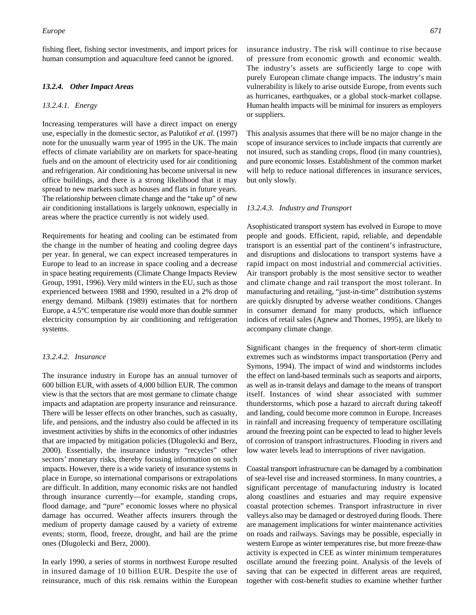fishing fleet, fishing sector investments, and import prices for human consumption and aquaculture feed cannot be ignored.

#### *13.2.4. Other Impact Areas*

#### *13.2.4.1. Energy*

Increasing temperatures will have a direct impact on energy use, especially in the domestic sector, as Palutikof *et al*. (1997) note for the unusually warm year of 1995 in the UK. The main effects of climate variability are on markets for space-heating fuels and on the amount of electricity used for air conditioning and refrigeration. Air conditioning has become universal in new office buildings, and there is a strong likelihood that it may spread to new markets such as houses and flats in future years. The relationship between climate change and the "take up" of new air conditioning installations is largely unknown, especially in areas where the practice currently is not widely used.

Requirements for heating and cooling can be estimated from the change in the number of heating and cooling degree days per year. In general, we can expect increased temperatures in Europe to lead to an increase in space cooling and a decrease in space heating requirements (Climate Change Impacts Review Group, 1991, 1996). Very mild winters in the EU, such as those experienced between 1988 and 1990, resulted in a 2% drop of energy demand. Milbank (1989) estimates that for northern Europe, a 4.5°C temperature rise would more than double summer electricity consumption by air conditioning and refrigeration systems.

#### *13.2.4.2. Insurance*

The insurance industry in Europe has an annual turnover of 600 billion EUR, with assets of 4,000 billion EUR. The common view is that the sectors that are most germane to climate change impacts and adaptation are property insurance and reinsurance. There will be lesser effects on other branches, such as casualty, life, and pensions, and the industry also could be affected in its investment activities by shifts in the economics of other industries that are impacted by mitigation policies (Dlugolecki and Berz, 2000). Essentially, the insurance industry "recycles" other sectors' monetary risks, thereby focusing information on such impacts. However, there is a wide variety of insurance systems in place in Europe, so international comparisons or extrapolations are difficult. In addition, many economic risks are not handled through insurance currently—for example, standing crops, flood damage, and "pure" economic losses where no physical damage has occurred. Weather affects insurers through the medium of property damage caused by a variety of extreme events; storm, flood, freeze, drought, and hail are the prime ones (Dlugolecki and Berz, 2000).

In early 1990, a series of storms in northwest Europe resulted in insured damage of 10 billion EUR. Despite the use of reinsurance, much of this risk remains within the European insurance industry. The risk will continue to rise because of pressure from economic growth and economic wealth. The industry's assets are sufficiently large to cope with purely European climate change impacts. The industry's main vulnerability is likely to arise outside Europe, from events such as hurricanes, earthquakes, or a global stock-market collapse. Human health impacts will be minimal for insurers as employers or suppliers.

This analysis assumes that there will be no major change in the scope of insurance services to include impacts that currently are not insured, such as standing crops, flood (in many countries), and pure economic losses. Establishment of the common market will help to reduce national differences in insurance services, but only slowly.

#### *13.2.4.3. Industry and Transport*

Asophisticated transport system has evolved in Europe to move people and goods. Efficient, rapid, reliable, and dependable transport is an essential part of the continent's infrastructure, and disruptions and dislocations to transport systems have a rapid impact on most industrial and commercial activities. Air transport probably is the most sensitive sector to weather and climate change and rail transport the most tolerant. In manufacturing and retailing, "just-in-time" distribution systems are quickly disrupted by adverse weather conditions. Changes in consumer demand for many products, which influence indices of retail sales (Agnew and Thornes, 1995), are likely to accompany climate change.

Significant changes in the frequency of short-term climatic extremes such as windstorms impact transportation (Perry and Symons, 1994). The impact of wind and windstorms includes the effect on land-based terminals such as seaports and airports, as well as in-transit delays and damage to the means of transport itself. Instances of wind shear associated with summer thunderstorms, which pose a hazard to aircraft during takeoff and landing, could become more common in Europe. Increases in rainfall and increasing frequency of temperature oscillating around the freezing point can be expected to lead to higher levels of corrosion of transport infrastructures. Flooding in rivers and low water levels lead to interruptions of river navigation.

Coastal transport infrastructure can be damaged by a combination of sea-level rise and increased storminess. In many countries, a significant percentage of manufacturing industry is located along coastlines and estuaries and may require expensive coastal protection schemes. Transport infrastructure in river valleys also may be damaged or destroyed during floods. There are management implications for winter maintenance activities on roads and railways. Savings may be possible, especially in western Europe as winter temperatures rise, but more freeze-thaw activity is expected in CEE as winter minimum temperatures oscillate around the freezing point. Analysis of the levels of saving that can be expected in different areas are required, together with cost-benefit studies to examine whether further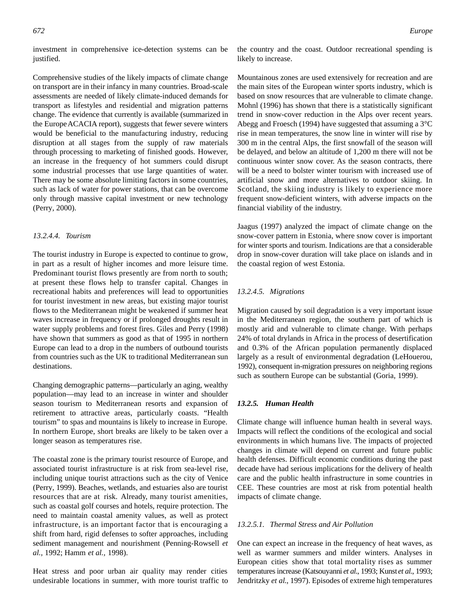investment in comprehensive ice-detection systems can be justified.

Comprehensive studies of the likely impacts of climate change on transport are in their infancy in many countries. Broad-scale assessments are needed of likely climate-induced demands for transport as lifestyles and residential and migration patterns change. The evidence that currently is available (summarized in the Europe ACACIA report), suggests that fewer severe winters would be beneficial to the manufacturing industry, reducing disruption at all stages from the supply of raw materials through processing to marketing of finished goods. However, an increase in the frequency of hot summers could disrupt some industrial processes that use large quantities of water. There may be some absolute limiting factors in some countries, such as lack of water for power stations, that can be overcome only through massive capital investment or new technology (Perry, 2000).

#### *13.2.4.4. Tourism*

The tourist industry in Europe is expected to continue to grow, in part as a result of higher incomes and more leisure time. Predominant tourist flows presently are from north to south; at present these flows help to transfer capital. Changes in recreational habits and preferences will lead to opportunities for tourist investment in new areas, but existing major tourist flows to the Mediterranean might be weakened if summer heat waves increase in frequency or if prolonged droughts result in water supply problems and forest fires. Giles and Perry (1998) have shown that summers as good as that of 1995 in northern Europe can lead to a drop in the numbers of outbound tourists from countries such as the UK to traditional Mediterranean sun destinations.

Changing demographic patterns—particularly an aging, wealthy population—may lead to an increase in winter and shoulder season tourism to Mediterranean resorts and expansion of retirement to attractive areas, particularly coasts. "Health tourism" to spas and mountains is likely to increase in Europe. In northern Europe, short breaks are likely to be taken over a longer season as temperatures rise.

The coastal zone is the primary tourist resource of Europe, and associated tourist infrastructure is at risk from sea-level rise, including unique tourist attractions such as the city of Venice (Perry, 1999). Beaches, wetlands, and estuaries also are tourist resources that are at risk. Already, many tourist amenities, such as coastal golf courses and hotels, require protection. The need to maintain coastal amenity values, as well as protect infrastructure, is an important factor that is encouraging a shift from hard, rigid defenses to softer approaches, including sediment management and nourishment (Penning-Rowsell *et al.,* 1992; Hamm *et al.,* 1998).

Heat stress and poor urban air quality may render cities undesirable locations in summer, with more tourist traffic to the country and the coast. Outdoor recreational spending is likely to increase.

Mountainous zones are used extensively for recreation and are the main sites of the European winter sports industry, which is based on snow resources that are vulnerable to climate change. Mohnl (1996) has shown that there is a statistically significant trend in snow-cover reduction in the Alps over recent years. Abegg and Froesch (1994) have suggested that assuming a 3°C rise in mean temperatures, the snow line in winter will rise by 300 m in the central Alps, the first snowfall of the season will be delayed, and below an altitude of 1,200 m there will not be continuous winter snow cover. As the season contracts, there will be a need to bolster winter tourism with increased use of artificial snow and more alternatives to outdoor skiing. In Scotland, the skiing industry is likely to experience more frequent snow-deficient winters, with adverse impacts on the financial viability of the industry.

Jaagus (1997) analyzed the impact of climate change on the snow-cover pattern in Estonia, where snow cover is important for winter sports and tourism. Indications are that a considerable drop in snow-cover duration will take place on islands and in the coastal region of west Estonia.

#### *13.2.4.5. Migrations*

Migration caused by soil degradation is a very important issue in the Mediterranean region, the southern part of which is mostly arid and vulnerable to climate change. With perhaps 24% of total drylands in Africa in the process of desertification and 0.3% of the African population permanently displaced largely as a result of environmental degradation (LeHouerou, 1992), consequent in-migration pressures on neighboring regions such as southern Europe can be substantial (Goria, 1999).

#### *13.2.5. Human Health*

Climate change will influence human health in several ways. Impacts will reflect the conditions of the ecological and social environments in which humans live. The impacts of projected changes in climate will depend on current and future public health defenses. Difficult economic conditions during the past decade have had serious implications for the delivery of health care and the public health infrastructure in some countries in CEE. These countries are most at risk from potential health impacts of climate change.

#### *13.2.5.1. Thermal Stress and Air Pollution*

One can expect an increase in the frequency of heat waves, as well as warmer summers and milder winters. Analyses in European cities show that total mortality rises as summer temperatures increase (Katsouyanni et al., 1993; Kunst et al., 1993; Jendritzky *et al*., 1997). Episodes of extreme high temperatures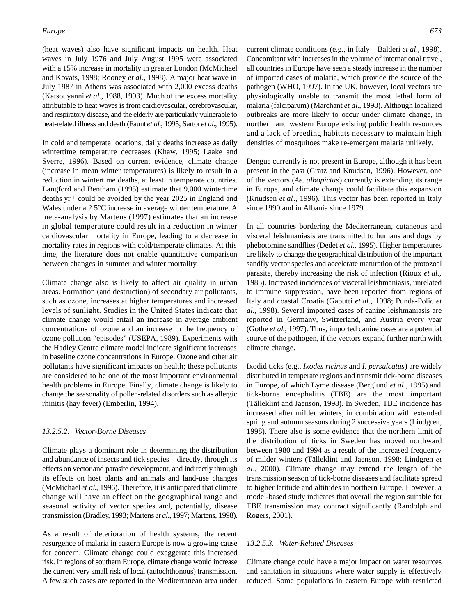(heat waves) also have significant impacts on health. Heat waves in July 1976 and July–August 1995 were associated with a 15% increase in mortality in greater London (McMichael and Kovats, 1998; Rooney *et al*., 1998). A major heat wave in July 1987 in Athens was associated with 2,000 excess deaths (Katsouyanni *et al*., 1988, 1993). Much of the excess mortality attributable to heat waves is from cardiovascular, cerebrovascular, and respiratory disease, and the elderly are particularly vulnerable to heat-related illness and death (Faunt *et al*., 1995; Sartor *et al*., 1995).

In cold and temperate locations, daily deaths increase as daily wintertime temperature decreases (Khaw, 1995; Laake and Sverre, 1996). Based on current evidence, climate change (increase in mean winter temperatures) is likely to result in a reduction in wintertime deaths, at least in temperate countries. Langford and Bentham (1995) estimate that 9,000 wintertime deaths yr-1 could be avoided by the year 2025 in England and Wales under a 2.5°C increase in average winter temperature. A meta-analysis by Martens (1997) estimates that an increase in global temperature could result in a reduction in winter cardiovascular mortality in Europe, leading to a decrease in mortality rates in regions with cold/temperate climates. At this time, the literature does not enable quantitative comparison between changes in summer and winter mortality.

Climate change also is likely to affect air quality in urban areas. Formation (and destruction) of secondary air pollutants, such as ozone, increases at higher temperatures and increased levels of sunlight. Studies in the United States indicate that climate change would entail an increase in average ambient concentrations of ozone and an increase in the frequency of ozone pollution "episodes" (USEPA, 1989). Experiments with the Hadley Centre climate model indicate significant increases in baseline ozone concentrations in Europe. Ozone and other air pollutants have significant impacts on health; these pollutants are considered to be one of the most important environmental health problems in Europe. Finally, climate change is likely to change the seasonality of pollen-related disorders such as allergic rhinitis (hay fever) (Emberlin, 1994).

#### *13.2.5.2. Vector-Borne Diseases*

Climate plays a dominant role in determining the distribution and abundance of insects and tick species—directly, through its e ffects on vector and parasite development, and indirectly through its effects on host plants and animals and land-use changes (McMichael *et al*., 1996). Therefore, it is anticipated that climate change will have an effect on the geographical range and seasonal activity of vector species and, potentially, disease transmission (Bradley, 1993; Martens *et al.*, 1997; Martens, 1998).

As a result of deterioration of health systems, the recent resurgence of malaria in eastern Europe is now a growing cause for concern. Climate change could exaggerate this increased risk. In regions of southern Europe, climate change would increase the current very small risk of local (autochthonous) transmission. A few such cases are reported in the Mediterranean area under current climate conditions (e.g., in Italy—Balderi *et al*., 1998). Concomitant with increases in the volume of international travel, all countries in Europe have seen a steady increase in the number of imported cases of malaria, which provide the source of the pathogen (WHO, 1997). In the UK, however, local vectors are physiologically unable to transmit the most lethal form of malaria (falciparum) (Marchant *et al*., 1998). Although localized outbreaks are more likely to occur under climate change, in northern and western Europe existing public health resources and a lack of breeding habitats necessary to maintain high densities of mosquitoes make re-emergent malaria unlikely.

Dengue currently is not present in Europe, although it has been present in the past (Gratz and Knudsen, 1996). However, one of the vectors (*Ae. albopictus*) currently is extending its range in Europe, and climate change could facilitate this expansion (Knudsen *et al*., 1996). This vector has been reported in Italy since 1990 and in Albania since 1979.

In all countries bordering the Mediterranean, cutaneous and visceral leishmaniasis are transmitted to humans and dogs by phebotomine sandflies (Dedet *et al*., 1995). Higher temperatures are likely to change the geographical distribution of the important sandfly vector species and accelerate maturation of the protozoal parasite, thereby increasing the risk of infection (Rioux *et al.,* 1985). Increased incidences of visceral leishmaniasis, unrelated to immune suppression, have been reported from regions of Italy and coastal Croatia (Gabutti *et al.,* 1998; Punda-Polic *et al.,* 1998). Several imported cases of canine leishmaniasis are reported in Germany, Switzerland, and Austria every year (Gothe *et al*., 1997). Thus, imported canine cases are a potential source of the pathogen, if the vectors expand further north with climate change.

Ixodid ticks (e.g., *Ixodes ricinus* and *I. persulcatus*) are widely distributed in temperate regions and transmit tick-borne diseases in Europe, of which Lyme disease (Berglund *et al*., 1995) and tick-borne encephalitis (TBE) are the most important (Tälleklint and Jaenson, 1998). In Sweden, TBE incidence has increased after milder winters, in combination with extended spring and autumn seasons during 2 successive years (Lindgren, 1998). There also is some evidence that the northern limit of the distribution of ticks in Sweden has moved northward between 1980 and 1994 as a result of the increased frequency of milder winters (Tälleklint and Jaenson, 1998; Lindgren *et al.*, 2000). Climate change may extend the length of the transmission season of tick-borne diseases and facilitate spread to higher latitude and altitudes in northern Europe. However, a model-based study indicates that overall the region suitable for TBE transmission may contract significantly (Randolph and Rogers, 2001).

#### *13.2.5.3. Water-Related Diseases*

Climate change could have a major impact on water resources and sanitation in situations where water supply is effectively reduced. Some populations in eastern Europe with restricted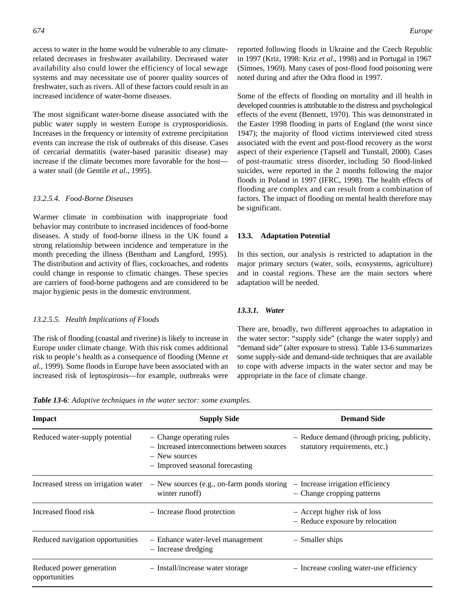access to water in the home would be vulnerable to any climaterelated decreases in freshwater availability. Decreased water availability also could lower the efficiency of local sewage systems and may necessitate use of poorer quality sources of freshwater, such as rivers. All of these factors could result in an increased incidence of water-borne diseases.

The most significant water-borne disease associated with the public water supply in western Europe is cryptosporidiosis. Increases in the frequency or intensity of extreme precipitation events can increase the risk of outbreaks of this disease. Cases of cercarial dermatitis (water-based parasitic disease) may increase if the climate becomes more favorable for the host a water snail (de Gentile *et al*., 1995).

#### *13.2.5.4. Food-Borne Diseases*

Warmer climate in combination with inappropriate food behavior may contribute to increased incidences of food-borne diseases. A study of food-borne illness in the UK found a strong relationship between incidence and temperature in the month preceding the illness (Bentham and Langford, 1995). The distribution and activity of flies, cockroaches, and rodents could change in response to climatic changes. These species are carriers of food-borne pathogens and are considered to be major hygienic pests in the domestic environment.

#### *13.2.5.5. Health Implications of Floods*

The risk of flooding (coastal and riverine) is likely to increase in Europe under climate change. With this risk comes additional risk to people's health as a consequence of flooding (Menne *et al.,* 1999). Some floods in Europe have been associated with an increased risk of leptospirosis—for example, outbreaks were reported following floods in Ukraine and the Czech Republic in 1997 (Kriz, 1998: Kriz *et al*., 1998) and in Portugal in 1967 (Simoes, 1969). Many cases of post-flood food poisoning were noted during and after the Odra flood in 1997.

Some of the effects of flooding on mortality and ill health in developed countries is attributable to the distress and psychological effects of the event (Bennett, 1970). This was demonstrated in the Easter 1998 flooding in parts of England (the worst since 1947); the majority of flood victims interviewed cited stress associated with the event and post-flood recovery as the worst aspect of their experience (Tapsell and Tunstall, 2000). Cases of post-traumatic stress disorder, including 50 flood-linked suicides, were reported in the 2 months following the major floods in Poland in 1997 (IFRC, 1998). The health effects of flooding are complex and can result from a combination of factors. The impact of flooding on mental health therefore may be significant.

#### **13.3. Adaptation Potential**

In this section, our analysis is restricted to adaptation in the major primary sectors (water, soils, ecosystems, agriculture) and in coastal regions. These are the main sectors where adaptation will be needed.

#### *13.3.1. Water*

There are, broadly, two different approaches to adaptation in the water sector: "supply side" (change the water supply) and "demand side" (alter exposure to stress). Table 13-6 summarizes some supply-side and demand-side techniques that are available to cope with adverse impacts in the water sector and may be appropriate in the face of climate change.

|  |  |  | <b>Table 13-6:</b> Adaptive techniques in the water sector: some examples. |  |
|--|--|--|----------------------------------------------------------------------------|--|
|--|--|--|----------------------------------------------------------------------------|--|

| <b>Impact</b>                             | <b>Supply Side</b>                                                                                                             | <b>Demand Side</b>                                                            |
|-------------------------------------------|--------------------------------------------------------------------------------------------------------------------------------|-------------------------------------------------------------------------------|
| Reduced water-supply potential            | - Change operating rules<br>- Increased interconnections between sources<br>$-$ New sources<br>- Improved seasonal forecasting | - Reduce demand (through pricing, publicity,<br>statutory requirements, etc.) |
| Increased stress on irrigation water      | $-$ New sources (e.g., on-farm ponds storing $-$ Increase irrigation efficiency<br>winter runoff)                              | - Change cropping patterns                                                    |
| Increased flood risk                      | - Increase flood protection                                                                                                    | - Accept higher risk of loss<br>- Reduce exposure by relocation               |
| Reduced navigation opportunities          | - Enhance water-level management<br>- Increase dredging                                                                        | - Smaller ships                                                               |
| Reduced power generation<br>opportunities | - Install/increase water storage                                                                                               | - Increase cooling water-use efficiency                                       |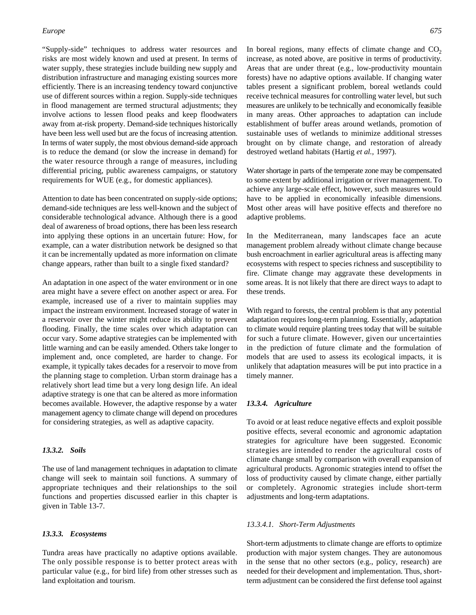#### *Europe 675*

"Supply-side" techniques to address water resources and risks are most widely known and used at present. In terms of water supply, these strategies include building new supply and distribution infrastructure and managing existing sources more efficiently. There is an increasing tendency toward conjunctive use of different sources within a region. Supply-side techniques in flood management are termed structural adjustments; they involve actions to lessen flood peaks and keep floodwaters away from at-risk property. Demand-side techniques historically have been less well used but are the focus of increasing attention. In terms of water supply, the most obvious demand-side approach is to reduce the demand (or slow the increase in demand) for the water resource through a range of measures, including differential pricing, public awareness campaigns, or statutory requirements for WUE (e.g., for domestic appliances).

Attention to date has been concentrated on supply-side options; demand-side techniques are less well-known and the subject of considerable technological advance. Although there is a good deal of awareness of broad options, there has been less research into applying these options in an uncertain future: How, for example, can a water distribution network be designed so that it can be incrementally updated as more information on climate change appears, rather than built to a single fixed standard?

An adaptation in one aspect of the water environment or in one area might have a severe effect on another aspect or area. For example, increased use of a river to maintain supplies may impact the instream environment. Increased storage of water in a reservoir over the winter might reduce its ability to prevent flooding. Finally, the time scales over which adaptation can occur vary. Some adaptive strategies can be implemented with little warning and can be easily amended. Others take longer to implement and, once completed, are harder to change. For example, it typically takes decades for a reservoir to move from the planning stage to completion. Urban storm drainage has a relatively short lead time but a very long design life. An ideal adaptive strategy is one that can be altered as more information becomes available. However, the adaptive response by a water management agency to climate change will depend on procedures for considering strategies, as well as adaptive capacity.

#### *13.3.2. Soils*

The use of land management techniques in adaptation to climate change will seek to maintain soil functions. A summary of appropriate techniques and their relationships to the soil functions and properties discussed earlier in this chapter is given in Table 13-7.

#### *13.3.3. Ecosystems*

Tundra areas have practically no adaptive options available. The only possible response is to better protect areas with particular value (e.g., for bird life) from other stresses such as land exploitation and tourism.

In boreal regions, many effects of climate change and  $CO<sub>2</sub>$ increase, as noted above, are positive in terms of productivity. Areas that are under threat (e.g., low-productivity mountain forests) have no adaptive options available. If changing water tables present a significant problem, boreal wetlands could receive technical measures for controlling water level, but such measures are unlikely to be technically and economically feasible in many areas. Other approaches to adaptation can include establishment of buffer areas around wetlands, promotion of sustainable uses of wetlands to minimize additional stresses brought on by climate change, and restoration of already destroyed wetland habitats (Hartig *et al.,* 1997).

Water shortage in parts of the temperate zone may be compensated to some extent by additional irrigation or river management. To achieve any large-scale effect, however, such measures would have to be applied in economically infeasible dimensions. Most other areas will have positive effects and therefore no adaptive problems.

In the Mediterranean, many landscapes face an acute man a gement problem already without climate change because bush encroachment in earlier agricultural areas is affecting many ecosystems with respect to species richness and susceptibility to fire. Climate change may aggravate these developments in some areas. It is not likely that there are direct ways to adapt to these trends.

With regard to forests, the central problem is that any potential adaptation requires long-term planning. Essentially, adaptation to climate would require planting trees today that will be suitable for such a future climate. However, given our uncertainties in the prediction of future climate and the formulation of models that are used to assess its ecological impacts, it is unlikely that adaptation measures will be put into practice in a timely manner.

#### *13.3.4. Agriculture*

To avoid or at least reduce negative effects and exploit possible positive effects, several economic and agronomic adaptation strategies for agriculture have been suggested. Economic strategies are intended to render the agricultural costs of climate change small by comparison with overall expansion of agricultural products. Agronomic strategies intend to offset the loss of productivity caused by climate change, either partially or completely. Agronomic strategies include short-term adjustments and long-term adaptations.

#### *13.3.4.1. Short-Term Adjustments*

Short-term adjustments to climate change are efforts to optimize production with major system changes. They are autonomous in the sense that no other sectors (e.g., policy, research) are needed for their development and implementation. Thus, shortterm adjustment can be considered the first defense tool against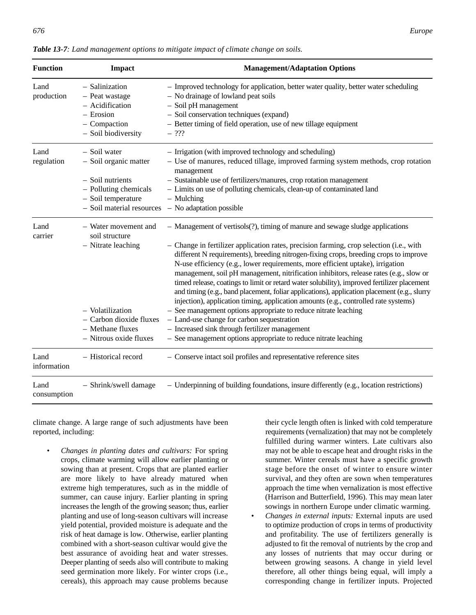| <b>Function</b>     | <b>Impact</b>                                                                                                                                             | <b>Management/Adaptation Options</b>                                                                                                                                                                                                                                                                                                                                                                                                                                                                                                                                                                                                                                                                                                                                                                                                                                                                                                                                          |
|---------------------|-----------------------------------------------------------------------------------------------------------------------------------------------------------|-------------------------------------------------------------------------------------------------------------------------------------------------------------------------------------------------------------------------------------------------------------------------------------------------------------------------------------------------------------------------------------------------------------------------------------------------------------------------------------------------------------------------------------------------------------------------------------------------------------------------------------------------------------------------------------------------------------------------------------------------------------------------------------------------------------------------------------------------------------------------------------------------------------------------------------------------------------------------------|
| Land<br>production  | - Salinization<br>- Peat wastage<br>- Acidification<br>- Erosion<br>- Compaction<br>- Soil biodiversity                                                   | - Improved technology for application, better water quality, better water scheduling<br>- No drainage of lowland peat soils<br>- Soil pH management<br>- Soil conservation techniques (expand)<br>- Better timing of field operation, use of new tillage equipment<br>$-222$                                                                                                                                                                                                                                                                                                                                                                                                                                                                                                                                                                                                                                                                                                  |
| Land<br>regulation  | - Soil water<br>- Soil organic matter<br>- Soil nutrients<br>- Polluting chemicals<br>- Soil temperature<br>- Soil material resources                     | - Irrigation (with improved technology and scheduling)<br>- Use of manures, reduced tillage, improved farming system methods, crop rotation<br>management<br>- Sustainable use of fertilizers/manures, crop rotation management<br>- Limits on use of polluting chemicals, clean-up of contaminated land<br>- Mulching<br>- No adaptation possible                                                                                                                                                                                                                                                                                                                                                                                                                                                                                                                                                                                                                            |
| Land<br>carrier     | - Water movement and<br>soil structure<br>- Nitrate leaching<br>- Volatilization<br>- Carbon dioxide fluxes<br>- Methane fluxes<br>- Nitrous oxide fluxes | $-$ Management of vertisols $(?)$ , timing of manure and sewage sludge applications<br>- Change in fertilizer application rates, precision farming, crop selection (i.e., with<br>different N requirements), breeding nitrogen-fixing crops, breeding crops to improve<br>N-use efficiency (e.g., lower requirements, more efficient uptake), irrigation<br>management, soil pH management, nitrification inhibitors, release rates (e.g., slow or<br>timed release, coatings to limit or retard water solubility), improved fertilizer placement<br>and timing (e.g., band placement, foliar applications), application placement (e.g., slurry<br>injection), application timing, application amounts (e.g., controlled rate systems)<br>- See management options appropriate to reduce nitrate leaching<br>- Land-use change for carbon sequestration<br>- Increased sink through fertilizer management<br>- See management options appropriate to reduce nitrate leaching |
| Land<br>information | - Historical record                                                                                                                                       | - Conserve intact soil profiles and representative reference sites                                                                                                                                                                                                                                                                                                                                                                                                                                                                                                                                                                                                                                                                                                                                                                                                                                                                                                            |
| Land<br>consumption | - Shrink/swell damage                                                                                                                                     | - Underpinning of building foundations, insure differently (e.g., location restrictions)                                                                                                                                                                                                                                                                                                                                                                                                                                                                                                                                                                                                                                                                                                                                                                                                                                                                                      |

*Table 13-7: Land management options to mitigate impact of climate change on soils.*

climate change. A large range of such adjustments have been reported, including:

• *Changes in planting dates and cultivars:* For spring crops, climate warming will allow earlier planting or sowing than at present. Crops that are planted earlier are more likely to have already matured when extreme high temperatures, such as in the middle of summer, can cause injury. Earlier planting in spring increases the length of the growing season; thus, earlier planting and use of long-season cultivars will increase yield potential, provided moisture is adequate and the risk of heat damage is low. Otherwise, earlier planting combined with a short-season cultivar would give the best assurance of avoiding heat and water stresses. Deeper planting of seeds also will contribute to making seed germination more likely. For winter crops (i.e., cereals), this approach may cause problems because

their cycle length often is linked with cold temperature requirements (vernalization) that may not be completely fulfilled during warmer winters. Late cultivars also may not be able to escape heat and drought risks in the summer. Winter cereals must have a specific growth stage before the onset of winter to ensure winter survival, and they often are sown when temperatures approach the time when vernalization is most effective (Harrison and Butterfield, 1996). This may mean later sowings in northern Europe under climatic warming.

• *Changes in external inputs:* External inputs are used to optimize production of crops in terms of productivity and profitability. The use of fertilizers generally is adjusted to fit the removal of nutrients by the crop and any losses of nutrients that may occur during or between growing seasons. A change in yield level therefore, all other things being equal, will imply a corresponding change in fertilizer inputs. Projected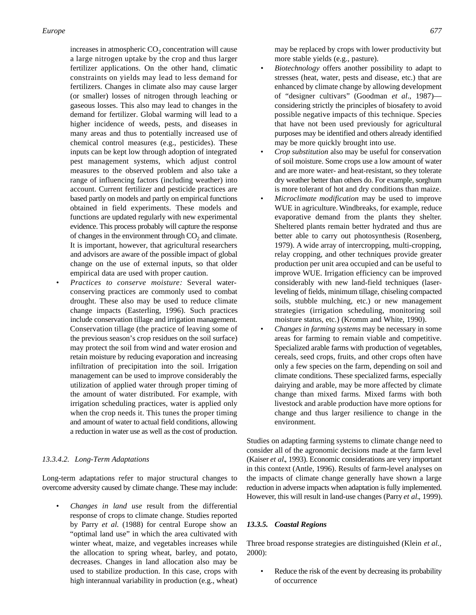increases in atmospheric  $CO<sub>2</sub>$  concentration will cause a large nitrogen uptake by the crop and thus larger fertilizer applications. On the other hand, climatic constraints on yields may lead to less demand for fertilizers. Changes in climate also may cause larger (or smaller) losses of nitrogen through leaching or gaseous losses. This also may lead to changes in the demand for fertilizer. Global warming will lead to a higher incidence of weeds, pests, and diseases in many areas and thus to potentially increased use of chemical control measures (e.g., pesticides). These inputs can be kept low through adoption of integrated pest management systems, which adjust control measures to the observed problem and also take a range of influencing factors (including weather) into account. Current fertilizer and pesticide practices are based partly on models and partly on empirical functions obtained in field experiments. These models and functions are updated regularly with new experimental evidence. This process probably will capture the response of changes in the environment through  $CO<sub>2</sub>$  and climate. It is important, however, that agricultural researchers and advisors are aware of the possible impact of global change on the use of external inputs, so that older empirical data are used with proper caution.

Practices to conserve moisture: Several waterconserving practices are commonly used to combat drought. These also may be used to reduce climate change impacts (Easterling, 1996). Such practices include conservation tillage and irrigation management. Conservation tillage (the practice of leaving some of the previous season's crop residues on the soil surface) may protect the soil from wind and water erosion and retain moisture by reducing evaporation and increasing infiltration of precipitation into the soil. Irrigation management can be used to improve considerably the utilization of applied water through proper timing of the amount of water distributed. For example, with irrigation scheduling practices, water is applied only when the crop needs it. This tunes the proper timing and amount of water to actual field conditions, allowing a reduction in water use as well as the cost of production.

#### *13.3.4.2. Long-Term Adaptations*

Long-term adaptations refer to major structural changes to overcome adversity caused by climate change. These may include:

• *Changes in land use* result from the differential response of crops to climate change. Studies reported by Parry *et al.* (1988) for central Europe show an "optimal land use" in which the area cultivated with winter wheat, maize, and vegetables increases while the allocation to spring wheat, barley, and potato, decreases. Changes in land allocation also may be used to stabilize production. In this case, crops with high interannual variability in production (e.g., wheat) may be replaced by crops with lower productivity but more stable yields (e.g., pasture).

- *Biotechnology* offers another possibility to adapt to stresses (heat, water, pests and disease, etc.) that are enhanced by climate change by allowing development of "designer cultivars" (Goodman *et al*., 1987) considering strictly the principles of biosafety to avoid possible negative impacts of this technique. Species that have not been used previously for agricultural purposes may be identified and others already identified may be more quickly brought into use.
- *Crop substitution* also may be useful for conservation of soil moisture. Some crops use a low amount of water and are more water- and heat-resistant, so they tolerate dry weather better than others do. For example, sorghum is more tolerant of hot and dry conditions than maize.
- *Microclimate modification* may be used to improve WUE in agriculture. Windbreaks, for example, reduce evaporative demand from the plants they shelter. Sheltered plants remain better hydrated and thus are better able to carry out photosynthesis (Rosenberg, 1979). A wide array of intercropping, multi-cropping, relay cropping, and other techniques provide greater production per unit area occupied and can be useful to improve WUE. Irrigation efficiency can be improved considerably with new land-field techniques (laserleveling of fields, minimum tillage, chiseling compacted soils, stubble mulching, etc.) or new management strategies (irrigation scheduling, monitoring soil moisture status, etc.) (Kromm and White, 1990).
- *Changes in farming systems* may be necessary in some areas for farming to remain viable and competitive. Specialized arable farms with production of vegetables, cereals, seed crops, fruits, and other crops often have only a few species on the farm, depending on soil and climate conditions. These specialized farms, especially dairying and arable, may be more affected by climate change than mixed farms. Mixed farms with both livestock and arable production have more options for change and thus larger resilience to change in the environment.

Studies on adapting farming systems to climate change need to consider all of the agronomic decisions made at the farm level (Kaiser *et al.*, 1993). Economic considerations are very important in this context (Antle, 1996). Results of farm-level analyses on the impacts of climate change generally have shown a large reduction in adverse impacts when adaptation is fully implemented. However, this will result in land-use changes (Parry *et al.*, 1999).

#### *13.3.5. Coastal Regions*

Three broad response strategies are distinguished (Klein *et al.,* 2000):

Reduce the risk of the event by decreasing its probability of occurrence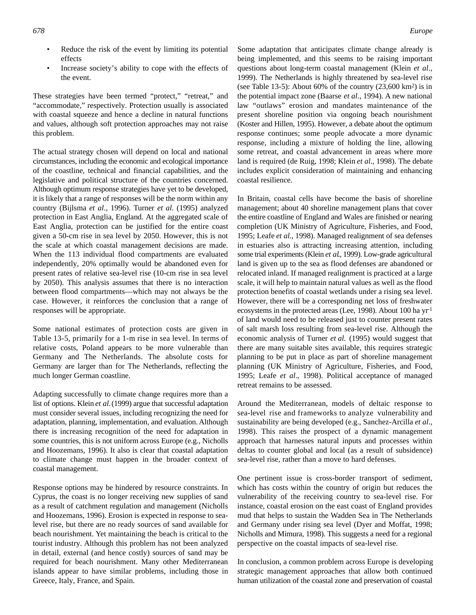- Reduce the risk of the event by limiting its potential effects
- Increase society's ability to cope with the effects of the event.

These strategies have been termed "protect," "retreat," and "accommodate," respectively. Protection usually is associated with coastal squeeze and hence a decline in natural functions and values, although soft protection approaches may not raise this problem.

The actual strategy chosen will depend on local and national circumstances, including the economic and ecological importance of the coastline, technical and financial capabilities, and the legislative and political structure of the countries concerned. Although optimum response strategies have yet to be developed, it is likely that a range of responses will be the norm within any country (Bijlsma *et al*., 1996). Turner *et al.* (1995) analyzed protection in East Anglia, England. At the aggregated scale of East Anglia, protection can be justified for the entire coast given a 50-cm rise in sea level by 2050. However, this is not the scale at which coastal management decisions are made. When the 113 individual flood compartments are evaluated independently, 20% optimally would be abandoned even for present rates of relative sea-level rise (10-cm rise in sea level by 2050). This analysis assumes that there is no interaction between flood compartments—which may not always be the case. However, it reinforces the conclusion that a range of responses will be appropriate.

Some national estimates of protection costs are given in Table 13-5, primarily for a 1-m rise in sea level. In terms of relative costs, Poland appears to be more vulnerable than Germany and The Netherlands. The absolute costs for Germany are larger than for The Netherlands, reflecting the much longer German coastline.

Adapting successfully to climate change requires more than a list of options. Klein *et al.*(1999) argue that successful adaptation must consider several issues, including recognizing the need for adaptation, planning, implementation, and evaluation. Although there is increasing recognition of the need for adaptation in some countries, this is not uniform across Europe (e.g., Nicholls and Hoozemans, 1996). It also is clear that coastal adaptation to climate change must happen in the broader context of coastal management.

Response options may be hindered by resource constraints. In Cyprus, the coast is no longer receiving new supplies of sand as a result of catchment regulation and management (Nicholls and Hoozemans, 1996). Erosion is expected in response to sealevel rise, but there are no ready sources of sand available for beach nourishment. Yet maintaining the beach is critical to the tourist industry. Although this problem has not been analyzed in detail, external (and hence costly) sources of sand may be required for beach nourishment. Many other Mediterranean islands appear to have similar problems, including those in Greece, Italy, France, and Spain.

Some adaptation that anticipates climate change already is being implemented, and this seems to be raising important questions about long-term coastal management (Klein *et al*., 1999). The Netherlands is highly threatened by sea-level rise (see Table 13-5): About 60% of the country (23,600 km2) is in the potential impact zone (Baarse *et al*., 1994). A new national law "outlaws" erosion and mandates maintenance of the present shoreline position via ongoing beach nourishment (Koster and Hillen, 1995). However, a debate about the optimum response continues; some people advocate a more dynamic response, including a mixture of holding the line, allowing some retreat, and coastal advancement in areas where more land is required (de Ruig, 1998; Klein *et al*., 1998). The debate includes explicit consideration of maintaining and enhancing coastal resilience.

In Britain, coastal cells have become the basis of shoreline management; about 40 shoreline management plans that cover the entire coastline of England and Wales are finished or nearing completion (UK Ministry of Agriculture, Fisheries, and Food, 1995; Leafe *et al*., 1998). Managed realignment of sea defenses in estuaries also is attracting increasing attention, including some trial experiments (Klein *et al*., 1999). Low-grade agricultural land is given up to the sea as flood defenses are abandoned or relocated inland. If managed realignment is practiced at a large scale, it will help to maintain natural values as well as the flood protection benefits of coastal wetlands under a rising sea level. However, there will be a corresponding net loss of freshwater ecosystems in the protected areas (Lee, 1998). About 100 ha  $yr<sup>1</sup>$ of land would need to be released just to counter present rates of salt marsh loss resulting from sea-level rise. Although the economic analysis of Turner *et al.* (1995) would suggest that there are many suitable sites available, this requires strategic planning to be put in place as part of shoreline management planning (UK Ministry of Agriculture, Fisheries, and Food, 1995; Leafe *et al*., 1998). Political acceptance of managed retreat remains to be assessed.

Around the Mediterranean, models of deltaic response to sea-level rise and frameworks to analyze vulnerability and sustainability are being developed (e.g., Sanchez-Arcilla *et al.*, 1998). This raises the prospect of a dynamic management approach that harnesses natural inputs and processes within deltas to counter global and local (as a result of subsidence) sea-level rise, rather than a move to hard defenses.

One pertinent issue is cross-border transport of sediment, which has costs within the country of origin but reduces the vulnerability of the receiving country to sea-level rise. For instance, coastal erosion on the east coast of England provides mud that helps to sustain the Wadden Sea in The Netherlands and Germany under rising sea level (Dyer and Moffat, 1998; Nicholls and Mimura, 1998). This suggests a need for a regional perspective on the coastal impacts of sea-level rise.

In conclusion, a common problem across Europe is developing strategic management approaches that allow both continued human utilization of the coastal zone and preservation of coastal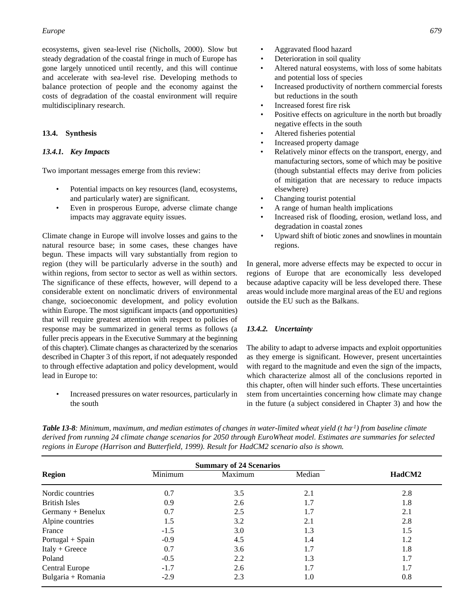#### *Europe 679*

ecosystems, given sea-level rise (Nicholls, 2000). Slow but steady degradation of the coastal fringe in much of Europe has gone largely unnoticed until recently, and this will continue and accelerate with sea-level rise. Developing methods to balance protection of people and the economy against the costs of degradation of the coastal environment will require multidisciplinary research.

#### **13.4. Synthesis**

#### *13.4.1. Key Impacts*

Two important messages emerge from this review:

- Potential impacts on key resources (land, ecosystems, and particularly water) are significant.
- Even in prosperous Europe, adverse climate change impacts may aggravate equity issues.

Climate change in Europe will involve losses and gains to the natural resource base; in some cases, these changes have begun. These impacts will vary substantially from region to region (they will be particularly adverse in the south) and within regions, from sector to sector as well as within sectors. The significance of these effects, however, will depend to a considerable extent on nonclimatic drivers of environmental change, socioeconomic development, and policy evolution within Europe. The most significant impacts (and opportunities) that will require greatest attention with respect to policies of response may be summarized in general terms as follows (a fuller precis appears in the Executive Summary at the beginning of this chapter). Climate changes as characterized by the scenarios described in Chapter 3 of this report, if not adequately responded to through effective adaptation and policy development, would lead in Europe to:

• Increased pressures on water resources, particularly in the south

- Aggravated flood hazard
- Deterioration in soil quality
- Altered natural eosystems, with loss of some habitats and potential loss of species
- Increased productivity of northern commercial forests but reductions in the south
- Increased forest fire risk
- Positive effects on agriculture in the north but broadly negative effects in the south
- Altered fisheries potential
- Increased property damage
- Relatively minor effects on the transport, energy, and manufacturing sectors, some of which may be positive (though substantial effects may derive from policies of mitigation that are necessary to reduce impacts elsewhere)
- Changing tourist potential
- A range of human health implications
- Increased risk of flooding, erosion, wetland loss, and degradation in coastal zones
- Upward shift of biotic zones and snowlines in mountain regions.

In general, more adverse effects may be expected to occur in regions of Europe that are economically less developed because adaptive capacity will be less developed there. These areas would include more marginal areas of the EU and regions outside the EU such as the Balkans.

#### *13.4.2. Uncertainty*

The ability to adapt to adverse impacts and exploit opportunities as they emerge is significant. However, present uncertainties with regard to the magnitude and even the sign of the impacts, which characterize almost all of the conclusions reported in this chapter, often will hinder such efforts. These uncertainties stem from uncertainties concerning how climate may change in the future (a subject considered in Chapter 3) and how the

*Table 13-8: Minimum, maximum, and median estimates of changes in water-limited wheat yield (t ha- 1) from baseline climate derived from running 24 climate change scenarios for 2050 through EuroWheat model. Estimates are summaries for selected regions in Europe (Harrison and Butterfield, 1999). Result for HadCM2 scenario also is shown.*

| <b>Region</b>        | <b>Summary of 24 Scenarios</b> |         |        |        |
|----------------------|--------------------------------|---------|--------|--------|
|                      | Minimum                        | Maximum | Median | HadCM2 |
| Nordic countries     | 0.7                            | 3.5     | 2.1    | 2.8    |
| <b>British Isles</b> | 0.9                            | 2.6     | 1.7    | 1.8    |
| Germany + Benelux    | 0.7                            | 2.5     | 1.7    | 2.1    |
| Alpine countries     | 1.5                            | 3.2     | 2.1    | 2.8    |
| France               | $-1.5$                         | 3.0     | 1.3    | 1.5    |
| Portugal + Spain     | $-0.9$                         | 4.5     | 1.4    | 1.2    |
| $Italy + Greece$     | 0.7                            | 3.6     | 1.7    | 1.8    |
| Poland               | $-0.5$                         | 2.2     | 1.3    | 1.7    |
| Central Europe       | $-1.7$                         | 2.6     | 1.7    | 1.7    |
| Bulgaria + Romania   | $-2.9$                         | 2.3     | 1.0    | 0.8    |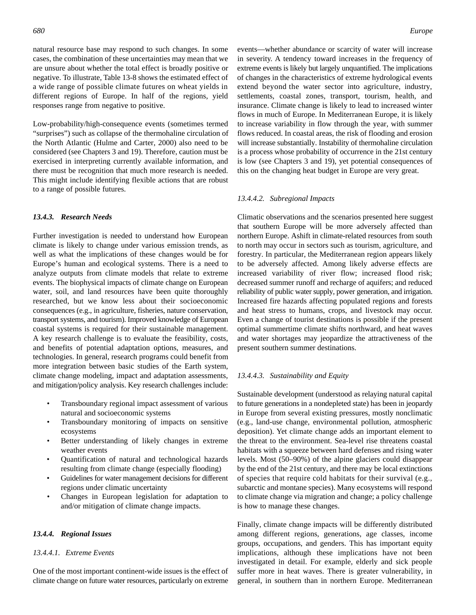natural resource base may respond to such changes. In some cases, the combination of these uncertainties may mean that we are unsure about whether the total effect is broadly positive or negative. To illustrate, Table 13-8 shows the estimated effect of a wide range of possible climate futures on wheat yields in different regions of Europe. In half of the regions, yield responses range from negative to positive.

Low-probability/high-consequence events (sometimes termed "surprises") such as collapse of the thermohaline circulation of the North Atlantic (Hulme and Carter, 2000) also need to be considered (see Chapters 3 and 19). Therefore, caution must be exercised in interpreting currently available information, and there must be recognition that much more research is needed. This might include identifying flexible actions that are robust to a range of possible futures.

#### *13.4.3. Research Needs*

Further investigation is needed to understand how European climate is likely to change under various emission trends, as well as what the implications of these changes would be for Europe's human and ecological systems. There is a need to analyze outputs from climate models that relate to extreme events. The biophysical impacts of climate change on European water, soil, and land resources have been quite thoroughly researched, but we know less about their socioeconomic consequences (e.g., in agriculture, fisheries, nature conservation, transport systems, and tourism). Improved knowledge of European coastal systems is required for their sustainable management. A key research challenge is to evaluate the feasibility, costs, and benefits of potential adaptation options, measures, and technologies. In general, research programs could benefit from more integration between basic studies of the Earth system, climate change modeling, impact and adaptation assessments, and mitigation/policy analysis. Key research challenges include:

- Transboundary regional impact assessment of various natural and socioeconomic systems
- Transboundary monitoring of impacts on sensitive ecosystems
- Better understanding of likely changes in extreme weather events
- Quantification of natural and technological hazards resulting from climate change (especially flooding)
- Guidelines for water management decisions for different regions under climatic uncertainty
- Changes in European legislation for adaptation to and/or mitigation of climate change impacts.

#### *13.4.4. Regional Issues*

#### *13.4.4.1. Extreme Events*

One of the most important continent-wide issues is the effect of climate change on future water resources, particularly on extreme events—whether abundance or scarcity of water will increase in severity. A tendency toward increases in the frequency of extreme events is likely but largely unquantified. The implications of changes in the characteristics of extreme hydrological events extend beyond the water sector into agriculture, industry, settlements, coastal zones, transport, tourism, health, and insurance. Climate change is likely to lead to increased winter flows in much of Europe. In Mediterranean Europe, it is likely to increase variability in flow through the year, with summer flows reduced. In coastal areas, the risk of flooding and erosion will increase substantially. Instability of thermohaline circulation is a process whose probability of occurrence in the 21st century is low (see Chapters 3 and 19), yet potential consequences of this on the changing heat budget in Europe are very great.

#### *13.4.4.2. Subregional Impacts*

Climatic observations and the scenarios presented here suggest that southern Europe will be more adversely affected than northern Europe. Ashift in climate-related resources from south to north may occur in sectors such as tourism, agriculture, and forestry. In particular, the Mediterranean region appears likely to be adversely affected. Among likely adverse effects are increased variability of river flow; increased flood risk; decreased summer runoff and recharge of aquifers; and reduced reliability of public water supply, power generation, and irrigation. Increased fire hazards affecting populated regions and forests and heat stress to humans, crops, and livestock may occur. Even a change of tourist destinations is possible if the present optimal summertime climate shifts northward, and heat waves and water shortages may jeopardize the attractiveness of the present southern summer destinations.

#### *13.4.4.3. Sustainability and Equity*

Sustainable development (understood as relaying natural capital to future generations in a nondepleted state) has been in jeopardy in Europe from several existing pressures, mostly nonclimatic (e.g., land-use change, environmental pollution, atmospheric deposition). Yet climate change adds an important element to the threat to the environment. Sea-level rise threatens coastal habitats with a squeeze between hard defenses and rising water levels. Most (50–90%) of the alpine glaciers could disappear by the end of the 21st century, and there may be local extinctions of species that require cold habitats for their survival (e.g., subarctic and montane species). Many ecosystems will respond to climate change via migration and change; a policy challenge is how to manage these changes.

Finally, climate change impacts will be differently distributed among different regions, generations, age classes, income groups, occupations, and genders. This has important equity implications, although these implications have not been investigated in detail. For example, elderly and sick people suffer more in heat waves. There is greater vulnerability, in general, in southern than in northern Europe. Mediterranean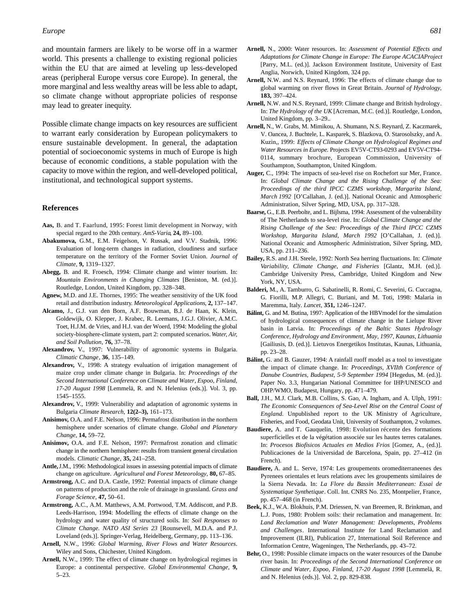#### *Europe 681*

and mountain farmers are likely to be worse off in a warmer world. This presents a challenge to existing regional policies within the EU that are aimed at leveling up less-developed areas (peripheral Europe versus core Europe). In general, the more marginal and less wealthy areas will be less able to adapt, so climate change without appropriate policies of response may lead to greater inequity.

Possible climate change impacts on key resources are sufficient to warrant early consideration by European policymakers to ensure sustainable development. In general, the adaptation potential of socioeconomic systems in much of Europe is high because of economic conditions, a stable population with the capacity to move within the region, and well-developed political, institutional, and technological support systems.

#### **References**

- Aas, B. and T. Faarlund, 1995: Forest limit development in Norway, with special regard to the 20th century. AmS-Varia, 24, 89-100.
- **Abakumova,** G.M., E.M. Feigelson, V. Russak, and V.V. Stadnik, 1996: Evaluation of long-term changes in radiation, cloudiness and surface temperature on the territory of the Former Soviet Union. *Journal of Climate*, **9,** 1319–1327.
- **Abegg,** B. and R. Froesch, 1994: Climate change and winter tourism. In: *Mountain Environments in Changing Climates* [Beniston, M. (ed.)]. Routledge, London, United Kingdom, pp. 328–348.
- **Agnew,** M.D. and J.E. Thornes, 1995: The weather sensitivity of the UK food retail and distribution industry. *Meteorological Applications*, **2,** 137–147.
- **Alcamo,** J., G.J. van den Born, A.F. Bouwman, B.J. de Haan, K. Klein, Goldewijk, O. Klepper, J. Krabec, R. Leemans, J.G.J. Olivier, A.M.C. Toet, H.J.M. de Vries, and H.J. van der Woerd, 1994: Modeling the global society-biosphere-climate system, part 2: computed scenarios. *Water, Air, and Soil Pollution*, **76,** 37–78.
- **Alexandrov,** V., 1997: Vulnerability of agronomic systems in Bulgaria. *Climatic Change*, **36***,* 135–149.
- **Alexandrov,** V., 1998: A strategy evaluation of irrigation management of maize crop under climate change in Bulgaria. In: *Proceedings of the Second International Conference on Climate and Water, Espoo, Finland, 17-20 August 1998* [Lemmelä, R. and N. Helenius (eds.)]. Vol. 3, pp. 1545–1555.
- **Alexandrov,** V., 1999: Vulnerability and adaptation of agronomic systems in Bulgaria *Climate Research*, **12(2–3),** 161–173.
- **Anisimov,** O.A. and F.E. Nelson, 1996: Permafrost distribution in the northern hemisphere under scenarios of climate change. *Global and Planetary Change*, **14,** 59–72.
- **Anisimov,** O.A. and F.E. Nelson, 1997: Permafrost zonation and climatic change in the northern hemisphere: results from transient general circulation models. *Climatic Change*, **35,** 241–258.
- **Antle,** J.M., 1996: Methodological issues in assessing potential impacts of climate change on agriculture. *Agricultural and Forest Meteorology*, **80,** 67–85.
- **Armstrong,** A.C. and D.A. Castle, 1992: Potential impacts of climate change on patterns of production and the role of drainage in grassland. *Grass and Forage Science*, **47,** 50–61.
- **Armstrong,** A.C., A.M. Matthews, A.M. Portwood, T.M. Addiscott, and P.B. Leeds-Harrison, 1994: Modelling the effects of climate change on the hydrology and water quality of structured soils. In: *Soil Responses to Climate Change. NATO ASI Series 23* [Rounsevell, M.D.A. and P.J. Loveland (eds.)]. Springer-Verlag, Heidelberg, Germany, pp. 113–136.
- **Arnell,** N.W., 1996: *Global Warming, River Flows and Water Resources*. Wiley and Sons, Chichester, United Kingdom.
- **Arnell,** N.W., 1999: The effect of climate change on hydrological regimes in Europe: a continental perspective. *Global Environmental Change*, **9,** 5–23.
- **Arnell,** N., 2000: Water resources. In: *Assessment of Potential Effects and Adaptations for Climate Change in Europe: The Europe ACACIAProject* [Parry, M.L. (ed.)]. Jackson Environment Institute, University of East Anglia, Norwich, United Kingdom, 324 pp.
- **Arnell,** N.W. and N.S. Reynard, 1996: The effects of climate change due to global warming on river flows in Great Britain. *Journal of Hydrology*, **183,** 397–424.
- **Arnell,** N.W. and N.S. Reynard, 1999: Climate change and British hydrology. In: *The Hydrology of the UK* [Acreman, M.C. (ed.)]. Routledge, London, United Kingdom, pp. 3–29..
- Arnell, N., W. Grabs, M. Mimikou, A. Shumann, N.S. Reynard, Z. Kaczmarek, V. Oancea, J. Buchtele, L. Kasparek, S. Blazkova, O. Starosolszky, and A . Kuzin,, 1999: *Effects of Climate Change on Hydrological Regimes and Water Resources in Europe. Projects EV5V-CT93-0293 and EV5V-CT94-*0 114, summary brochure, European Commission, University of Southampton, Southampton, United Kingdom.
- **Auger,** C., 1994: The impacts of sea-level rise on Rochefort sur Mer, France. In: *Global Climate Change and the Rising Challenge of the Sea: Proceedings of the third IPCC CZMS workshop, Margarita Island, March 1992* [O'Callahan, J. (ed.)]. National Oceanic and Atmospheric Administration, Silver Spring, MD, USA, pp. 317–328.
- Baarse, G., E.B. Peerbolte, and L. Bijlsma, 1994: Assessment of the vulnerability of The Netherlands to sea-level rise. In: *Global Climate Change and the Rising Challenge of the Sea: Proceedings of the Third IPCC CZMS Workshop, Margarita Island, March 1992* [O'Callahan, J. (ed.)]. National Oceanic and Atmospheric Administration, Silver Spring, MD, USA, pp. 211–236.
- **Bailey,** R.S. and J.H. Steele, 1992: North Sea herring fluctuations. In: *Climate Variability, Climate Change, and Fisheries* [Glantz, M.H. (ed.)]. Cambridge University Press, Cambridge, United Kingdom and New York, NY, USA.
- **Balderi,** M., A. Tamburro, G. Sabatinelli, R. Romi, C. Severini, G. Cuccagna, G. Fiorilli, M.P. Allegri, C. Buriani, and M. Toti, 1998: Malaria in Maremma, Italy. *Lancet*, **351,** 1246–1247.
- Bálint, G. and M. Butina, 1997: Application of the HBV model for the simulation of hydrological consequences of climate change in the Lielupe River basin in Latvia. In: Proceedings of the Baltic States Hydrology *Conference, Hydrology and Environment, May, 1997, Kaunas, Lithuania* [Gailiusis, D. (ed.)]. Lietuvos Energetikos Institutas, Kaunas, Lithuania, pp. 23–28.
- **Bálint,** G. and B. Gauzer, 1994: A rainfall ruoff model as a tool to investigate the impact of climate change. In: *Proceedings, XVIIth Conference of Danube Countries, Budapest, 5-9 September 1994* [Hegedus, M. (ed.)]. Paper No. 3.3, Hungarian National Committee for IHP/UNESCO and OHP/WMO, Budapest, Hungary, pp. 471–479.
- **Ball,** J.H., M.J. Clark, M.B. Collins, S. Gao, A. Ingham, and A. Ulph, 1991: *The Economic Consequences of Sea-Level Rise on the Central Coast of England*. Unpublished report to the UK Ministry of Agriculture, Fisheries, and Food, Geodata Unit, University of Southampton, 2 volumes.
- Baudiere, A. and T. Gauquelin, 1998: Evolution récente des formations superficielles et de la végétation associée sur les hautes terres catalanes. In: *Procesos Biofisicos Actuales en Medios Frios* [Gomez, A., (ed.)]. Publicaciones de la Universidad de Barcelona, Spain, pp. 27–412 (in French).
- **Baudiere,** A. and L. Serve, 1974: Les groupements oromediterraneenes des Pyrenees orientales et leurs relations avec les groupements similaires de la Sierra Nevada. In: *La Flore du Bassin Mediterranean: Essai de Systematique Synthetique*. Coll. Int. CNRS No. 235, Montpelier, France, pp. 457–468 (in French).
- **Beek,** K.J., W.A. Blokhuis, P.M. Driessen, N. van Breemen, R. Brinkman, and L.J. Pons, 1980: Problem soils: their reclamation and management. In: *Land Reclamation and Water Management: Developments, Problems and Challenges*. International Institute for Land Reclamation and Improvement (ILRI), Publication 27, International Soil Reference and Information Centre, Wageningen, The Netherlands, pp. 43–72.
- **Behr,** O., 1998: Possible climate impacts on the water resources of the Danube river basin. In: *Proceedings of the Second International Conference on Climate and Water, Espoo, Finland, 17-20 August 1998* [Lemmelä, R. and N. Helenius (eds.)]. Vol. 2, pp. 829-838.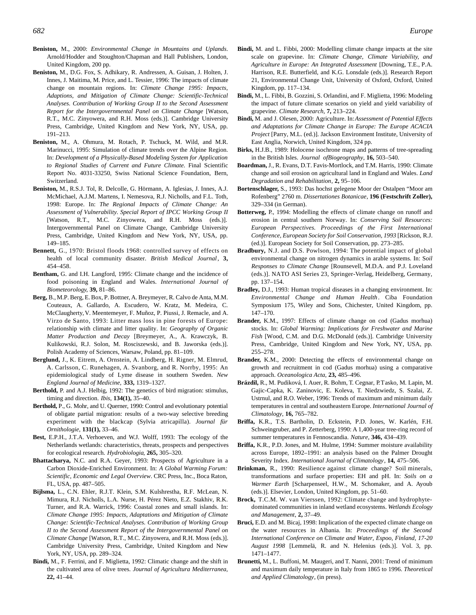United Kingdom, 200 pp. **Beniston,** M., D.G. Fox, S. Adhikary, R. Andressen, A. Guisan, J. Holten, J. Innes, J. Maitima, M. Price, and L. Tessier, 1996: The impacts of climate change on mountain regions. In: *Climate Change 1995: Impacts,* Adaptions, and Mitigation of Climate Change: Scientific-Technical *Analyses. Contribution of Working Group II to the Second Assessment Report for the Intergovernmental Panel on Climate Change* [Watson, R.T., M.C. Zinyowera, and R.H. Moss (eds.)]. Cambridge University Press, Cambridge, United Kingdom and New York, NY, USA, pp.

Arnold/Hodder and Stoughton/Chapman and Hall Publishers, London,

- **Beniston,** M., A. Ohmura, M. Rotach, P. Tschuck, M. Wild, and M.R. Marinucci, 1995: Simulation of climate trends over the Alpine Region. In: *Development of a Physically-Based Modeling System for Application to Regional Studies of Current and Future Climate*. Final Scientific Report No. 4031-33250, Swiss National Science Foundation, Bern, Switzerland.
- **Beniston,** M., R.S.J. Tol, R. Delcolle, G. Hörmann, A. Iglesias, J. Innes, A.J. McMichael, A.J.M. Martens, I. Nemesova, R.J. Nicholls, and F.L. Toth, 1998: Europe. In: *The Regional Impacts of Climate Change: An Assessment of Vulnerability. Special Report of IPCC Working Group II* [Watson, R.T., M.C. Zinyowera, and R.H. Moss (eds.)]. Intergovernmental Panel on Climate Change, Cambridge University Press, Cambridge, United Kingdom and New York, NY, USA, pp. 149–185.
- **Bennett,** G., 1970: Bristol floods 1968: controlled survey of effects on health of local community disaster. *British Medical Journal*, 3, 454-458.
- **Bentham,** G. and I.H. Langford, 1995: Climate change and the incidence of food poisoning in England and Wales. *International Journal of Biometeorology*, **39,** 81–86.
- **Berg,** B., M.P. Berg, E. Box, P. Bottner, A. Breymeyer, R. Calvo de Anta, M.M. Couteaux, A. Gallardo, A. Escudero, W. Kratz, M. Medeira, C. McClaugherty, V. Meentemeyer, F. Muñoz, P. Piussi, J. Remacle, and A. Virzo de Santo, 1993: Litter mass loss in pine forests of Europe: relationship with climate and litter quality. In: *Geography of Organic Matter Production and Decay* [Breymeyer, A., A. Krawczyk, B. Kulikowski, R.J. Solon, M. Rosciszewski, and B. Jaworska (eds.)]. Polish Academy of Sciences, Warsaw, Poland, pp. 81–109.
- Berglund, J., K. Eitrem, A. Ornstein, A. Lindberg, H. Rigner, M. Elmrud, A. Carlsson, C. Runehagen, A. Svanborg, and R. Norrby, 1995: An epidemiological study of Lyme disease in southern Sweden. New *England Journal of Medicine,* **333,** 1319–1327.
- **Berthold,** P. and A.J. Helbig, 1992: The genetics of bird migration: stimulus, timing and direction. *Ibis*, **134(1),** 35–40.
- Berthold, P., G. Mohr, and U. Querner, 1990: Control and evolutionary potential of obligate partial migration: results of a two-way selective breeding experiment with the blackcap (Sylvia atricapilla). *Journal für Ornithologie*, **131(1),** 33–46.
- **Best,** E.P.H., J.T.A. Verhoeven, and W.J. Wolff, 1993: The ecology of the Netherlands wetlands: characteristics, threats, prospects and perspectives for ecological research. *Hydrobiologia*, **265,** 305–320.
- **Bhattacharya,** N.C. and R.A. Geyer, 1993: Prospects of Agriculture in a Carbon Dioxide-Enriched Environment. In: *A Global Warming Forum: Scientific, Economic and Legal Overview*. CRC Press, Inc., Boca Raton, FL, USA, pp. 487–505.
- **Bijlsma,** L., C.N. Ehler, R.J.T. Klein, S.M. Kulshrestha, R.F. McLean, N. Mimura, R.J. Nicholls, L.A. Nurse, H. Pérez Nieto, E.Z. Stakhiv, R.K. Turner, and R.A. Warrick, 1996: Coastal zones and small islands. In: *Climate Change 1995: Impacts, Adaptations and Mitigation of Climate Change: Scientific-Technical Analyses. Contribution of Working Group II to the Second Assessment Report of the Intergovernmental Panel on Climate Change* [Watson, R.T., M.C. Zinyowera, and R.H. Moss (eds.)]. Cambridge University Press, Cambridge, United Kingdom and New York, NY, USA, pp. 289–324.
- **Bindi,** M., F. Ferrini, and F. Miglietta, 1992: Climatic change and the shift in the cultivated area of olive trees. *Journal of Agricultura Mediterranea*, **22,** 41–44.
- **Bindi,** M. and L. Fibbi, 2000: Modelling climate change impacts at the site scale on grapevine. In: *Climate Change, Climate Variability, and Agriculture in Europe: An Integrated Assessment* [Downing, T.E., P.A. Harrison, R.E. Butterfield, and K.G. Lonsdale (eds.)]. Research Report 21, Environmental Change Unit, University of Oxford, Oxford, United Kingdom, pp. 117–134.
- **Bindi,** M., L. Fibbi, B. Gozzini, S. Orlandini, and F. Miglietta, 1996: Modeling the impact of future climate scenarios on yield and yield variability of grapevine. *Climate Research*, **7,** 213–224.
- **Bindi,** M. and J. Olesen, 2000: Agriculture. In: *Assessment of Potential Effects and Adaptations for Climate Change in Europe: The Europe ACACIA Project* [Parry, M.L. (ed.)]. Jackson Environment Institute, University of East Anglia, Norwich, United Kingdom, 324 pp.
- **Birks,** H.J.B., 1989: Holocene isochrone maps and patterns of tree-spreading in the British Isles. *Journal ofBiogeography*, **16,** 503–540.
- **Boardman,** J., R. Evans, D.T. Favis-Mortlock, and T.M. Harris, 1990: Climate change and soil erosion on agricultural land in England and Wales. *Land Degradation and Rehabilitation*, **2,** 95–106.
- **Bortenschlager,** S., 1993: Das hochst gelegene Moor der Ostalpen "Moor am Rofenberg" 2760 m. *Dissertationes Botanicae*, **196 (Festschrift Zoller),** 329–334 (in German).
- **Botterweg,** P., 1994: Modelling the effects of climate change on runoff and erosion in central southern Norway. In: *Conserving Soil Resources: E u ropean Perspectives. Proceedings of the First International Conference, European Society for Soil Conservation, 1993* [Rickson, R.J. (ed.)]. European Society for Soil Conservation, pp. 273–285.
- Bradbury, N.J. and D.S. Powlson, 1994: The potential impact of global environmental change on nitrogen dynamics in arable systems. In: Soil *Responses to Climate Change* [Rounsevell, M.D.A. and P.J. Loveland (eds.)]. NATO ASI Series 23, Springer- Verlag, Heidelberg, Germany, pp. 137–154.
- **Bradley,** D.J., 1993: Human tropical diseases in a changing environment. In: *Environmental Change and Human Health*. Ciba Foundation Symposium 175, Wiley and Sons, Chichester, United Kingdom, pp. 147–170.
- **Brander,** K.M., 1997: Effects of climate change on cod (Gadus morhua) stocks. In: *Global Warming: Implications for Freshwater and Marine Fish* [Wood, C.M. and D.G. McDonald (eds.)]. Cambridge University Press, Cambridge, United Kingdom and New York, NY, USA, pp. 255–278.
- **Brander,** K.M., 2000: Detecting the effects of environmental change on growth and recruitment in cod (Gadus morhua) using a comparative approach. *Oceanologica Acta*, **23,** 485–496.
- **Brázdil,** R., M. Pudiková, I. Auer, R. Bohm, T. Cegnar, P.Tasko, M. Lapin, M. Gajic-Capka, K. Zaninovic, E. Koleva, T. Niedzwiedz, S. Szalai, Z. Ustrnul, and R.O. Weber, 1996: Trends of maximum and minimum daily temperatures in central and southeastern Europe. *International Journal of Climatology*, **16,** 765–782.
- Briffa, K.R., T.S. Bartholin, D. Eckstein, P.D. Jones, W. Karlén, F.H. Schweingruber, and P. Zetterberg, 1990: A 1,400-year tree-ring record of summer temperatures in Fennoscandia. *Nature*, **346,** 434–439.
- **Briffa,** K.R., P.D. Jones, and M. Hulme, 1994: Summer moisture availability across Europe, 1892–1991: an analysis based on the Palmer Drought Severity Index. *International Journal of Climatology*, **14,** 475–506.
- Brinkman, R., 1990: Resilience against climate change? Soil minerals, transformations and surface properties: EH and pH. In: *Soils on a Warmer Earth* [Scharpenseel, H.W., M. Schomaker, and A. Ayoub (eds.)]. Elsevier, London, United Kingdom, pp. 51–60.
- Brock, T.C.M. W. van Vierssen, 1992: Climate change and hydrophytedominated communities in inland wetland ecosystems. Wetlands Ecology *and Management*, **2,** 37–49.
- **Bruci,** E.D. and M. Bicaj, 1998: Implication of the expected climate change on the water resources in Albania. In: Proceedings of the Second *International Conference on Climate and Water, Espoo, Finland, 17-20 August 1998* [Lemmelä, R. and N. Helenius (eds.)]. Vol. 3, pp. 1471–1477.
- **Brunetti,** M., L. Buffoni, M. Maugeri, and T. Nanni, 2001: Trend of minimum and maximum daily temperature in Italy from 1865 to 1996. *Theoretical and Applied Climatology*, (in press).

191–213.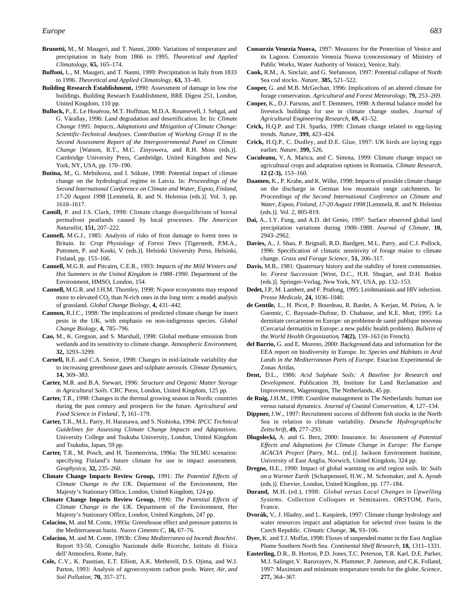- **Brunetti,** M., M. Maugeri, and T. Nanni, 2000: Variations of temperature and precipitation in Italy from 1866 to 1995. *Theoretical and Applied Climatology*, **65,** 165–174.
- **Buffoni,** L., M. Maugeri, and T. Nanni, 1999: Precipitation in Italy from 1833 to 1996. *Theoretical and Applied Climatology*, **63,** 33–40.
- **Building Research Establishment,** 1990: Assessment of damage in low rise buildings. Building Research Establishment, BRE Digest 251, London, United Kingdom, 110 pp.
- **Bullock,** P., E. Le Houérou, M.T. Hoffman, M.D.A. Rounsevell, J. Sehgal, and G. Várallay, 1996: Land degradation and desertification. In: In: *Climate Change 1995: Impacts, Adaptations and Mitigation of Climate Change: Scientific-Technical Analyses. Contribution of Working Group II to the Second Assessment Report of the Intergovernmental Panel on Climate Change* [Watson, R.T., M.C. Zinyowera, and R.H. Moss (eds.)]. Cambridge University Press, Cambridge, United Kingdom and New York, NY, USA, pp. 170–190.
- **Butina,** M., G. Melnikova, and I. Stikute, 1998: Potential impact of climate change on the hydrological regime in Latvia. In: *Proceedings of the Second International Conference on Climate and Water, Espoo, Finland, 17-20 August 1998* [Lemmelä, R. and N. Helenius (eds.)]. Vol. 3, pp. 1610–1617.
- Camill, P. and J.S. Clark, 1998: Climate change disequilibrium of boreal permafrost peatlands caused by local processes. The American *Naturalist*, **151,** 207–222.
- **Cannell,** M.G.J., 1985: Analysis of risks of frost damage to forest trees in Britain. In: *Crop Physiology of Forest Trees* [Tigerstedt, P.M.A., Puttonen, P. and Koski, V. (eds.)]. Helsinki University Press, Helsinki, Finland, pp. 153–166.
- **Cannell,** M.G.R. and Pitcairn, C.E.R., 1993: *Impacts of the Mild Winters and Hot Summers in the United Kingdom in 1988–1990*. Department of the Environment, HMSO, London, 154.
- **Cannell,** M.G.R. and J.H.M. Thornley, 1998: N-poor ecosystems may respond more to elevated  $CO<sub>2</sub>$  than N-rich ones in the long term: a model analysis of grassland. *Global Change Biology*, **4,** 431–442.
- **Cannon,** R.J.C., 1998: The implications of predicted climate change for insect pests in the UK, with emphasis on non-indigenous species. *Global Change Biology*, **4,** 785–796.
- **Cao,** M., K. Gregson, and S. Marshall, 1998: Global methane emission from wetlands and its sensitivity to climate change. *Atmospheric Environment*, **32,** 3293–3299.
- **Carnell,** R.E. and C.A. Senior, 1998: Changes in mid-latitude variability due to increasing greenhouse gases and sulphate aerosols. *Climate Dynamics,* **14,** 369–383.
- **Carter,** M.R. and B.A. Stewart, 1996: *Structure and Organic Matter Storage in Agricultural Soils*. CRC Press, London, United Kingdom, 125 pp.
- **Carter,** T.R., 1998: Changes in the thermal growing season in Nordic countries during the past century and prospects for the future. *Agricultural and Food Science in Finland*, **7,** 161–179.
- **Carter,** T.R., M.L. Parry, H. Harasawa, and S. Nishioka, 1994: *IPCC Technical Guidelines for Assessing Climate Change Impacts and Adaptations*. University College and Tsukuba University, London, United Kingdom and Tsukuba, Japan, 59 pp.
- **Carter,** T.R., M. Posch, and H. Tuomenvirta, 1996a: The SILMU scenarios: specifying Finland's future climate for use in impact assessment. *Geophysica*, **32,** 235–260.
- **Climate Change Impacts Review Group,** 1991: *The Potential Effects of Climate Change in the UK*. Department of the Environment, Her Majesty's Stationary Office, London, United Kingdom, 124 pp.
- **Climate Change Impacts Review Group,** 1996: *The Potential Effects of Climate Change in the UK*. Department of the Environment, Her Majesty's Stationary Office, London, United Kingdom, 247 pp.
- **Colacino,** M. and M. Conte, 1993a: Greenhouse effect and pressure patterns in the Mediterranean basin. *Nuovo Cimento C*, **16,** 67–76.
- **Colacino,** M. and M. Conte, 1993b: *Clima Mediterraneo ed Incendi Boschivi*. Report 93-50, Consiglio Nazionale delle Ricerche, Istituto di Fisica dell'Atmosfera, Rome, Italy.
- **Cole,** C.V., K. Paustian, E.T. Elliott, A.K. Metherell, D.S. Ojima, and W.J. Parton, 1993: Analysis of agroecosystem carbon pools. *Water, Air, and Soil Pollution*, **70,** 357–371.
- **Consorzio Venezia Nuova,** 1997: Measures for the Protection of Venice and its Lagoon. Consorzio Venezia Nuova (concessionary of Ministry of Public Works, Water Authority of Venice), Venice, Italy.
- **Cook,** R.M., A. Sinclair, and G. Stefansson, 1997: Potential collapse of North Sea cod stocks. *Nature*, **385,** 521–522.
- **Cooper,** G. and M.B. McGechan, 1996: Implications of an altered climate for forage conservation. *Agricultural and Forest Meteorology*, **79,** 253–269.
- **Cooper,** K., D.J. Parsons, and T. Demmers, 1998: A thermal balance model for livestock buildings for use in climate change studies. *Journal of Agricultural Engineering Research*, **69,** 43–52.
- **Crick,** H.Q.P. and T.H. Sparks, 1999: Climate change related to egg-laying trends. *Nature*, **399,** 423–424.
- Crick, H.Q.P., C. Dudley, and D.E. Glue, 1997: UK birds are laying eggs earlier. *Nature*, 399, 526.
- **Cuculeanu,** V, A. Marica, and C. Simota, 1999: Climate change impact on agricultural crops and adaptation options in Romania. *Climate Research,* **12 (2-3),** 153–160.
- **Daamen,** K., P. Krahe, and K. Wilke, 1998: Impacts of possible climate change on the discharge in German low mountain range catchments. In: *Proceedings of the Second International Conference on Climate and Water, Espoo, Finland, 17-20 August 1998* [Lemmelä, R. and N. Helenius (eds.)]. Vol. 2, 805-819.
- **Dai,** A., I.Y. Fung, and A.D. del Genio, 1997: Surface observed global land precipitation variations during 1900–1988. *Journal of Climate*, **10,** 2943–2962.
- **Davies,** A., J. Shao, P. Brignall, R.D. Bardgett, M.L. Parry, and C.J. Pollock, 1996: Specification of climatic sensitivity of forage maize to climate change. *Grass and Forage Science*, **51,** 306–317.
- **Davis,** M.B., 1981: Quaternary history and the stability of forest communities. In: *Forest Succession* [West, D.C., H.H. Shugart, and D.H. Botkin (eds.)]. Springer-Verlag, New York, NY, USA, pp. 132–153.
- Dedet, J.P., M. Lambert, and F. Pratlong, 1995: Leishmaniasis and HIV infection. *Presse Medicale*, **24,** 1036–1040.
- **de Gentile,** L., H. Picot, P. Bourdeau, R. Bardet, A. Kerjan, M. Piriou, A. le Guennic, C. Bayssade-Dufour, D. Chabasse, and K.E. Mott, 1995: La dermitate cercarienne en Europe: un probleme de santé publique nouveau (Cercarial dermatitis in Europe: a new public health problem). *Bulletin of the.World Health Organization*, **74(2),** 159–163 (in French).
- **del Barrio,** G. and E. Moreno, 2000: Background data and information for the EEA report on biodiversity in Europe. In: *Species and Habitats in Arid Lands in the Mediterranean Parts of Europe*. Estacion Experimental de Zonas Aridas.
- **Dent, D.L., 1986:** Acid Sulphate Soils: A Baseline for Research and *Development*. Publication 39, Institute for Land Reclamation and Improvement, Wageningen, The Netherlands, 45 pp.
- **de Ruig,** J.H.M., 1998: Coastline management in The Netherlands: human use versus natural dynamics. *Journal of Coastal Conservation,* **4**, 127–134.
- **Dippner,** J.W., 1997: Recruitment success of different fish stocks in the North Sea in relation to climate variability. *Deutsche Hydrographische Zeitschrift*, **49,** 277–293.
- **Dlugolecki,** A. and G. Berz, 2000: Insurance. In: *Assessment of Potential Effects and Adaptations for Climate Change in Europe: The Europe ACACIA Project* [Parry, M.L. (ed.)]. Jackson Environment Institute, University of East Anglia, Norwich, United Kingdom, 324 pp.
- **Dregne,** H.E., 1990: Impact of global warming on arid region soils. In: *Soils on a Warmer Earth* [Scharpenseel, H.W., M. Schomaker, and A. Ayoub (eds.)]. Elsevier, London, United Kingdom, pp. 177–184.
- **Durand,** M.H. (ed.), 1998: *Global versus Local Changes in Upwelling* Systems. Collection Colloques et Séminaires. ORSTOM, Paris, France.
- **Dvorák,** V., J. Hladny, and L. Kaspárek, 1997: Climate change hydrology and water resources impact and adaptation for selected river basins in the Czech Republic. *Climatic Change*, **36,** 93–106.
- **Dyer,** K. and T.J. Moffat, 1998: Fluxes of suspended matter in the East Anglian Plume Southern North Sea. *Continental Shelf Research*, **18,** 1311–1331.
- **Easterling,** D.R., B. Horton, P.D. Jones, T.C. Peterson, T.R. Karl, D.E. Parker, M.J. Salinger, V. Razuvayev, N. Plummer, P. Jameson, and C.K. Folland, 1997: Maximum and minimum temperature trends for the globe. *Science*, **277,** 364–367.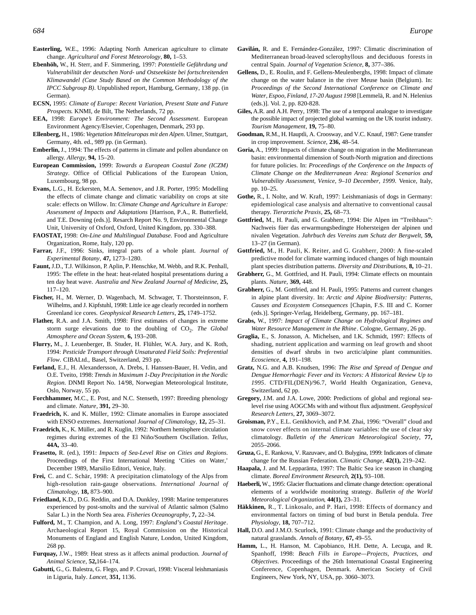- **Easterling,** W.E., 1996: Adapting North American agriculture to climate change. *Agricultural and Forest Meteorology*, **80,** 1–53.
- **Ebenhöh,** W., H. Sterr, and F. Simmering, 1997: *Potentielle Gefährdung und Vulnerabilität der deutschen Nord- und Ostseeküste bei fortschreitenden Klimawandel (Case Study Based on the Common Methodology of the IPCC Subgroup B)*. Unpublished report, Hamburg, Germany, 138 pp. (in German).
- **ECSN,** 1995: *Climate of Europe: Recent Variation, Present State and Future Prospects*. KNMI, de Bilt, The Netherlands, 72 pp.
- **EEA,** 1998: *Europe's Environment: The Second Assessment*. European Environment Agency/Elsevier, Copenhagen, Denmark*,* 293 pp.
- **Ellenberg,** H., 1986: *Vegetation Mitteleuropas mit den Alpen*. Ulmer, Stuttgart, Germany, 4th. ed., 989 pp. (in German).
- **Emberlin,** J., 1994: The effects of patterns in climate and pollen abundance on allergy. *Allergy*, **94,** 15–20.
- **European Commission,** 1999: *Towards a European Coastal Zone (ICZM)* **Strategy**. Office of Official Publications of the European Union, Luxembourg, 98 pp.
- **Evans,** L.G., H. Eckersten, M.A. Semenov, and J.R. Porter, 1995: Modelling the effects of climate change and climatic variability on crops at site scale: effects on Willow. In: *Climate Change and Agriculture in Europe: Assessment of Impacts and Adaptations* [Harrison, P.A., R. Butterfield, and T.E. Downing (eds.)]. Resarch Report No. 9, Environmental Change Unit, University of Oxford, Oxford, United Kingdom, pp. 330–388.
- **FAOSTAT,** 1998: *On-Line and Multilingual Database*. Food and Agriculture Organization, Rome, Italy, 120 pp.
- Farrar, J.F., 1996: Sinks, integral parts of a whole plant. *Journal of Experimental Botany*, **47,** 1273–1280.
- **Faunt,** J.D., T.J. Wilkinson, P. Aplin, P. Henschke, M. Webb, and R.K. Penhall, 1995: The effete in the heat: heat-related hospital presentations during a ten day heat wave. *Australia and New Zealand Journal of Medicine*, **25,** 117–120.
- **Fischer,** H., M. Werner, D. Wagenbach, M. Schwager, T. Thorsteinnson, F. Wilhelms, and J. Kipfstuhl, 1998: Little ice age clearly recorded in northern Greenland ice cores. *Geophysical Research Letters*, **25,** 1749–1752.
- **Flather,** R.A. and J.A. Smith, 1998: First estimates of changes in extreme storm surge elevations due to the doubling of CO<sub>2</sub>. The Global *Atmosphere and Ocean System*, **6,** 193–208.
- **Flurry,** M., J. Leuenberger, B. Studer, H. Flühler, W.A. Jury, and K. Roth, 1994: *Pesticide Transport through Unsaturated Field Soils: Preferential Flow*. CIBALtd., Basel, Switzerland, 293 pp.
- **Førland,** E.J., H. Alexandersson, A. Drebs, I. Hanssen-Bauer, H. Vedin, and O.E. Tveito, 1998: *Trends in Maximum 1-Day Precipitation in the Nordic Region*. DNMI Report No. 14/98, Norwegian Meteorological Institute, Oslo, Norway, 55 pp.
- **Forchhammer,** M.C., E. Post, and N.C. Stenseth, 1997: Breeding phenology and climate. *Nature*, **391,** 29–30.
- **Fraedrich,** K. and K. Müller, 1992: Climate anomalies in Europe associated with ENSO extremes. *International Journal of Climatology,* **12,** 25–31.
- Fraedrich, K., K. Müller, and R. Kuglin, 1992: Northern hemisphere circulation regimes during extremes of the El Niño/Southern Oscillation. *Tellus*, **44A,** 33–40.
- **Frasetto,** R. (ed.), 1991: *Impacts of Sea-Level Rise on Cities and Regions*. Proceedings of the First International Meeting 'Cities on Water,' December 1989, Marsilio Editori, Venice, Italy.
- Frei, C. and C. Schär, 1998: A precipitation climatology of the Alps from high-resolution rain-gauge observations. *International Journal of Climatology*, **18,** 873–900.
- **Friedland,** K.D., D.G. Reddin, and D.A. Dunkley, 1998: Marine temperatures experienced by post-smolts and the survival of Atlantic salmon (Salmo Salar L.) in the North Sea area. *Fisheries Oceanography*, **7,** 22–34.
- **Fulford,** M., T. Champion, and A. Long, 1997: *England's Coastal Heritage*. Archaeological Report 15, Royal Commission on the Historical Monuments of England and English Nature, London, United Kingdom, 268 pp.
- **Furquay,** J.W., 1989: Heat stress as it affects animal production. *Journal of Animal Science*, **52,**164–174.
- Gabutti, G., G. Balestra, G. Flego, and P. Crovari, 1998: Visceral leishmaniasis in Liguria, Italy. *Lancet*, **351,** 1136.
- **Gavilán,** R. and E. Fernández-González, 1997: Climatic discrimination of Mediterranean broad-leaved sclerophyllous and deciduous forests in central Spain. *Journal of Vegetation Science*, 8, 377-386.
- **Gellens,** D., E. Roulin, and F. Gellens-Meulenberghs, 1998: Impact of climate change on the water balance in the river Meuse basin (Belgium). In: *Proceedings of the Second International Conference on Climate and Water, Espoo, Finland, 17-20 August 1998* [Lemmelä, R. and N. Helenius (eds.)]. Vol. 2, pp. 820-828.
- **Giles, A.R.** and A.H. Perry, 1998: The use of a temporal analogue to investigate the possible impact of projected global warming on the UK tourist industry. *Tourism Management*, **19,** 75–80.
- Goodman, R.M., H. Hauptli, A. Croosway, and V.C. Knauf, 1987: Gene transfer in crop improvement. *Science*, **236,** 48–54.
- **Goria,** A., 1999: Impacts of climate change on migration in the Mediterranean basin: environmental dimension of South-North migration and directions for future policies. In: *Proceedings of the Conference on the Impacts of Climate Change on the Mediterranean Area: Regional Scenarios and Vulnerability Assessment, Venice, 9–10 December, 1999*. Venice, Italy, pp. 10–25.
- **Gothe,** R., I. Nolte, and W. Kraft, 1997: Leishmaniasis of dogs in Germany: epidemiological case analysis and alternative to conventional causal therapy. Tierarztiche Praxis, 25, 68-73.
- **Gottfried,** M., H. Pauli, and G. Grabherr, 1994: Die Alpen im "Treibhaus": Nachweis füer das erwarmungsbedingte Hohersteigen der alpinen und nivalen Vegetation. *Jahrbuch des Vereins zum Schutz der Bergwelt*, **59,** 13–27 (in German).
- Gottfried, M., H. Pauli, K. Reiter, and G. Grabherr, 2000: A fine-scaled predictive model for climate warming induced changes of high mountain plant species distribution patterns. *Diversity and Distributions*, **8,** 10–21.
- **Grabherr,** G., M. Gottfried, and H. Pauli, 1994: Climate effects on mountain plants. *Nature*, **369,** 448.
- **Grabherr,** G., M. Gottfried, and H. Pauli, 1995: Patterns and current changes in alpine plant diversity. In: *Arctic and Alpine Biodiversity: Patterns, Causes and Ecosystem Consequences* [Chapin, F.S. III and C. Korner (eds.)]. Springer-Verlag, Heidelberg, Germany, pp. 167–181.
- **Grabs,** W., 1997: *Impact of Climate Change on Hydrological Regimes and Water Resource Management in the Rhine*. Cologne, Germany, 26 pp.
- **Graglia,** E., S. Jonasson, A. Michelsen, and I.K. Schmidt, 1997: Effects of shading, nutrient application and warming on leaf growth and shoot densities of dwarf shrubs in two arctic/alpine plant communities. *Ecoscience*, **4,** 191–198.
- **Gratz,** N.G. and A.B. Knudsen, 1996: *The Rise and Spread of Dengue and Dengue Hemorrhagic Fever and its Vectors: A Historical Review Up to* 1995. CTD/FIL(DEN)/96.7, World Health Organization, Geneva, Switzerland, 62 pp.
- **Gregory,** J.M. and J.A. Lowe, 2000: Predictions of global and regional sealevel rise using AOGCMs with and without flux adjustment. *Geophysical Research Letters*, **27,** 3069–3072.
- **Groisman,** P.Y., E.L. Genikhovich, and P.M. Zhai, 1996: "Overall" cloud and snow cover effects on internal climate variables: the use of clear sky climatology. *Bulletin of the American Meteorological Society*, 77, 2055–2066.
- Gruza, G., E. Rankova, V. Razuvaev, and O. Bulygina, 1999: Indicators of climate change for the Russian Federation. *Climatic Change*, **42(1),** 219–242.
- **Haapala,** J. and M. Lepparänta, 1997: The Baltic Sea ice season in changing climate. *Boreal Environment Research*, **2(1),** 93–108.
- Haeberli, W., 1995: Glacier fluctuations and climate change detection: operational elements of a worldwide monitoring strategy. *Bulletin of the World Meteorological Organization*, **44(1),** 23–31.
- Häkkinen, R., T. Linkosalo, and P. Hari, 1998: Effects of dormancy and environmental factors on timing of bud burst in Betula pendula. Tree *Physiology*, **18,** 707–712.
- **Hall,** D.O. and J.M.O. Scurlock, 1991: Climate change and the productivity of natural grasslands. *Annals of Botany*, **67,** 49–55.
- **Hamm,** L., H. Hanson, M. Capobianco, H.H. Dette, A. Lecuga, and R. Spanhoff, 1998: *Beach Fills in Europe-Projects, Practices, and Objectives*. Proceedings of the 26th International Coastal Engineering Conference, Copenhagen, Denmark. American Society of Civil Engineers, New York, NY, USA, pp. 3060–3073.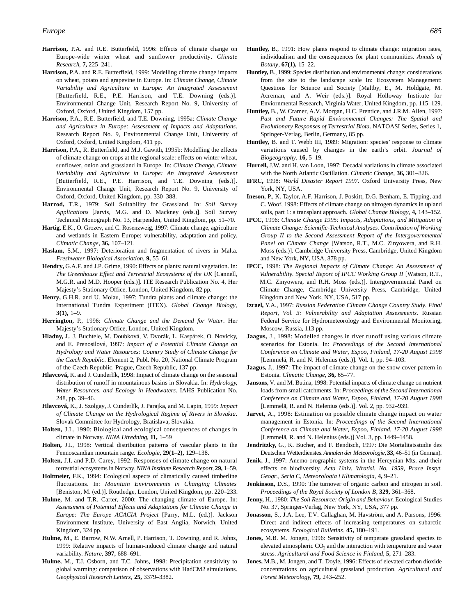- **Harrison,** P.A. and R.E. Butterfield, 1996: Effects of climate change on Europe-wide winter wheat and sunflower productivity. *Climate Research*, **7,** 225–241.
- **Harrison,** P.A. and R.E. Butterfield, 1999: Modelling climate change impacts on wheat, potato and grapevine in Europe. In: *Climate Change, Climate Variability and Agriculture in Europe: An Integrated Assessment* [Butterfield, R.E., P.E. Harrison, and T.E. Downing (eds.)]. Environmental Change Unit, Research Report No. 9, University of Oxford, Oxford, United Kingdom, 157 pp.
- **Harrison,** P.A., R.E. Butterfield, and T.E. Downing, 1995a: *Climate Change and Agriculture in Europe: Assessment of Impacts and Adaptations*. Research Report No. 9, Environmental Change Unit, University of Oxford, Oxford, United Kingdom, 411 pp.
- **Harrison,** P.A., R. Butterfield, and M.J. Gawith, 1995b: Modelling the effects of climate change on crops at the regional scale: effects on winter wheat, sunflower, onion and grassland in Europe. In: *Climate Change, Climate Variability and Agriculture in Europe: An Integrated Assessment* [Butterfield, R.E., P.E. Harrison, and T.E. Downing (eds.)]. Environmental Change Unit, Research Report No. 9, University of Oxford, Oxford, United Kingdom, pp. 330–388.
- Harrod, T.R., 1979: Soil Suitability for Grassland. In: Soil Survey Applications [Jarvis, M.G. and D. Mackney (eds.)]. Soil Survey Technical Monograph No. 13, Harpenden, United Kingdom, pp. 51–70.
- Hartig, E.K., O. Grozev, and C. Rosenzweig, 1997: Climate change, agriculture and wetlands in Eastern Europe: vulnerability, adaptation and policy. *Climatic Change*, **36,** 107–121.
- **Haslam,** S.M., 1997: Deterioration and fragmentation of rivers in Malta. *Freshwater Biological Association*, **9,** 55–61.
- **Hendry,** G.A.F. and J.P. Grime, 1990: Effects on plants: natural vegetation. In: *The Greenhouse Effect and Terrestrial Ecosystems of the UK* [Cannell, M.G.R. and M.D. Hooper (eds.)]. ITE Research Publication No. 4, Her Majesty's Stationary Office, London, United Kingdom, 82 pp.
- **Henry,** G.H.R. and U. Molau, 1997: Tundra plants and climate change: the International Tundra Experiment (ITEX). *Global Change Biology,*  $3(1), 1-9.$
- **Herrington,** P., 1996: *Climate Change and the Demand for Water*. Her Majesty's Stationary Office, London, United Kingdom.
- **Hladny,** J., J. Buchtele, M. Doubková, V. Dvorák, L. Kaspárek, O. Novicky, and E. Prenosilová, 1997: *Impact of a Potential Climate Change on Hydrology and Water Resources: Country Study of Climate Change for the Czech Republic*. Element 2, Publ. No. 20, National Climate Program of the Czech Republic, Prague, Czech Republic, 137 pp.
- **Hlavcová,** K. and J. Cunderlík, 1998: Impact of climate change on the seasonal distribution of runoff in mountainous basins in Slovakia. In: *Hydrology, Water Resources, and Ecology in Headwaters*. IAHS Publication No. 248, pp. 39–46.
- **Hlavcová,** K., J. Szolgay, J. Cunderlík, J. Parajka, and M. Lapin, 1999: *Impact of Climate Change on the Hydrological Regime of Rivers in Slovakia*. Slovak Committee for Hydrology, Bratislava, Slovakia.
- Holten, J.I., 1990: Biological and ecological consequences of changes in climate in Norway. *NINA Utredning*, 11, 1-59
- **Holten,** J.I., 1998: Vertical distribution patterns of vascular plants in the Fennoscandian mountain range. *Ecologie*, **29(1–2),** 129–138.
- Holten, J.I. and P.D. Carey, 1992: Responses of climate change on natural terrestrial ecosystems in Norway. *NINA Institute Research Report*, 29, 1-59.
- **Holtmeier,** F.K., 1994: Ecological aspects of climatically caused timberline fluctuations. In: *Mountain Environments in Changing Climates* [Beniston, M. (ed.)]. Routledge, London, United Kingdom, pp. 220–233.
- **Hulme,** M. and T.R. Carter, 2000: The changing climate of Europe. In: *Assessment of Potential Effects and Adaptations for Climate Change in Europe: The Europe ACACIA Project* [Parry, M.L. (ed.)]. Jackson Environment Institute, University of East Anglia, Norwich, United Kingdom, 324 pp.
- **Hulme,** M., E. Barrow, N.W. Arnell, P. Harrison, T. Downing, and R. Johns, 1999: Relative impacts of human-induced climate change and natural variability. *Nature*, **397,** 688–691.
- **Hulme,** M., T.J. Osborn, and T.C. Johns, 1998: Precipitation sensitivity to global warming: comparison of observations with HadCM2 simulations. *Geophysical Research Letters*, **25,** 3379–3382.
- **Huntley,** B., 1991: How plants respond to climate change: migration rates, individualism and the consequences for plant communities. *Annals of Botany*, **67(1),** 15–22.
- Huntley, B., 1999: Species distribution and environmental change: considerations from the site to the landscape scale In: Ecosystem Management: Questions for Science and Society [Maltby, E., M. Holdgate, M. Acreman, and A. Weir (eds.)]. Royal Holloway Institute for Enviornmental Research, Virginia Water, United Kingdom, pp. 115–129.
- **Huntley,** B., W. Cramer, A.V. Morgan, H.C. Prentice, and J.R.M. Allen, 1997: *Past and Future Rapid Environmental Changes: The Spatial and Evolutionary Responses of Terrestrial Biota*. NATOASI Series, Series 1, Springer-Verlag, Berlin, Germany, 85 pp.
- **Huntley,** B. and T. Webb III, 1989: Migration: species' response to climate variations caused by changes in the earth's orbit. *Journal of Biogeography*, **16,** 5–19.
- Hurrell, J.W. and H. van Loon, 1997: Decadal variations in climate associated with the North Atlantic Oscillation. *Climatic Change*, **36,** 301–326.
- **IFRC,** 1998: *World Disaster Report 1997*. Oxford University Press, New York, NY, USA.
- **Ineson,** P., K. Taylor, A.F. Harrison, J. Poskitt, D.G. Benham, E. Tipping, and C. Woof, 1998: Effects of climate change on nitrogen dynamics in upland soils, part 1: a transplant approach. *Global Change Biology*, **4,** 143–152.
- **IPCC,** 1996: *Climate Change 1995: Impacts, Adaptations, and Mitigation of Climate Change: Scientific-Technical Analyses. Contribution of Working Group II to the Second Assessment Report of the Intergovernmental Panel on Climate Change* [Watson, R.T., M.C. Zinyowera, and R.H. Moss (eds.)]. Cambridge University Press, Cambridge, United Kingdom and New York, NY, USA, 878 pp.
- **IPCC,** 1998: *The Regional Impacts of Climate Change: An Assessment of Vulnerability. Special Report of IPCC Working Group II* [Watson, R.T., M.C. Zinyowera, and R.H. Moss (eds.)]. Intergovernmental Panel on Climate Change, Cambridge University Press, Cambridge, United Kingdom and New York, NY, USA, 517 pp.
- **Izrael,** Y.A., 1997: *Russian Federation Climate Change Country Study. Final Report, Vol. 3: Vulnerability and Adaptation Assessments*. Russian Federal Service for Hydrometeorology and Environmental Monitoring, Moscow, Russia, 113 pp.
- **Jaagus, J., 1998: Modelled changes in river runoff using various climate** scenarios for Estonia. In: Proceedings of the Second International *Conference on Climate and Water, Espoo, Finland, 17-20 August 1998* [Lemmelä, R. and N. Helenius (eds.)]. Vol. 1, pp. 94–103.
- **Jaagus,** J., 1997: The impact of climate change on the snow cover pattern in Estonia. *Climatic Change*, **36,** 65–77.
- Jansons, V. and M. Butina, 1998: Potential impacts of climate change on nutrient loads from small catchments. In: *Proceedings of the Second International Conference on Climate and Water, Espoo, Finland, 17-20 August 1998* [Lemmelä, R. and N. Helenius (eds.)]. Vol. 2, pp. 932–939.
- **Jarvet**, A., 1998: Estimation on possible climate change impact on water management in Estonia. In: Proceedings of the Second International *Conference on Climate and Water, Espoo, Finland, 17-20 August 1998* [Lemmelä, R. and N. Helenius (eds.)].Vol. 3, pp. 1449–1458.
- **Jendritzky,** G., K. Bucher, and F. Bendisch, 1997: Die Mortalitatsstudie des Deutschen Wetterdienstes. Annalen der Meteorologie, 33, 46–51 (in German).
- **Jenik,** J., 1997: Anemo-orographic systems in the Hercynian Mts. and their effects on biodiversity. *Acta Univ. Wratisl. No. 1959, Prace Instyt. Geogr., Seria C, Meteorologia i Klimatologia*, **4,** 9–21.
- **Jenkinson,** D.S., 1990: The turnover of organic carbon and nitrogen in soil. *Proceedings of the Royal Society of London B*, **329,** 361–368.
- **Jenny,** H., 1980: *The Soil Resource: Origin and Behaviour.* Ecological Studies No. 37, Springer-Verlag, New York, NY, USA, 377 pp.
- **Jonasson,** S., J.A. Lee, T.V. Callaghan, M. Havström, and A. Parsons, 1996: Direct and indirect effects of increasing temperatures on subarctic ecosystems. *Ecological Bulletins*, 45, 180-191.
- **Jones,** M.B. M. Jongen, 1996: Sensitivity of temperate grassland species to elevated atmospheric  $\mathrm{CO}_2$  and the interaction with temperature and water stress. *Agricultural and Food Science in Finland*, **5,** 271–283.
- **Jones, M.B., M. Jongen, and T. Doyle, 1996: Effects of elevated carbon dioxide** concentrations on agricultural grassland production. *Agricultural and Forest Meteorology*, **79,** 243–252.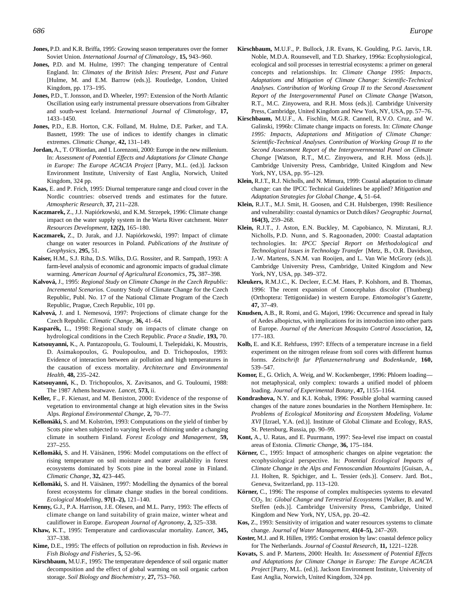- **Jones, P.D.** and K.R. Briffa, 1995: Growing season temperatures over the former Soviet Union. *International Journal of Climatology*, **15,** 943–960.
- **Jones,** P.D. and M. Hulme, 1997: The changing temperature of Central England. In: *Climates of the British Isles: Present, Past and Future* [Hulme, M. and E.M. Barrow (eds.)]. Routledge, London, United Kingdom, pp. 173–195.
- **Jones,** P.D., T. Jonsson, and D. Wheeler, 1997: Extension of the North Atlantic Oscillation using early instrumental pressure observations from Gibralter and south-west Iceland. *International Journal of Climatology*, 17, 1433–1450.
- **Jones,** P.D., E.B. Horton, C.K. Folland, M. Hulme, D.E. Parker, and T.A. Basnett, 1999: The use of indices to identify changes in climatic extremes. *Climatic Change*, **42,** 131–149.
- **Jordan,** A., T. O'Riordan, and I. Lorenzoni, 2000: Europe in the new millenium. In: *Assessment of Potential Effects and Adaptations for Climate Change in Europe: The Europe ACACIA Project* [Parry, M.L. (ed.)]. Jackson Environment Institute, University of East Anglia, Norwich, United Kingdom, 324 pp.
- **Kaas,** E. and P. Frich, 1995: Diurnal temperature range and cloud cover in the Nordic countries: observed trends and estimates for the future. *Atmospheric Research*, **37,** 211–228.
- **Kaczmarek,** Z., J.J. Napiórkowski, and K.M. Strzepek, 1996: Climate change impact on the water supply system in the Warta River catchment. *Water Resources Development*, **12(2),** 165–180.
- **Kaczmarek,** Z., D. Jurak, and J.J. Napiórkowski, 1997: Impact of climate change on water resources in Poland. *Publications of the Institute of Geophysics*, **295,** 51.
- **Kaiser,** H.M., S.J. Riha, D.S. Wilks, D.G. Rossiter, and R. Sampath, 1993: A farm-level analysis of economic and agronomic impacts of gradual climate warming. *American Journal of Agricultural Economics*, **75,** 387–398.
- **Kalvová,** J., 1995: *Regional Study on Climate Change in the Czech Republic: Incremental Scenarios.* Country Study of Climate Change for the Czech Republic, Publ. No. 17 of the National Climate Program of the Czech Republic, Prague, Czech Republic, 101 pp.
- **Kalvová,** J. and I. Nemesová, 1997: Projections of climate change for the Czech Republic. *Climatic Change*, **36,** 41–64.
- Kasparék, L., 1998: Regional study on impacts of climate change on hy drological conditions in the Czech Republic. *Prace a Studie*, 193, 70.
- **Katsouyanni,** K., A. Pantazopoulu, G. Touloumi, I. Tselepidaki, K. Moustris, D. Asimakopoulos, G. Poulopoulou, and D. Trichopoulos, 1993: Evidence of interaction between air pollution and high temperatures in the causation of excess mortality. *Architecture and Environmental Health*, **48,** 235–242.
- **Katsouyanni,** K., D. Trichopoulos, X. Zavitsanos, and G. Touloumi, 1988: The 1987 Athens heatwave. *Lancet*, **573,** ii.
- Keller, F., F. Kienast, and M. Beniston, 2000: Evidence of the response of vegetation to environmental change at high elevation sites in the Swiss Alps. *Regional Environmental Change*, **2,** 70–77.
- **Kellomäki,** S. and M. Kolström, 1993: Computations on the yield of timber by Scots pine when subjected to varying levels of thinning under a changing climate in southern Finland. *Forest Ecology and Management*, **59,** 237–255.
- Kellomäki, S. and H. Väisänen, 1996: Model computations on the effect of rising temperature on soil moisture and water availability in forest ecosystems dominated by Scots pine in the boreal zone in Finland. *Climatic Change*, **32,** 423–445.
- **Kellomäki,** S. and H. Väisänen, 1997: Modelling the dynamics of the boreal forest ecosystems for climate change studies in the boreal conditions. *Ecological Modelling*, **97(1–2),** 121–140.
- **Kenny,** G.J., P.A. Harrison, J.E. Olesen, and M.L. Parry, 1993: The effects of climate change on land suitability of grain maize, winter wheat and cauliflower in Europe. *European Journal of Agronomy*, 2, 325–338.
- **Khaw,** K.T., 1995: Temperature and cardiovascular mortality. *Lancet*, **345,** 337–338.
- **Kime,** D.E., 1995: The effects of pollution on reproduction in fish. *Reviews in Fish Biology and Fisheries*, **5,** 52–96.
- **Kirschbaum,** M.U.F., 1995: The temperature dependence of soil organic matter decomposition and the effect of global warming on soil organic carbon storage. *Soil Biology and Biochemistry*, **27,** 753–760.
- **Kirschbaum,** M.U.F., P. Bullock, J.R. Evans, K. Goulding, P.G. Jarvis, I.R. Noble, M.D.A. Rounsevell, and T.D. Sharkey, 1996a: Ecophysiological, ecological and soil processes in terrestrial ecosystems: a primer on general concepts and relationships. In: *Climate Change 1995: Impacts, Adaptations and Mitigation of Climate Change: Scientific-Technical Analyses. Contribution of Working Group II to the Second Assessment Report of the Intergovernmental Panel on Climate Change* [Watson, R.T., M.C. Zinyowera, and R.H. Moss (eds.)]. Cambridge University Press, Cambridge, United Kingdom and New York, NY, USA, pp. 57–76.
- **Kirschbaum,** M.U.F., A. Fischlin, M.G.R. Cannell, R.V.O. Cruz, and W. Galinski, 1996b: Climate change impacts on forests. In: *Climate Change 1995: Impacts, Adaptations and Mitigation of Climate Change: Scientific-Technical Analyses. Contribution of Working Group II to the Second Assessment Report of the Intergovernmental Panel on Climate Change* [Watson, R.T., M.C. Zinyowera, and R.H. Moss (eds.)]. Cambridge University Press, Cambridge, United Kingdom and New York, NY, USA, pp. 95–129.
- **Klein, R.J.T., R.J. Nicholls, and N. Mimura, 1999: Coastal adaptation to climate** change: can the IPCC Technical Guidelines be applied? *Mitigation and Adaptation Strategies for Global Change*, **4,** 51–64.
- **Klein,** R.J.T., M.J. Smit, H. Goosen, and C.H. Hulsbergen, 1998: Resilience and vulnerability: coastal dynamics or Dutch dikes? *Geographic Journal*, **164(3),** 259–268.
- **Klein,** R.J.T., J. Aston, E.N. Buckley, M. Capobianco, N. Mizutani, R.J. Nicholls, P.D. Nunn, and S. Ragoonaden, 2000: Coastal adaptation technologies. In: *IPCC Special Report on Methodological and Technological Issues in Technology Transfer* [Metz, B., O.R. Davidson, J.-W. Martens, S.N.M. van Rooijen, and L. Van Wie McGrory (eds.)]. Cambridge University Press, Cambridge, United Kingdom and New York, NY, USA, pp. 349–372.
- **Kleukers,** R.M.J.C., K. Decleer, E.C.M. Haes, P. Kolshorn, and B. Thomas, 1996: The recent expansion of Conocephalus discolor (Thunberg) (Orthoptera: Tettigoniidae) in western Europe. *Entomologist's Gazette*, **47,** 37–49.
- **Knudsen,** A.B., R. Romi, and G. Majori, 1996: Occurrence and spread in Italy of Aedes albopictus, with implications for its introduction into other parts of Europe. *Journal of the American Mosquito Control Association*, **12,** 177–183.
- **Kolb,** E. and K.E. Rehfuess, 1997: Effects of a temperature increase in a field experiment on the nitrogen release from soil cores with different humus forms. Zeitschrift fur Pflanzenernahrung und Bodenkunde, 160, 539–547.
- Komor, E., G. Orlich, A. Weig, and W. Kockenberger, 1996: Phloem loadingnot metaphysical, only complex: towards a unified model of phloem loading. *Journal of Experimental Botany*, **47,** 1155–1164.
- **Kondrashova,** N.Y. and K.I. Kobak, 1996: Possible global warming caused changes of the nature zones boundaries in the Northern Hemisphere. In: *Problems of Ecological Monitoring and Ecosystem Modeling, Volume XVI* [Izrael, Y.A. (ed.)]. Institute of Global Climate and Ecology, RAS, St. Petersburg, Russia, pp. 90–99.
- **Kont,** A., U. Ratas, and E. Puurmann, 1997: Sea-level rise impact on coastal areas of Estonia. *Climatic Change*, **36,** 175–184.
- **Körner,** C., 1995: Impact of atmospheric changes on alpine vegetation: the ecophysiological perspective. In: *Potential Ecological Impacts of Climate Change in the Alps and Fennoscandian Mountains* [Guisan, A., J.I. Holten, R. Spichiger, and L. Tessier (eds.)]. Conserv. Jard. Bot., Geneva, Switzerland, pp. 113–120.
- **Körner,** C., 1996: The response of complex multispecies systems to elevated CO<sup>2</sup> . In: *Global Change and Terrestrial Ecosystems* [Walker, B. and W. Steffen (eds.)]. Cambridge University Press, Cambridge, United Kingdom and New York, NY, USA, pp. 20–42.
- **Kos,** Z., 1993: Sensitivity of irrigation and water resources systems to climate change. *Journal of Water Management*, **41(4–5),** 247–269.
- Koster, M.J. and R. Hillen, 1995: Combat erosion by law: coastal defence policy for The Netherlands. *Journal of Coastal Research*, **11,** 1221–1228.
- **Kovats,** S. and P. Martens, 2000: Health. In: *Assessment of Potential Effects and Adaptations for Climate Change in Europe: The Europe ACACIA Project* [Parry, M.L. (ed.)]. Jackson Environment Institute, University of East Anglia, Norwich, United Kingdom, 324 pp.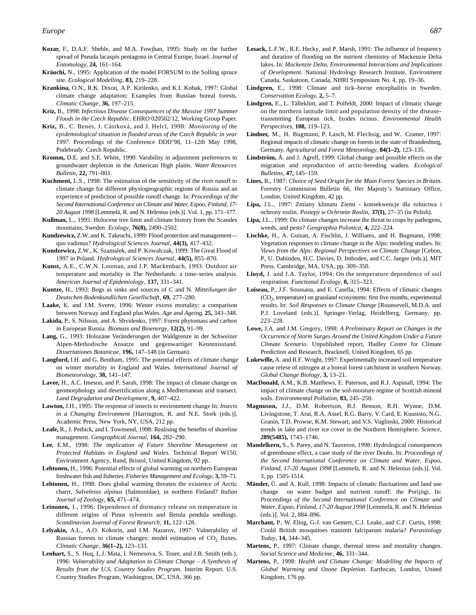- **Kozar,** F., D.A.F. Sheble, and M.A. Fowjhan, 1995: Study on the further spread of Pseuda lacaspis pentagona in Central Europe, Israel. *Journal of Entomology*, **24,** 161–164.
- **Kräuchi,** N., 1995: Application of the model FORSUM to the Solling spruce site. *Ecological Modelling*, **83,** 219–228.
- **Krankina,** O.N., R.K. Dixon, A.P. Kirilenko, and K.I. Kobak, 1997: Global climate change adaptation: Examples from Russian boreal forests. *Climatic Change*, **36,** 197–215.
- **Kríz,** B., 1998: *Infectious Disease Consequences of the Massive 1997 Summer Floods in the Czech Republic*. EHRO 020502/12, Working Group Paper.
- Kríz, B., C. Benes, J. Cástková, and J. Helcl, 1998: Monitoring of the *e p idemiological situation in flooded areas of the Czech Republic in year 1997*. Proceedings of the Conference DDD'98, 11–12th May 1998, Podebrady. Czech Republic.
- **Kromm,** D.E. and S.E. White, 1990: Varability in adjustment preferences to groundwater depletion in the American High plains. *Water Resources Bulletin*, **22,** 791–801.
- **Kuchment,** L.S., 1998: The estimation of the sensitivity of the river runoff to climate change for different physiogeographic regions of Russia and an experience of prediction of possible runoff change. In: *Proceedings of the Second International Conference on Climate and Water, Espoo, Finland, 17-20 August 1998* [Lemmelä, R. and N. Helenius (eds.)]. Vol. 1, pp. 171–177.
- **Kullman,** L., 1995: Holocene tree limit and climate history from the Scandes mountains, Sweden. *Ecology*, **76(8),** 2490–2502.
- Kundzewicz, Z.W. and K. Takeuchi, 1999: Flood protection and managementquo vadimus? *Hydrological Sciences Journal*, **44(3),** 417–432.
- **Kundzewicz,** Z.W., K. Szamalek, and P. Kowalczak, 1999: The Great Flood of 1997 in Poland. *Hydrological Sciences Journal*, **44(5),** 855–870.
- Kunst, A.E., C.W.N. Looman, and J.P. Mackenbach, 1993: Outdoor air temperature and mortality in The Netherlands: a time–series analysis. *American Journal of Epidemiology*, **137,** 331–341.
- **Kuntze,** H., 1993: Bogs as sinks and sources of C and N. *Mitteilungen der Deutschen Bodenkundlichen Gesellschaft*, **69,** 277–280.
- **Laake,** K. and J.M. Sverre, 1996: Winter excess mortality: a comparison between Norway and England plus Wales. *Age and Ageing*, **25,** 343–348.
- **Lakida,** P., S. Nilsson, and A. Shvidenko, 1997: Forest phytomass and carbon in European Russia. *Biomass and Bioenergy*, **12(2),** 91–99.
- **Lang,** G., 1993: Holozäne Veränderungen der Waldgrenze in der Schweizer Alpen-Methodische Ansatze und gegenwartiger Kenntnisstand. *Dissertationes Botanicae*, **196,** 147–148 (in German).
- **Langford,** I.H. and G. Bentham, 1995: The potential effects of climate change on winter mortality in England and Wales. *International Journal of Biometeorology*, **38,** 141–147.
- **Lavee,** H., A.C. Imeson, and P. Sarah, 1998: The impact of climate change on geomorphology and desertification along a Mediterranean arid transect. *Land Degradation and Development*, **9,** 407–422.
- **Lawton,** J.H., 1995: The response of insects to environment change In: *Insects in a Changing Environment* [Harrington, R. and N.E. Stork (eds.)]. Academic Press, New York, NY, USA, 212 pp.
- Leafe, R., J. Pethick, and I. Townsend, 1998: Realising the benefits of shoreline management. *Geographical Journal*, **164,** 282–290.
- **Lee,** E.M., 1998: *The implication of Future Shoreline Management on Protected Habitats in England and Wales*. Technical Report W150, Environment Agency, Rand, Bristol, United Kingdom, 92 pp.
- **Lehtonen,** H., 1996: Potential effects of global warming on northern European freshwater fish and fisheries. *Fisheries Management and Ecology*, **3**, 59–71.
- **Lehtonen,** H., 1998: Does global warming threaten the existence of Arctic charrr, *Salvelnius alpinus* (Salmonidae), in northern Finland? *Italian Journal of Zoology*, **65,** 471–474.
- Leinonen, I., 1996: Dependence of dormancy release on temperature in different origins of Pinus sylvestris and Betula pendula seedlings. *Scandinavian Journal of Forest Research*, **11,** 122–128.
- **Lelyakin,** A.L., A.O. Kokorin, and I.M. Nazarov, 1997: Vulnerability of Russian forests to climate changes: model estimation of  $CO_2$  fluxes. *Climatic Change*, **36(1–2),** 123–133.
- **Lenhart,** S., S. Huq, L.J. Mata, I. Nemesova, S. Toure, and J.B. Smith (eds.), 1996: *Vulnerability and Adaptation to Climate Change – A Synthesis of Results from the U.S. Country Studies Program*. Interim Report. U.S. Country Studies Program, Washington, DC, USA, 366 pp.
- **Lesack,** L.F.W., R.E. Hecky, and P. Marsh, 1991: The influence of frequency and duration of flooding on the nutrient chemistry of Mackenzie Delta lakes. In: *Mackenzie Delta, Environmental Interactions and Implications of Development*. National Hydrology Research Institute, Environment Canada, Saskatoon, Canada, NHRI Symposium No. 4, pp. 19–36.
- Lindgren, E., 1998: Climate and tick-borne encephalitis in Sweden. *Conservation Ecology,* **2,** 5–7.
- **Lindgren,** E., L. Tälleklint, and T. Polfeldt, 2000: Impact of climatic change on the northern latitude limit and population density of the diseasetransmitting European tick, Ixodes ricinus. *Environmental Health Perspectives*, **108,** 119–123.
- Lindner, M., H. Bugmann, P. Lasch, M. Flechsig, and W. Cramer, 1997: Regional impacts of climatic change on forests in the state of Brandenburg, Germany. Agricultural and Forest Meteorology, 84(1-2), 123-135.
- **Lindström,** Å. and J. Agrell, 1999: Global change and possible effects on the migration and reproduction of arctic-breeding waders. *Ecological Bulletins*, **47,** 145–159.
- **Lines,** R., 1987: *Choice of Seed Origin for the Main Forest Species in Britain*. Forestry Commission Bulletin 66, Her Majesty's Stationary Office, London, United Kingdom, 42 pp.
- **Lipa,** J.L., 1997: Zmiany klimatu Ziemi konsekwencje dla rolnictwa i ochrony roslin. *Postepy w Ochronie Roslin,* **37(I),** 27–35 (in Polish).
- **Lipa,** J.L., 1999: Do climate changes increase the threat to crops by pathogens, weeds, and pests? *Geographia Polonica*, **4,** 222–224.
- **Lischke,** H., A. Guisan, A. Fischlin, J. Williams, and H. Bugmann, 1998: Vegetation responses to climate change in the Alps: modeling studies. In: *Views from the Alps: Regional Perspectives on Climate Change* [Cebon, P., U. Dahinden, H.C. Davies, D. Imboden, and C.C. Jaeger (eds.)]. MIT Press. Cambridge, MA, USA, pp. 309–350.
- Lloyd, J. and J.A. Taylor, 1994: On the temperature dependence of soil respiration. *Functional Ecology*, 8, 315-323.
- **Loiseau,** P., J.F. Soussana, and E. Casella, 1994: Effects of climatic changes  $(CO<sub>2</sub>$ , temperature) on grassland ecosystems: first five months, experimental results. In: *Soil Responses to Climate Change* [Rounsevell, M.D.A. and P.J. Loveland (eds.)]. Springer- Verlag, Heidelberg, Germany, pp. 223–228.
- **Lowe,** J.A. and J.M. Gregory, 1998: *A Preliminary Report on Changes in the Occurrence of Storm Surges Around the United Kingdom Under a Future Climate Scenario*. Unpublished report, Hadley Centre for Climate Prediction and Research, Bracknell, United Kingdom, 65 pp.
- **Lukewille, A.** and R.F. Wright, 1997: Experimentally increased soil temperature cause relese of nitrogen at a boreal forest catchment in southern Norway. *Global Change Biology*, **3,** 13–21.
- **MacDonald,** A.M., K.B. Matthews, E. Paterson, and R.J. Aspinall, 1994: The impact of climate change on the soil-moisture regime of Scottish mineral soils. *Environmental Pollution*, **83,** 245–250.
- Magnuson, J.J., D.M. Robertson, B.J. Benson, R.H. Wynne, D.M. Livingstone, T. Arai, R.A. Assel, R.G. Barry, V. Card, E. Kuusisto, N.G. Granin, T.D. Prowse, K.M. Stewart, and V.S. Vuglinski, 2000: Historical trends in lake and river ice cover in the Northern Hemisphere. *Science*, **289(5485),** 1743–1746.
- **Mandelkern,** S., S. Parey, and N. Tauveron, 1998: Hydrological consequences of greenhouse effect, a case study of the river Doubs. In: *Proceedings of the Second International Conference on Climate and Water, Espoo, Finland, 17-20 August 1998* [Lemmelä, R. and N. Helenius (eds.)]. Vol. 3, pp. 1505-1514.
- **Mänder,** Ü. and A. Kull, 1998: Impacts of climatic fluctuations and land use change on water budget and nutrient runoff: the Porijögi. In: *Proceedings of the Second International Conference on Climate and Water, Espoo, Finland, 17-20 August 1998* [Lemmelä, R. and N. Helenius (eds.)]. Vol. 2, 884–896.
- **Marchant,** P., W. Eling, G-J. van Gemert, C.J. Leake, and C.F. Curtis, 1998: Could British mosquitoes transmit falciparum malaria? *Parasitology Today*, **14,** 344–345.
- **Martens,** P., 1997: Climate change, thermal stress and mortality changes. *Social Science and Medicine*, **46,** 331–344.
- **Martens,** P., 1998: *Health and Climate Change: Modelling the Impacts of Global Warming and Ozone Depletion*. Earthscan, London, United Kingdom, 176 pp.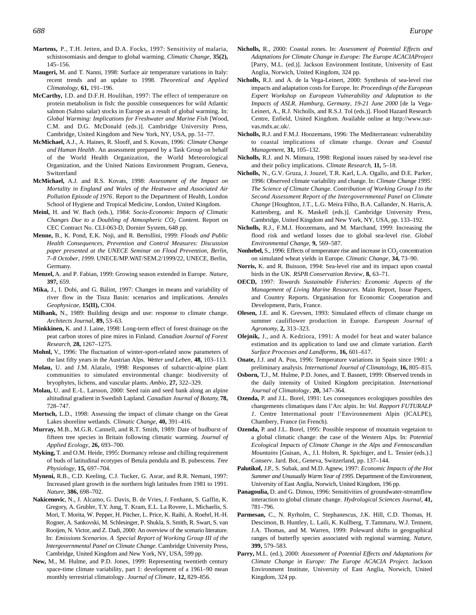- Martens, P., T.H. Jetten, and D.A. Focks, 1997: Sensitivity of malaria, schistosomiasis and dengue to global warming. *Climatic Change*, 35(2), 145–156.
- **Maugeri,** M. and T. Nanni, 1998: Surface air temperature variations in Italy: recent trends and an update to 1998. *Theoretical and Applied Climatology*, **61,** 191–196.
- **McCarthy, I.D. and D.F.H. Houlihan, 1997: The effect of temperature on** protein metabolism in fish: the possible consequences for wild Atlantic salmon (Salmo salar) stocks in Europe as a result of global warming. In: *Global Warming: Implications for Freshwater and Marine Fish* [Wood, C.M. and D.G. McDonald (eds.)]. Cambridge University Press, Cambridge, United Kingdom and New York, NY, USA, pp. 51–77.
- **McMichael,** A.J., A. Haines, R. Slooff, and S. Kovats, 1996: *Climate Change and Human Health*. An assessment prepared by a Task Group on behalf of the World Health Organization, the World Meteorological Organization, and the United Nations Environment Program, Geneva, Switzerland
- **McMichael,** A.J. and R.S. Kovats, 1998: *Assessment of the Impact on Mortality in England and Wales of the Heatwave and Associated Air Pollution Episode of 1976*. Report to the Department of Health, London School of Hygiene and Tropical Medicine, London, United Kingdom.
- **Meinl,** H. and W. Bach (eds.), 1984: *Socio-Economic Impacts of Climatic Changes Due to a Doubling of Atmospheric CO<sup>2</sup> Content.* Report on CEC Contract No. CLI-063-D, Dornier System, 648 pp.
- **Menne,** B., K. Pond, E.K. Noji, and R. Bertollini, 1999: *Floods and Public Health Consequences, Prevention and Control Measures: Discussion paper presented at the UNECE Seminar on Flood Prevention, Berlin, 7–8 October, 1999*. UNECE/MP.WAT/SEM.2/1999/22, UNECE, Berlin, Germany.
- **Menzel,** A. and P. Fabian, 1999: Growing season extended in Europe. *Nature*, **397,** 659.
- **Mika,** J., I. Dobi, and G. Bálint, 1997: Changes in means and variability of river flow in the Tisza Basin: scenarios and implications. *Annales Geophysicae*, **15(II),** C304.
- **Milbank,** N., 1989: Building design and use: response to climate change. *Architects Journal*, **89,** 53–63.
- **Minkkinen,** K. and J. Laine, 1998: Long-term effect of forest drainage on the peat carbon stores of pine mires in Finland. *Canadian Journal of Forest Research*, **28,** 1267–1275.
- **Mohnl,** V., 1996: The fluctuation of winter-sport-related snow parameters of the last fifty years in the Austrian Alps. *Wetter und Leben*, **48,** 103–113.
- Molau, U. and J.M. Alatalo, 1998: Responses of subarctic-alpine plant communities to simulated environmental change: biodiversity of bryophytes, lichens, and vascular plants. *Ambio*, **27,** 322–329.
- **Molau,** U. and E.-L. Larsson, 2000: Seed rain and seed bank along an alpine altitudinal gradient in Swedish Lapland. *Canadian Journal of Botany*, **78,** 728–747.
- **Mortsch,** L.D., 1998: Assessing the impact of climate change on the Great Lakes shoreline wetlands. *Climatic Change*, **40,** 391–416.
- Murray, M.B., M.G.R. Cannell, and R.T. Smith, 1989: Date of budburst of fifteen tree species in Britain following climatic warming. *Journal of Applied Ecology*, **26,** 693–700.
- **Myking,** T. and O.M. Heide, 1995: Dormancy release and chilling requirement of buds of latitudinal ecotypes of Betula pendula and B. pubescens. *Tree Physiology*, **15,** 697–704.
- **Myneni,** R.B., C.D. Keeling, C.J. Tucker, G. Asrar, and R.R. Nemani, 1997: Increased plant growth in the northern high latitudes from 1981 to 1991. *Nature*, **386,** 698–702.
- Nakicenovic, N., J. Alcamo, G. Davis, B. de Vries, J. Fenhann, S. Gaffin, K. Gregory, A. Grubler, T.Y. Jung, T. Kram, E.L. La Rovere, L. Michaelis, S. Mori, T. Morita, W. Pepper, H. Pitcher, L. Price, K. Raihi, A. Roehrl, H.-H. Rogner, A. Sankovski, M. Schlesinger, P. Shukla, S. Smith, R. Swart, S. van Rooijen, N. Victor, and Z. Dadi, 2000: An overview of the scenario literature. In: *Emissions Scenarios. A Special Report of Working Group III of the* Intergovernmental Panel on Climate Change. Cambridge University Press, Cambridge, United Kingdom and New York, NY, USA, 599 pp.
- **New,** M., M. Hulme, and P.D. Jones, 1999: Representing twentieth century space-time climate variability, part 1: development of a 1961–90 mean monthly terrestrial climatology. *Journal of Climate*, **12,** 829–856.
- **Nicholls,** R., 2000: Coastal zones. In: *Assessment of Potential Effects and Adaptations for Climate Change in Europe: The Europe ACACIAProject* [Parry, M.L. (ed.)]. Jackson Environment Institute, University of East Anglia, Norwich, United Kingdom, 324 pp.
- **Nicholls,** R.J. and A. de la Vega-Leinert, 2000: Synthesis of sea-level rise impacts and adaptation costs for Europe. In: *Proceedings of the European Expert Workshop on European Vulnerability and Adaptation to the Impacts of ASLR, Hamburg, Germany, 19-21 June 2000* [de la Vega-Leinert, A., R.J. Nicholls, and R.S.J. Tol (eds.)]. Flood Hazard Research Centre, Enfield, United Kingdom. Available online at http://www.survas.mdx.ac.uk/.
- **Nicholls,** R.J. and F.M.J. Hoozemans, 1996: The Mediterranean: vulnerability to coastal implications of climate change. *Ocean and Coastal Management*, **31,** 105–132.
- **Nicholls,** R.J. and N. Mimura, 1998: Regional issues raised by sea-level rise and their policy implications. *Climate Research*, **11,** 5–18.
- Nicholls, N., G.V. Gruza, J. Jouzel, T.R. Karl, L.A. Ogallo, and D.E. Parker, 1996: Observed climate variability and change. In: *Climate Change 1995: The Science of Climate Change. Contribution of Working Group I to the Second Assessment Report of the Intergovernmental Panel on Climate Change* [Houghton, J.T., L.G. Meira Filho, B.A. Callander, N. Harris, A . Kattenberg, and K. Maskell (eds.)]. Cambridge University Press, Cambridge, United Kingdom and New York, NY, USA, pp. 133–192.
- **Nicholls,** R.J., F.M.J. Hoozemans, and M. Marchand, 1999: Increasing the flood risk and wetland losses due to global sea-level rise. *Global Environmental Change*, **9,** 569–587.
- **Nonhebel, S., 1996:** Effects of temperature rise and increase in CO<sub>2</sub> concentration on simulated wheat yields in Europe. *Climatic Change*, **34,** 73–90.
- **Norris,** K. and R. Buisson, 1994: Sea-level rise and its impact upon coastal birds in the UK. *RSPB Conservation Review*, **8,** 63–71.
- **OECD,** 1997: *Towards Sustainable Fisheries: Economic Aspects of the Management of Living Marine Resources*. Main Report, Issue Papers, and Country Reports. Organisation for Economic Cooperation and Development, Paris, France.
- **Olesen,** J.E. and K. Grevsen, 1993: Simulated effects of climate change on summer cauliflower production in Europe. *European Journal of Agronomy*, **2,** 313–323.
- **Olejnik, J., and A. Kedziora, 1991: A model for heat and water balance** estimation and its application to land use and climate variation. *Earth Surface Processes and Landforms*, **16,** 601–617.
- **Onate,** J.J. and A. Pou, 1996: Temperature variations in Spain since 1901: a preliminary analysis. *International Journal of Climatology*, **16,** 805–815.
- **Osborn,** T.J., M. Hulme, P.D. Jones, and T. Basnett, 1999: Observed trends in the daily intensity of United Kingdom precipitation. *International Journal of Climatology*, **20,** 347–364.
- **Ozenda,** P. and J.L. Borel, 1991: Les consequnces ecologiques possibles des changements climatiques dans l'Arc alpin. In: *Vol. Rapport FUTURALP 1*. Centre Intermational poutr l'Environnement Alpin (ICALPE), Chambery, France (in French).
- **Ozenda,** P. and J.L. Borel, 1995: Possible response of mountain vegetaion to a global climatic change: the case of the Western Alps. In: *Potential Ecological Impacts of Climate Change in the Alps and Fennoscandian Mountains* [Guisan, A., J.I. Holten, R. Spichiger, and L. Tessier (eds.).] Conserv. Jard. Bot., Geneva, Switzerland, pp. 137–144.
- Palutikof, J.P., S. Subak, and M.D. Agnew, 1997: *Economic Impacts of the Hot Summer and Unusually Warm Year of 1995.* Department of the Environment, University of East Anglia, Norwich, United Kingdom, 196 pp.
- **Panagoulia,** D. and G. Dimou, 1996: Sensitivities of groundwater-streamflow interaction to global climate change. *Hydrological Sciences Journal*, **41,** 781–796.
- **Parmesan,** C., N. Ryrholm, C. Stephanescus, J.K. Hill, C.D. Thomas, H. Descimon, B. Huntley, L. Laili, K. Kullberg, T.Tammaru, W.J. Tennent, J.A. Thomas, and M. Warren, 1999: Poleward shifts in geographical ranges of butterfly species associated with regional warming. *Nature*, **399,** 579–583.
- **Parry,** M.L. (ed.), 2000: *Assessment of Potential Effects and Adaptations for Climate Change in Europe: The Europe ACACIA Project*. Jackson Environment Institute, University of East Anglia, Norwich, United Kingdom, 324 pp.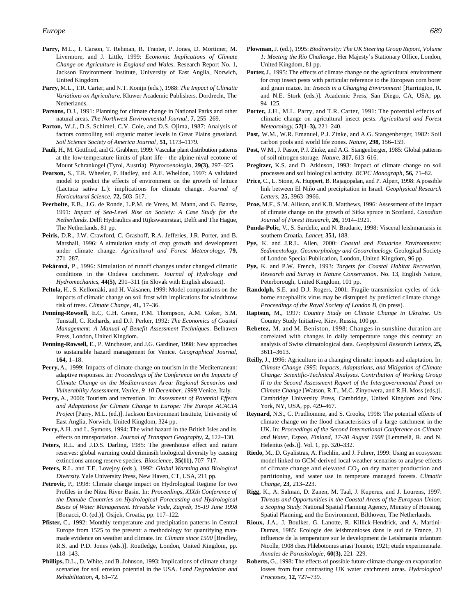- **Parry,** M.L., I. Carson, T. Rehman, R. Tranter, P. Jones, D. Mortimer, M. Livermore, and J. Little, 1999: *Economic Implications of Climate Change on Agriculture in England and Wales*. Research Report No. 1, Jackson Environment Institute, University of East Anglia, Norwich, United Kingdom.
- **Parry,** M.L., T.R. Carter, and N.T. Konijn (eds.), 1988: *The Impact of Climatic Variations on Agriculture*. Kluwer Academic Publishers. Dordrecht, The Netherlands.
- **Parsons,** D.J., 1991: Planning for climate change in National Parks and other natural areas. *The Northwest Environmental Journal*, **7,** 255–269.
- Parton, W.J., D.S. Schimel, C.V. Cole, and D.S. Ojima, 1987: Analysis of factors controlling soil organic matter levels in Great Plains grassland. *Soil Science Society of America Journal*, **51,** 1173–1179.
- Pauli, H., M. Gottfried, and G. Grabherr, 1999: Vascular plant distribution patterns at the low-temperature limits of plant life - the alpine-nival ecotone of Mount Schrankogel (Tyrol, Austria). *Phytocoenologia*, **29(3),** 297–325.
- **Pearson,** S., T.R. Wheeler, P. Hadley, and A.E. Wheldon, 1997: A validated model to predict the effects of environment on the growth of lettuce (Lactuca sativa L.): implications for climate change. *Journal of Horticultural Science*, **72,** 503–517.
- **Peerbolte,** E.B., J.G. de Ronde, L.P.M. de Vrees, M. Mann, and G. Baarse, 1991: *Impact of Sea-Level Rise on Society: A Case Study for the Netherlands*. Delft Hydraulics and Rijkswaterstaat, Delft and The Hague, The Netherlands, 81 pp.
- **Peiris,** D.R., J.W. Crawford, C. Grashoff, R.A. Jefferies, J.R. Porter, and B. Marshall, 1996: A simulation study of crop growth and development under climate change. *Agricultural and Forest Meteorology*, 79, 271–287.
- Pekárová, P., 1996: Simulation of runoff changes under changed climatic conditions in the Ondava catchment. *Journal of Hydrology and Hydromechanics*, **44(5),** 291–311 (in Slovak with English abstract).
- **Peltola,** H., S. Kellomäki, and H. Väisänen, 1999: Model computations on the impacts of climatic change on soil frost with implications for windthrow risk of trees. *Climate Change*, **41,** 17–36.
- **Penning-Rowsell,** E.C, C.H. Green, P.M. Thompson, A.M. Coker, S.M. Tunstall, C. Richards, and D.J. Perker, 1992: *The Economics of Coastal Management: A Manual of Benefit Assessment Techniques*. Belhaven Press, London, United Kingdom.
- Penning-Rowsell, E., P. Winchester, and J.G. Gardiner, 1998: New approaches to sustainable hazard management for Venice. *Geographical Journal*, **164,** 1–18.
- **Perry,** A., 1999: Impacts of climate change on tourism in the Mediterranean: adaptive responses. In: *Proceedings of the Conference on the Impacts of Climate Change on the Mediterranean Area: Regional Scenarios and Vulnerability Assessment, Venice, 9–10 December, 1999*. Venice, Italy.
- **Perry,** A., 2000: Tourism and recreation. In: *Assessment of Potential Effects and Adaptations for Climate Change in Europe: The Europe ACACIA Project* [Parry, M.L. (ed.)]. Jackson Environment Institute, University of East Anglia, Norwich, United Kingdom, 324 pp.
- **Perry,** A.H. and L. Symons, 1994: The wind hazard in the British Isles and its effects on transportation. *Journal of Transport Geography*, **2,** 122–130.
- **Peters,** R.L. and J.D.S. Darling, 1985: The greenhouse effect and nature reserves: global warming could diminsih biological diversity by causing extinctions among reserve species. *Bioscience*, **35(11),** 707–717.
- **Peters,** R.L. and T.E. Lovejoy (eds.), 1992: *Global Warming and Biological Diversity*. Yale University Press, New Haven, CT, USA, 211 pp.
- Petrovic, P., 1998: Climate change impact on Hydrological Regime for two Profiles in the Nitra River Basin. In: *Proceedings, XIXth Conference of the Danube Countries on Hydrological Forecasting and Hydrological Bases of Water Management. Hrvatske Vode, Zagreb, 15-19 June 1998* [Bonacci, O. (ed.)]. Osijek, Croatia, pp. 117–122.
- **Pfister,** C., 1992: Monthly temperature and precipitation patterns in Central Europe from 1525 to the present: a methodology for quantifying manmade evidence on weather and climate. In: *Climate since 1500* [Bradley, R.S. and P.D. Jones (eds.)]. Routledge, London, United Kingdom, pp. 118–143.
- **Phillips,** D.L., D. White, and B. Johnson, 1993: Implications of climate change scenarios for soil erosion potential in the USA. *Land Degradation and Rehabilitation*, **4,** 61–72.
- **Plowman,** J. (ed.), 1995: *Biodiversity: The UK Steering Group Report, Volume 1: Meeting the Rio Challenge*. Her Majesty's Stationary Office, London, United Kingdom, 81 pp.
- **Porter,** J., 1995: The effects of climate change on the agricultural environment for crop insect pests with particular reference to the European corn borer and grain maize. In: *Insects in a Changing Environment* [Harrington, R. and N.E. Stork (eds.)]. Academic Press, San Diego, CA, USA, pp. 94–125.
- Porter, J.H., M.L. Parry, and T.R. Carter, 1991: The potential effects of climatic change on agricultural insect pests. Agricultural and Forest *Meteorology*, **57(1–3),** 221–240.
- Post, W.M., W.R. Emanuel, P.J. Zinke, and A.G. Stangenberger, 1982: Soil carbon pools and world life zones. *Nature*, **298**, 156-159.
- Post, W.M., J. Pastor, P.J. Zinke, and A.G. Stangenberger, 1985: Global patterns of soil nitrogen storage. *Nature*, **317,** 613–616.
- **Pregitzer,** K.S. and D. Atkinson, 1993: Impact of climate change on soil processes and soil biological activity. *BCPC Monograph*, **56,** 71–82.
- Price, C., L. Stone, A. Huppert, B. Rajagopalan, and P. Alpert, 1998: A possible link between El Niño and precipitation in Israel. *Geophysical Research Letters*, **25,** 3963–3966.
- **Proe,** M.F., S.M. Allison, and K.B. Matthews, 1996: Assessment of the impact of climate change on the growth of Sitka spruce in Scotland. *Canadian Journal of Forest Research*, **26,** 1914–1921.
- **Punda-Polic,** V., S. Sardelic, and N. Bradaric, 1998: Visceral leishmaniasis in southern Croatia. *Lancet*, **351,** 188.
- Pye, K. and J.R.L. Allen, 2000: *Coastal and Estuarine Environments: Sedimentology, Geomorphology and Geoarchaelogy*. Geological Society of London Special Publication, London, United Kingdom, 96 pp.
- **Pye,** K. and P.W. French, 1993: *Targets for Coastal Habitat Recreation, Research and Survey in Nature Conservation*. No. 13, English Nature, Peterborough, United Kingdom, 101 pp.
- **Randolph,** S.E. and D.J. Rogers, 2001: Fragile transmission cycles of tickborne encephalitis virus may be distrupted by predicted climate change. *Proceedings of the Royal Society of London B*, (in press).
- **Raptsun,** M., 1997: *Country Study on Climate Change in Ukraine*. US Country Study Initiative, Kiev, Russia, 100 pp.
- Rebetez, M. and M. Beniston, 1998: Changes in sunshine duration are correlated with changes in daily temperature range this century: an analysis of Swiss climatological data. *Geophysical Research Letters*, **25,** 3611–3613.
- **Reilly,** J., 1996: Agriculture in a changing climate: impacts and adaptation. In: *Climate Change 1995: Impacts, Adaptations, and Mitigation of Climate Change: Scientific-Technical Analyses. Contribution of Working Group II to the Second Assessment Report of the Intergovernmental Panel on Climate Change* [Watson, R.T., M.C. Zinyowera, and R.H. Moss (eds.)]. Cambridge University Press, Cambridge, United Kingdom and New York, NY, USA, pp. 429–467.
- **Reynard,** N.S., C. Prudhomme, and S. Crooks, 1998: The potential effects of climate change on the flood characteristics of a large catchment in the UK. In: *Proceedings of the Second International Conference on Climate and Water, Espoo, Finland, 17-20 August 1998* [Lemmelä, R. and N. Helenius (eds.)]. Vol. 1, pp. 320–332.
- **Riedo,** M., D. Gyalistras, A. Fischlin, and J. Fuhrer, 1999: Using an ecosystem model linked to GCM-derived local weather scenarios to analyse effects of climate change and elevated  $CO<sub>2</sub>$  on dry matter production and partitioning, and water use in temperate managed forests. *Climatic Change*, **23,** 213–223.
- **Rigg,** K., A. Salman, D. Zanen, M. Taal, J. Kuperus, and J. Lourens, 1997: *Threats and Opportunities in the Coastal Areas of the European Union: a Scoping Study*. National Spatial Planning Agency, Ministry of Housing, Spatial Planning, and the Environment, Bilthoven, The Netherlands.
- **Rioux,** J.A., J. Boulker, G. Lanotte, R. Killick-Hendrick, and A. Martini-Dumas, 1985: Ecologie des leishmanioses dans le sud de France, 21 influence de la temperature sur le development de Leishmania infantum Nicolle, 1908 chez Phlebotomus ariasi Tonnoir, 1921; etude experimentale. *Annales de Parasitologie*, **60(3),** 221–229.
- **Roberts, G., 1998: The effects of possible future climate change on evaporation** losses from four contrasting UK water catchment areas. *Hydrological Processes*, **12,** 727–739.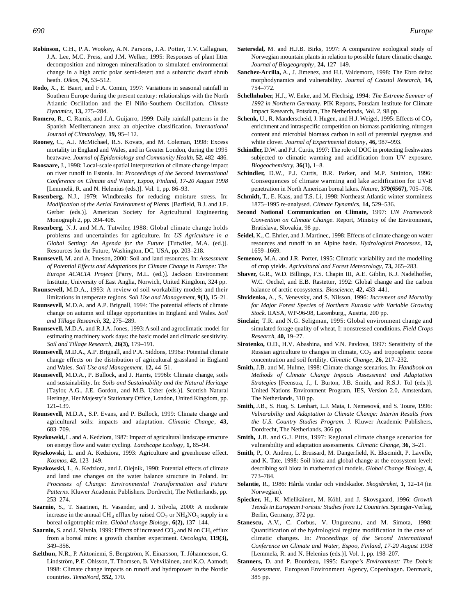- Robinson, C.H., P.A. Wookey, A.N. Parsons, J.A. Potter, T.V. Callagnan, J.A. Lee, M.C. Press, and J.M. Welker, 1995: Responses of plant litter decomposition and nitrogen mineralisation to simulated environmental change in a high arctic polar semi-desert and a subarctic dwarf shrub heath. *Oikos*, **74,** 53–512.
- **Rodo,** X., E. Baert, and F.A. Comin, 1997: Variations in seasonal rainfall in Southern Europe during the present century: relationships with the North Atlantic Oscillation and the El Niño-Southern Oscillation. *Climate Dynamics*, **13,** 275–284.
- **Romero,** R., C. Ramis, and J.A. Guijarro, 1999: Daily rainfall patterns in the Spanish Mediterranean area: an objective classification. *International Journal of Climatology*, **19,** 95–112.
- **Rooney,** C., A.J. McMichael, R.S. Kovats, and M. Coleman, 1998: Excess mortality in England and Wales, and in Greater London, during the 1995 heatwave. *Journal of Epidemiology and Community Health*, **52**, 482-486.
- **Roosaare,** J., 1998: Local-scale spatial interpretation of climate change impact on river runoff in Estonia. In: *Proceedings of the Second International Conference on Climate and Water, Espoo, Finland, 17-20 August 1998* [Lemmelä, R. and N. Helenius (eds.)]. Vol. 1, pp. 86–93.
- Rosenberg, N.J., 1979: Windbreaks for reducing moisture stress. In: *Modification of the Aerial Environment of Plants* [Barfield, B.J. and J.F. Gerber (eds.)]. American Society for Agricultural Engineering Monograph 2, pp. 394-408.
- **Rosenberg, N.J.** and M.A. Tutwiler, 1988: Global climate change holds problems and uncertainties for agriculture. In: *US Agriculture in a Global Setting: An Agenda for the Future* [Tutwiler, M.A. (ed.)]. Resources for the Future, Washington, DC, USA, pp. 203–218.
- **Rounsevell,** M. and A. Imeson, 2000: Soil and land resources. In: *Assessment of Potential Effects and Adaptations for Climate Change in Europe: The Europe ACACIA Project* [Parry, M.L. (ed.)]. Jackson Environment Institute, University of East Anglia, Norwich, United Kingdom, 324 pp.
- **Rounsevell,** M.D.A., 1993: A review of soil workability models and their limitations in temperate regions. *Soil Use and Management*, **9(1)**, 15–21.
- **Rounsevell,** M.D.A. and A.P. Brignall, 1994: The potential effects of climate change on autumn soil tillage opportunities in England and Wales. *Soil and Tillage Research*, **32,** 275–289.
- **Rounsevell,** M.D.A. and R.J.A. Jones, 1993: A soil and agroclimatic model for estimating machinery work days: the basic model and climatic sensitivity. *Soil and Tillage Research*, **26(3),** 179–191.
- **Rounsevell,** M.D.A., A.P. Brignall, and P.A. Siddons, 1996a: Potential climate change effects on the distribution of agricultural grassland in England and Wales. *Soil Use and Management*, **12,** 44–51.
- **Rounsevell,** M.D.A., P. Bullock, and J. Harris, 1996b: Climate change, soils and sustainability. In: *Soils and Sustainability and the Natural Heritage* [Taylor, A.G., J.E. Gordon, and M.B. Usher (eds.)]. Scottish Natural Heritage, Her Majesty's Stationary Office, London, United Kingdom, pp. 121–139.
- **Rounsevell,** M.D.A., S.P. Evans, and P. Bullock, 1999: Climate change and agricultural soils: impacts and adaptation. *Climatic Change*, 43, 683–709.
- **Ryszkowski,** L. and A. Kedziora, 1987: Impact of agricultural landscape structure on energy flow and water cycling. *Landscape Ecology*, **1,** 85–94.
- **Ryszkowski,** L. and A. Kedziora, 1993: Agriculture and greenhouse effect. *Kosmos*, **42,** 123–149.
- **Ryszkowski,** L, A. Kedziora, and J. Olejnik, 1990: Potential effects of climate and land use changes on the water balance structure in Poland. In: *P rocesses of Change: Environmental Transformation and Future Patterns*. Kluwer Academic Publishers. Dordrecht, The Netherlands, pp. 253–274.
- **Saarnio,** S., T. Saarinen, H. Vasander, and J. Silvola, 2000: A moderate increase in the annual CH<sub>4</sub> efflux by raised  $CO_2$  or  $NH_4NO_3$  supply in a boreal oligotrophic mire. *Global change Biology*, **6(2),** 137–144.
- $\mathbf{Saarnio}, \mathbf{S}.$  and J. Silvola, 1999: Effects of increased  $\mathbf{CO}_2$  and  $\mathbf{N}$  on  $\mathbf{CH}_4$  efflux from a boreal mire: a growth chamber experiment. *Oecologia*, **119(3),** 349–356.
- **Sælthun,** N.R., P. Aittoniemi, S. Bergström, K. Einarsson, T. Jóhannesson, G. Lindström, P.E. Ohlsson, T. Thomsen, B. Vehviläinen, and K.O. Aamodt, 1998: Climate change impacts on runoff and hydropower in the Nordic countries. *TemaNord*, **552,** 170.
- **Sætersdal,** M. and H.J.B. Birks, 1997: A comparative ecological study of Norwegian mountain plants in relation to possible future climatic change. *Journal of Biogeography*, **24,** 127–149.
- **Sanchez-Arcilla,** A., J. Jimenez, and H.I. Valdemoro, 1998: The Ebro delta: morphodynamics and vulnerability. *Journal of Coastal Research*, **14,** 754–772.
- **Schellnhuber,** H.J., W. Enke, and M. Flechsig, 1994: *The Extreme Summer of 1992 in Northern Germany*. PIK Reports, Potsdam Institute for Climate Impact Research, Potsdam, The Netherlands, Vol. 2, 98 pp.
- Schenk, U., R. Manderscheid, J. Hugen, and H.J. Weigel, 1995: Effects of CO<sub>2</sub> enrichment and intraspecific competition on biomass partitioning, nitrogen content and microbial biomass carbon in soil of perennial ryegrass and white clover. *Journal of Experimental Botany*, **46,** 987–993.
- **Schindler,** D.W. and P.J. Curtis, 1997: The role of DOC in protecting freshwaters subjected to climatic warming and acidification from UV exposure. *Biogeochemistry*, **36(1),** 1–8.
- Schindler, D.W., P.J. Curtis, B.R. Parker, and M.P. Stainton, 1996: Consequences of climate warming and lake acidification for UV-B penetration in North American boreal lakes. *Nature*, 379(6567), 705-708.
- **Schmidt,** T., E. Kaas, and T.S. Li, 1998: Northeast Atlantic winter storminess 1875–1995 re-analysed. *Climate Dynamics*, **14,** 529–536.
- **Second National Communication on Climate,** 1997: *UN Framework Convention on Climate Change*. Report, Ministry of the Environment, Bratislava, Slovakia, 98 pp.
- **Seidel,** K., C. Ehrler, and J. Martinec, 1998: Effects of climate change on water resources and runoff in an Alpine basin. *Hydrological Processes*, **12,** 1659–1669.
- **Semenov,** M.A. and J.R. Porter, 1995: Climatic variability and the modelling of crop yields. *Agricultural and Forest Meteorology*, **73,** 265–283.
- **Shaver,** G.R., W.D. Billings, F.S. Chapin III, A.E. Giblin, K.J. Nadelhoffer, W.C. Oechel, and E.B. Rastetter, 1992: Global change and the carbon balance of arctic ecosystems. *Bioscience*, **42,** 433–441.
- **Shvidenko,** A., S. Venevsky, and S. Nilsson, 1996: *Increment and Mortality for Major Forest Species of Northern Eurasia with Variable Growing Stock*. IIASA, WP-96-98, Laxenburg,, Austria, 200 pp.
- Sinclair, T.R. and N.G. Seligman, 1995: Global environment change and simulated forage quality of wheat, I: nonstressed conditions. Field Crops *Research*, **40,** 19–27.
- **Sirotenko,** O.D., H.V. Abashina, and V.N. Pavlova, 1997: Sensitivity of the Russian agriculture to changes in climate,  $CO_2$  and tropospheric ozone concentration and soil fertility. *Climatic Change*, **26,** 217–232.
- **Smith,** J.B. and M. Hulme, 1998: Climate change scenarios. In: *Handbook on Methods of Climate Change Impacts Assessment and Adaptation Strategies* [Feenstra, J., I. Burton, J.B. Smith, and R.S.J. Tol (eds.)]. United Nations Environment Program, IES, Version 2.0, Amsterdam, The Netherlands, 310 pp.
- **Smith,** J.B., S. Huq, S. Lenhart, L.J. Mata, I. Nemesová, and S. Toure, 1996: *Vulnerability and Adaptation to Climate Change: Interim Results from the U.S. Country Studies Program*. J. Kluwer Academic Publishers, Dordrecht, The Netherlands, 366 pp.
- Smith, J.B. and G.J. Pitts, 1997: Regional climate change scenarios for vulnerability and adaptation assessments. *Climatic Change*, 36, 3-21.
- **Smith,** P., O. Andren, L. Brussard, M. Dangerfield, K. Ekscmidt, P. Lavelle, and K. Tate, 1998: Soil biota and global change at the ecosystem level: describing soil biota in mathematical models. *Global Change Biology*, **4,** 773–784.
- **Solantie,** R., 1986: Hårda vindar och vindskador. *Skogsbruket*, **1,** 12–14 (in Norwegian).
- **Spiecker,** H., K. Mielikäinen, M. Köhl, and J. Skovsgaard, 1996: *Growth Trends in European Forests: Studies from 12 Countries*. Springer-Verlag, Berlin, Germany, 372 pp.
- **Stanescu, A.V., C. Corbus, V. Ungureanu, and M. Simota, 1998:** Quantification of the hydrological regime modification in the case of climatic changes. In: Proceedings of the Second International *Conference on Climate and Water, Espoo, Finland, 17-20 August 1998* [Lemmelä, R. and N. Helenius (eds.)]. Vol. 1, pp. 198–207.
- **Stanners,** D. and P. Bourdeau, 1995: *Europe's Environment: The Dobris Assessment.* European Environment Agency, Copenhagen. Denmark, 385 pp.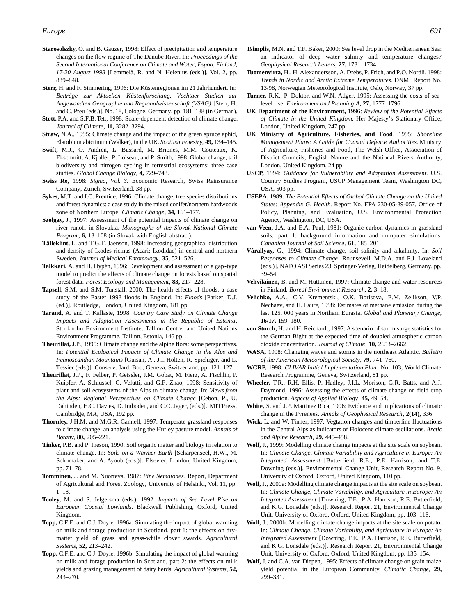- **Starosolszky,** O. and B. Gauzer, 1998: Effect of precipitation and temperature changes on the flow regime of The Danube River. In: *Proceedings of the Second International Conference on Climate and Water, Espoo, Finland, 17-20 August 1998* [Lemmelä, R. and N. Helenius (eds.)]. Vol. 2, pp. 839–848.
- Sterr, H. and F. Simmering, 1996: Die Küstenregionen im 21 Jahrhundert. In: *Beiträge zur Aktuellen Küstenforschung. Vechtaer Studien zur Angewandten Geographie und Regionalwissenschaft (VSAG)* [Sterr, H. and C. Preu (eds.)]. No. 18, Cologne, Germany, pp. 181–188 (in German).
- **Stott,** P.A. and S.F.B. Tett, 1998: Scale-dependent detection of climate change. *Journal of Climate*, **11,** 3282–3294.
- **Straw,** N.A., 1995: Climate change and the impact of the green spruce aphid, Elatobium abictinum (Walker), in the UK. *Scottish Forestry*, **49**, 134–145.
- Swift, M.J., O. Andren, L. Bussard, M. Briones, M.M. Couteaux, K. Ekschmitt, A. Kjoller, P. Loiseau, and P. Smith, 1998: Global change, soil biodiversity and nitrogen cycling in terrestrial ecosystems: three case studies. *Global Change Biology*, **4,** 729–743.
- **Swiss Re,** 1998: *Sigma, Vol. 3*. Economic Research, Swiss Reinsurance Company, Zurich, Switzerland, 38 pp.
- **Sykes,** M.T. and I.C. Prentice, 1996: Climate change, tree species distributions and forest dynamics: a case study in the mixed conifer/northern hardwoods zone of Northern Europe. *Climatic Change*, **34,** 161–177.
- **Szolgay,** J., 1997: Assessment of the potential impacts of climate change on river runoff in Slovakia. *Monographs of the Slovak National Climate Program*, **6,** 13–108 (in Slovak with English abstract).
- **Tälleklint,** L. and T.G.T. Jaenson, 1998: Increasing geographical distribution and density of Ixodes ricinus (Acari: Ixodidae) in central and northern Sweden. *Journal of Medical Entomology*, **35,** 521–526.
- **Talkkari,** A. and H. Hypén, 1996: Development and assessment of a gap-type model to predict the effects of climate change on forests based on spatial forest data. *Forest Ecology and Management*, **83,** 217–228.
- **Tapsell,** S.M. and S.M. Tunstall, 2000: The health effects of floods: a case study of the Easter 1998 floods in England. In: *Floods* [Parker, D.J. (ed.)]. Routledge, London, United Kingdom, 181 pp.
- **Tarand,** A. and T. Kallaste, 1998: *Country Case Study on Climate Change Impacts and Adaptation Assessments in the Republic of Estonia*. Stockholm Environment Institute, Tallinn Centre, and United Nations Environment Programme, Tallinn, Estonia, 146 pp.
- **Theurillat,** J.P., 1995: Climate change and the alpine flora: some perspectives. In: *Potential Ecological Impacts of Climate Change in the Alps and Fennoscandian Mountains* [Guisan, A., J.I. Holten, R. Spichiger, and L. Tessier (eds.)]. Conserv. Jard. Bot., Geneva, Switzerland, pp. 121–127.
- **Theurillat,** J.P., F. Felber, P. Geissler, J.M. Gobat, M. Fierz, A. Fischlin, P. Kuipfer, A. Schlussel, C. Velutti, and G.F. Zhao, 1998: Sensitivity of plant and soil ecosystems of the Alps to climate change. In: *Views from the Alps: Regional Perspectives on Climate Change* [Cebon, P., U. Dahinden, H.C. Davies, D. Imboden, and C.C. Jager, (eds.)]. MITPress, Cambridge, MA, USA, 192 pp.
- **Thornley,** J.H.M. and M.G.R. Cannell, 1997: Temperate grassland responses to climate change: an analysis using the Hurley pasture model. *Annals of Botany*, **80,** 205–221.
- **Tinker,** P.B. and P. Ineson, 1990: Soil organic matter and biology in relation to climate change. In: *Soils on a Warmer Earth* [Scharpenseel, H.W., M. Schomaker, and A. Ayoub (eds.)]. Elsevier, London, United Kingdom, pp. 71–78.
- **Tomminen,** J. and M. Nuorteva, 1987: *Pine Nematodes*. Report, Department of Agricultural and Forest Zoology, University of Helsinki, Vol. 11, pp. 1–18.
- **Tooley,** M. and S. Jelgersma (eds.), 1992: *Impacts of Sea Level Rise on European Coastal Lowlands*. Blackwell Publishing, Oxford, United Kingdom.
- **Topp,** C.F.E. and C.J. Doyle, 1996a: Simulating the impact of global warming on milk and forage production in Scotland, part 1: the effects on drymatter yield of grass and grass-while clover swards. A gricultural *Systems*, **52,** 213–242.
- **Topp,** C.F.E. and C.J. Doyle, 1996b: Simulating the impact of global warming on milk and forage production in Scotland, part 2: the effects on milk yields and grazing management of dairy herds. *Agricultural Systems*, **52,** 243–270.
- **Tsimplis,** M.N. and T.F. Baker, 2000: Sea level drop in the Mediterranean Sea: an indicator of deep water salinity and temperature changes? *Geophysical Research Letters*, **27,** 1731–1734.
- **Tuomenvirta,** H., H. Alexandersson, A. Drebs, P. Frich, and P.O. Nordli, 1998: *Trends in Nordic and Arctic Extreme Temperatures*. DNMI Report No. 13/98, Norwegian Meteorological Institute, Oslo, Norway, 37 pp.
- **Turner,** R.K., P. Doktor, and W.N. Adger, 1995: Assessing the costs of sealevel rise. *Environment and Planning A*, **27,** 1777–1796.
- **UK Department of the Environment,** 1996: *Review of the Potential Effects of Climate in the United Kingdom*. Her Majesty's Stationary Office, London, United Kingdom, 247 pp.
- **UK Ministry of Agriculture, Fisheries, and Food**, 1995: *Shoreline Management Plans: A Guide for Coastal Defence Authorities*. Ministry of Agriculture, Fisheries and Food, The Welsh Office, Association of District Councils, English Nature and the National Rivers Authority, London, United Kingdom, 24 pp.
- **USCP,** 1994: *Guidance for Vulnerability and Adaptation Assessment*. U.S. Country Studies Program, USCP Management Team, Washington DC, USA, 503 pp.
- **USEPA,** 1989: *The Potential Effects of Global Climate Change on the United States: Appendix G, Health*. Report No. EPA 230-05-89-057, Office of Policy, Planning, and Evaluation, U.S. Environmental Protection Agency, Washington, DC, USA.
- **van Veen,** J.A. and E.A. Paul, 1981: Organic carbon dynamics in grassland soils, part 1: background information and computer simulations. *Canadian Journal of Soil Science*, **61,** 185–201.
- **Várallyay,** G., 1994: Climate change, soil salinity and alkalinity. In: *Soil Responses to Climate Change* [Rounsevell, M.D.A. and P.J. Loveland (eds.)]. NATO ASI Series 23, Springer-Verlag, Heidelberg, Germany, pp. 39–54.
- **Vehviläinen,** B. and M. Huttunen, 1997: Climate change and water resources in Finland. *Boreal Environment Research*, **2,** 3–18.
- Velichko, A.A., C.V. Krementski, O.K. Borisova, E.M. Zelikson, V.P. Nechaev, and H. Faure, 1998: Estimates of methane emission during the last 125, 000 years in Northern Eurasia. *Global and Planetary Change,* **16/17,** 159–180.
- **von Storch,** H. and H. Reichardt, 1997: A scenario of storm surge statistics for the German Bight at the expected time of doubled atmospheric carbon dioxide concentration. *Journal of Climate*, **10,** 2653–2662.
- **WASA,** 1998: Changing waves and storms in the northeast Atlantic. *Bulletin of the American Meteorological Society*, **79,** 741–760.
- **WCRP,** 1998: *CLIVAR Initial Implementation Plan*. No. 103, World Climate Research Programme, Geneva, Switzerland, 81 pp.
- **Wheeler,** T.R., R.H. Ellis, P. Hadley, J.I.L. Morison, G.R. Batts, and A.J. Daymond, 1996: Assessing the effects of climate change on field crop production. *Aspects of Applied Biology*, **45,** 49–54.
- White, S. and J.P. Martinez Rica, 1996: Evidence and implications of climatic change in the Pyrenees. *Annals of Geophysical Research*, **2(14),** 336.
- **Wick,** L. and W. Tinner, 1997: Vegtation changes and timberline fluctuations in the Central Alps as indicators of Holocene climate oscillations. *Arctic and Alpine Research*, **29,** 445–458.
- **Wolf,** J., 1999: Modelling climate change impacts at the site scale on soybean. In: *Climate Change, Climate Variability and Agriculture in Europe: An Integrated Assessment* [Butterfield, R.E., P.E. Harrison, and T.E. Downing (eds.)]. Environmental Change Unit, Research Report No. 9, University of Oxford, Oxford, United Kingdom, 110 pp.
- **Wolf,** J., 2000a: Modelling climate change impacts at the site scale on soybean. In: *Climate Change, Climate Variability, and Agriculture in Europe: An Integrated Assessment* [Downing, T.E., P.A. Harrison, R.E. Butterfield, and K.G. Lonsdale (eds.)]. Research Report 21, Environmental Change Unit, University of Oxford, Oxford, United Kingdom, pp. 103–116.
- **Wolf,** J., 2000b: Modelling climate change impacts at the site scale on potato. In: *Climate Change, Climate Variability, and Agriculture in Europe: An Integrated Assessment* [Downing, T.E., P.A. Harrison, R.E. Butterfield, and K.G. Lonsdale (eds.)]. Research Report 21, Environmental Change Unit, University of Oxford, Oxford, United Kingdom, pp. 135–154.
- **Wolf,** J. and C.A. van Diepen, 1995: Effects of climate change on grain maize yield potential in the European Community. *Climatic Change*, **29,** 299–331.